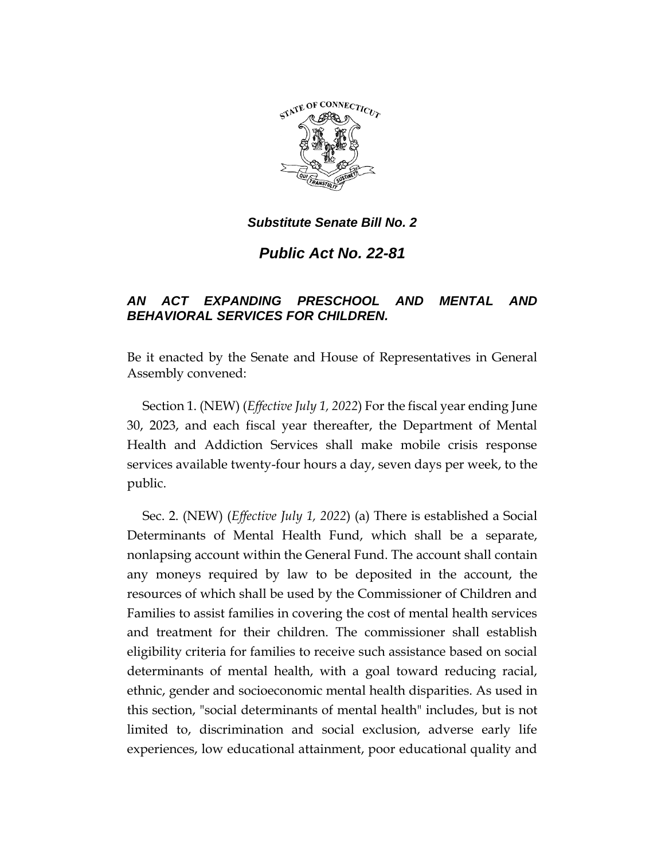

*Public Act No. 22-81*

# *AN ACT EXPANDING PRESCHOOL AND MENTAL AND BEHAVIORAL SERVICES FOR CHILDREN.*

Be it enacted by the Senate and House of Representatives in General Assembly convened:

Section 1. (NEW) (*Effective July 1, 2022*) For the fiscal year ending June 30, 2023, and each fiscal year thereafter, the Department of Mental Health and Addiction Services shall make mobile crisis response services available twenty-four hours a day, seven days per week, to the public.

Sec. 2. (NEW) (*Effective July 1, 2022*) (a) There is established a Social Determinants of Mental Health Fund, which shall be a separate, nonlapsing account within the General Fund. The account shall contain any moneys required by law to be deposited in the account, the resources of which shall be used by the Commissioner of Children and Families to assist families in covering the cost of mental health services and treatment for their children. The commissioner shall establish eligibility criteria for families to receive such assistance based on social determinants of mental health, with a goal toward reducing racial, ethnic, gender and socioeconomic mental health disparities. As used in this section, "social determinants of mental health" includes, but is not limited to, discrimination and social exclusion, adverse early life experiences, low educational attainment, poor educational quality and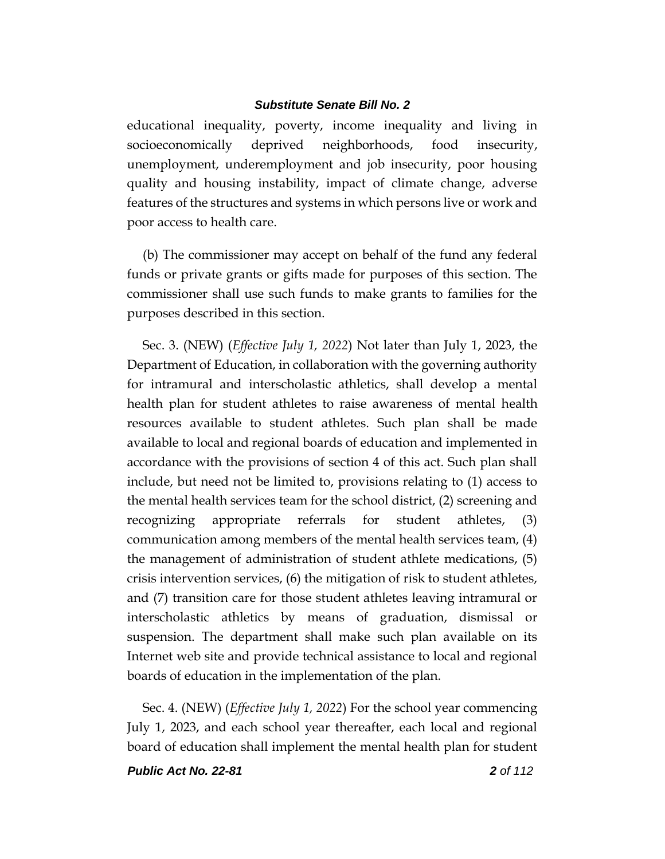educational inequality, poverty, income inequality and living in socioeconomically deprived neighborhoods, food insecurity, unemployment, underemployment and job insecurity, poor housing quality and housing instability, impact of climate change, adverse features of the structures and systems in which persons live or work and poor access to health care.

(b) The commissioner may accept on behalf of the fund any federal funds or private grants or gifts made for purposes of this section. The commissioner shall use such funds to make grants to families for the purposes described in this section.

Sec. 3. (NEW) (*Effective July 1, 2022*) Not later than July 1, 2023, the Department of Education, in collaboration with the governing authority for intramural and interscholastic athletics, shall develop a mental health plan for student athletes to raise awareness of mental health resources available to student athletes. Such plan shall be made available to local and regional boards of education and implemented in accordance with the provisions of section 4 of this act. Such plan shall include, but need not be limited to, provisions relating to (1) access to the mental health services team for the school district, (2) screening and recognizing appropriate referrals for student athletes, (3) communication among members of the mental health services team, (4) the management of administration of student athlete medications, (5) crisis intervention services, (6) the mitigation of risk to student athletes, and (7) transition care for those student athletes leaving intramural or interscholastic athletics by means of graduation, dismissal or suspension. The department shall make such plan available on its Internet web site and provide technical assistance to local and regional boards of education in the implementation of the plan.

Sec. 4. (NEW) (*Effective July 1, 2022*) For the school year commencing July 1, 2023, and each school year thereafter, each local and regional board of education shall implement the mental health plan for student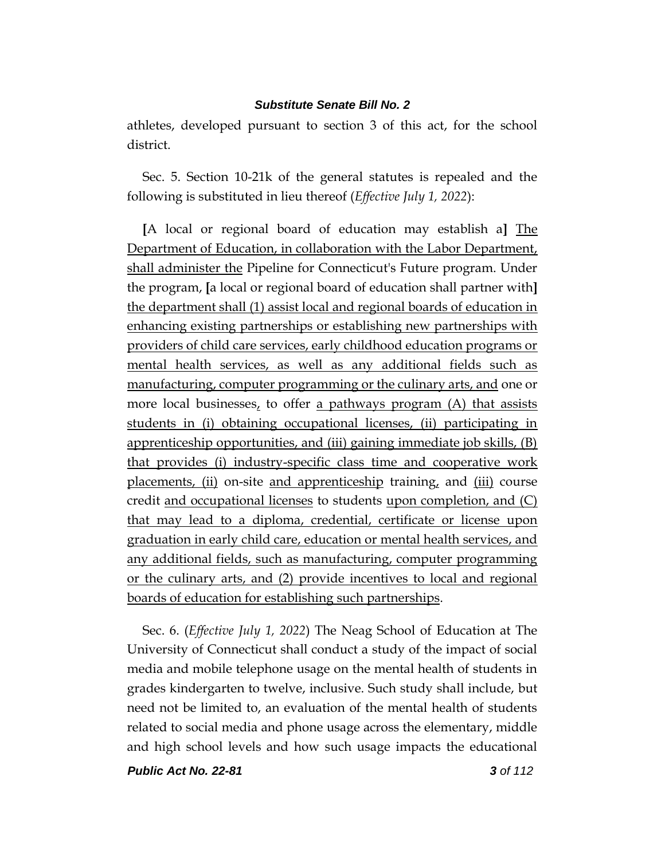athletes, developed pursuant to section 3 of this act, for the school district.

Sec. 5. Section 10-21k of the general statutes is repealed and the following is substituted in lieu thereof (*Effective July 1, 2022*):

**[**A local or regional board of education may establish a**]** The Department of Education, in collaboration with the Labor Department, shall administer the Pipeline for Connecticut's Future program. Under the program, **[**a local or regional board of education shall partner with**]** the department shall (1) assist local and regional boards of education in enhancing existing partnerships or establishing new partnerships with providers of child care services, early childhood education programs or mental health services, as well as any additional fields such as manufacturing, computer programming or the culinary arts, and one or more local businesses, to offer a pathways program  $(A)$  that assists students in (i) obtaining occupational licenses, (ii) participating in apprenticeship opportunities, and (iii) gaining immediate job skills, (B) that provides (i) industry-specific class time and cooperative work placements, (ii) on-site and apprenticeship training, and  $(iii)$  course credit and occupational licenses to students upon completion, and (C) that may lead to a diploma, credential, certificate or license upon graduation in early child care, education or mental health services, and any additional fields, such as manufacturing, computer programming or the culinary arts, and (2) provide incentives to local and regional boards of education for establishing such partnerships.

Sec. 6. (*Effective July 1, 2022*) The Neag School of Education at The University of Connecticut shall conduct a study of the impact of social media and mobile telephone usage on the mental health of students in grades kindergarten to twelve, inclusive. Such study shall include, but need not be limited to, an evaluation of the mental health of students related to social media and phone usage across the elementary, middle and high school levels and how such usage impacts the educational

*Public Act No. 22-81 3 of 112*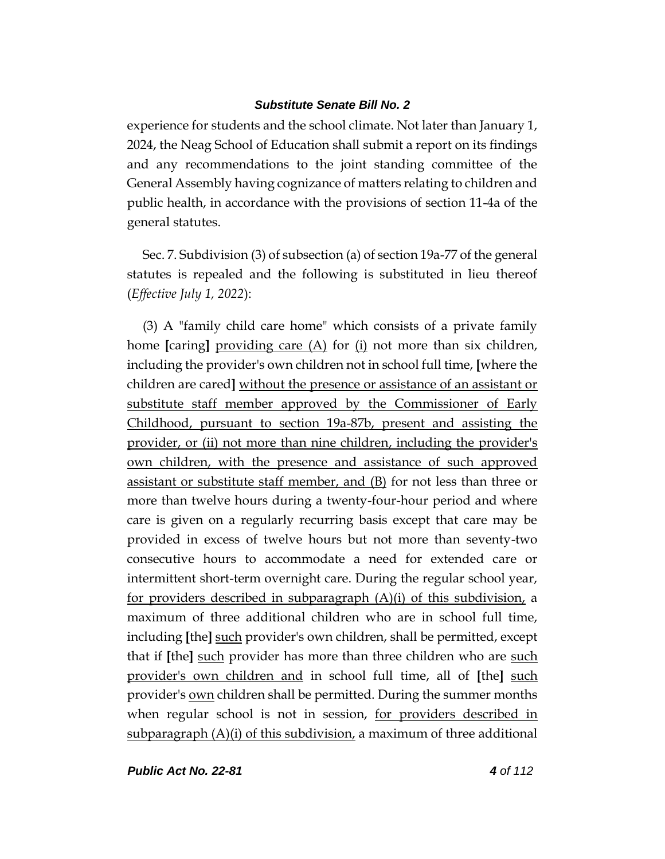experience for students and the school climate. Not later than January 1, 2024, the Neag School of Education shall submit a report on its findings and any recommendations to the joint standing committee of the General Assembly having cognizance of matters relating to children and public health, in accordance with the provisions of section 11-4a of the general statutes.

Sec. 7. Subdivision (3) of subsection (a) of section 19a-77 of the general statutes is repealed and the following is substituted in lieu thereof (*Effective July 1, 2022*):

(3) A "family child care home" which consists of a private family home **[**caring**]** providing care (A) for (i) not more than six children, including the provider's own children not in school full time, **[**where the children are cared**]** without the presence or assistance of an assistant or substitute staff member approved by the Commissioner of Early Childhood, pursuant to section 19a-87b, present and assisting the provider, or (ii) not more than nine children, including the provider's own children, with the presence and assistance of such approved assistant or substitute staff member, and (B) for not less than three or more than twelve hours during a twenty-four-hour period and where care is given on a regularly recurring basis except that care may be provided in excess of twelve hours but not more than seventy-two consecutive hours to accommodate a need for extended care or intermittent short-term overnight care. During the regular school year, for providers described in subparagraph  $(A)(i)$  of this subdivision, a maximum of three additional children who are in school full time, including **[**the**]** such provider's own children, shall be permitted, except that if **[**the**]** such provider has more than three children who are such provider's own children and in school full time, all of **[**the**]** such provider's own children shall be permitted. During the summer months when regular school is not in session, for providers described in subparagraph  $(A)(i)$  of this subdivision, a maximum of three additional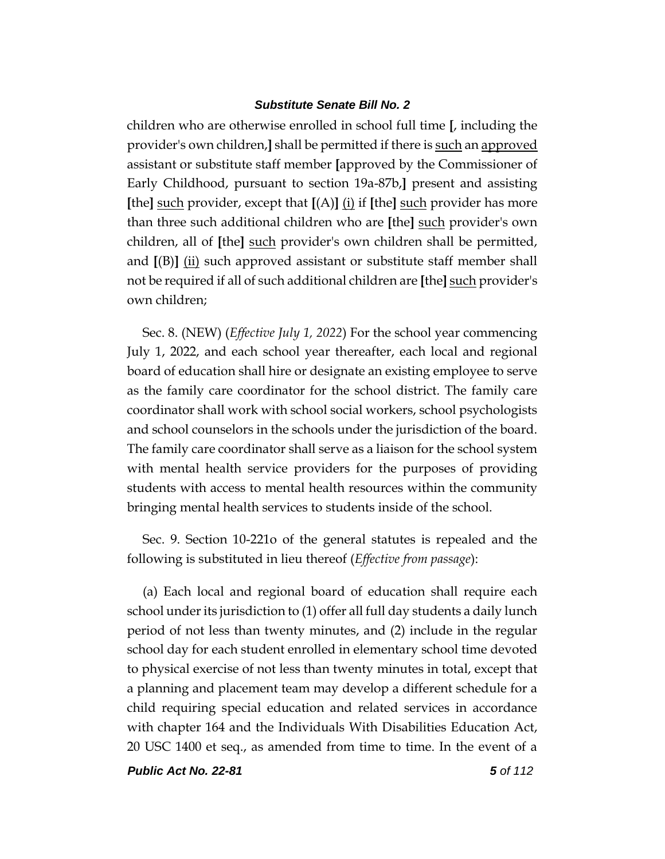children who are otherwise enrolled in school full time **[**, including the provider's own children,**]** shall be permitted if there is such an approved assistant or substitute staff member **[**approved by the Commissioner of Early Childhood, pursuant to section 19a-87b,**]** present and assisting **[**the**]** such provider, except that **[**(A)**]** (i) if **[**the**]** such provider has more than three such additional children who are **[**the**]** such provider's own children, all of **[**the**]** such provider's own children shall be permitted, and  $[(B)]$  (ii) such approved assistant or substitute staff member shall not be required if all of such additional children are **[**the**]** such provider's own children;

Sec. 8. (NEW) (*Effective July 1, 2022*) For the school year commencing July 1, 2022, and each school year thereafter, each local and regional board of education shall hire or designate an existing employee to serve as the family care coordinator for the school district. The family care coordinator shall work with school social workers, school psychologists and school counselors in the schools under the jurisdiction of the board. The family care coordinator shall serve as a liaison for the school system with mental health service providers for the purposes of providing students with access to mental health resources within the community bringing mental health services to students inside of the school.

Sec. 9. Section 10-221o of the general statutes is repealed and the following is substituted in lieu thereof (*Effective from passage*):

(a) Each local and regional board of education shall require each school under its jurisdiction to (1) offer all full day students a daily lunch period of not less than twenty minutes, and (2) include in the regular school day for each student enrolled in elementary school time devoted to physical exercise of not less than twenty minutes in total, except that a planning and placement team may develop a different schedule for a child requiring special education and related services in accordance with chapter 164 and the Individuals With Disabilities Education Act, 20 USC 1400 et seq., as amended from time to time. In the event of a

*Public Act No. 22-81 5 of 112*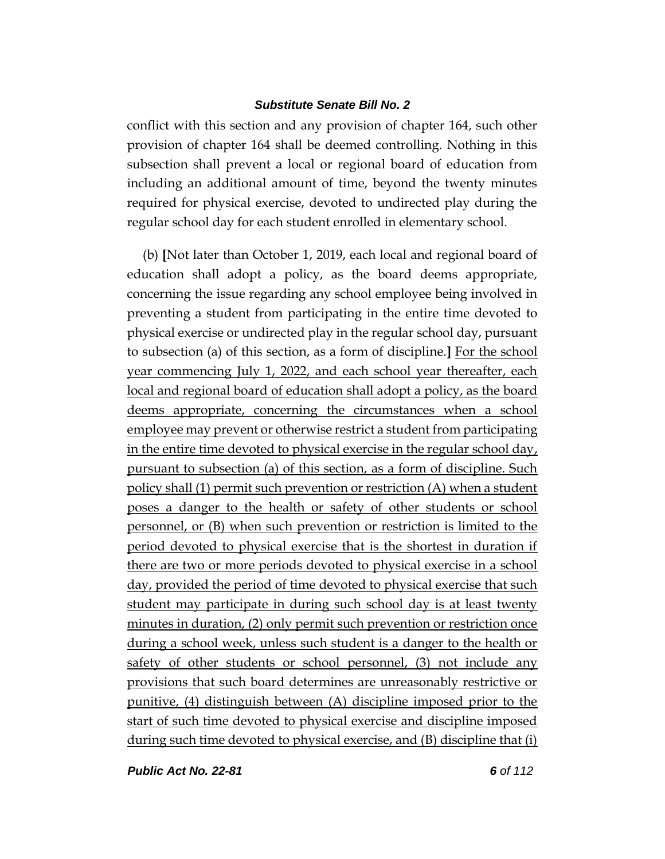conflict with this section and any provision of chapter 164, such other provision of chapter 164 shall be deemed controlling. Nothing in this subsection shall prevent a local or regional board of education from including an additional amount of time, beyond the twenty minutes required for physical exercise, devoted to undirected play during the regular school day for each student enrolled in elementary school.

(b) **[**Not later than October 1, 2019, each local and regional board of education shall adopt a policy, as the board deems appropriate, concerning the issue regarding any school employee being involved in preventing a student from participating in the entire time devoted to physical exercise or undirected play in the regular school day, pursuant to subsection (a) of this section, as a form of discipline.**]** For the school year commencing July 1, 2022, and each school year thereafter, each local and regional board of education shall adopt a policy, as the board deems appropriate, concerning the circumstances when a school employee may prevent or otherwise restrict a student from participating in the entire time devoted to physical exercise in the regular school day, pursuant to subsection (a) of this section, as a form of discipline. Such policy shall (1) permit such prevention or restriction (A) when a student poses a danger to the health or safety of other students or school personnel, or (B) when such prevention or restriction is limited to the period devoted to physical exercise that is the shortest in duration if there are two or more periods devoted to physical exercise in a school day, provided the period of time devoted to physical exercise that such student may participate in during such school day is at least twenty minutes in duration, (2) only permit such prevention or restriction once during a school week, unless such student is a danger to the health or safety of other students or school personnel, (3) not include any provisions that such board determines are unreasonably restrictive or punitive, (4) distinguish between (A) discipline imposed prior to the start of such time devoted to physical exercise and discipline imposed during such time devoted to physical exercise, and (B) discipline that (i)

*Public Act No. 22-81 6 of 112*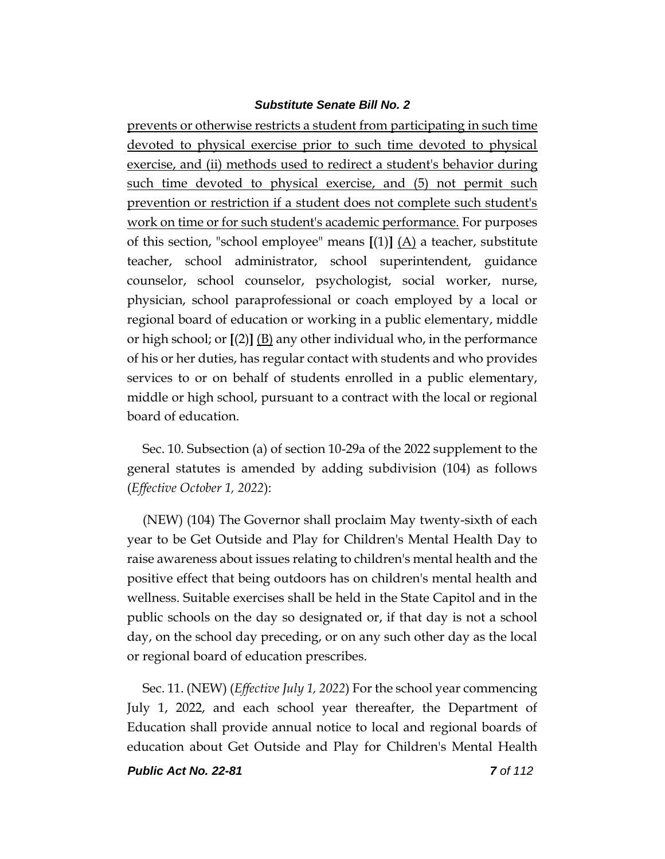prevents or otherwise restricts a student from participating in such time devoted to physical exercise prior to such time devoted to physical exercise, and (ii) methods used to redirect a student's behavior during such time devoted to physical exercise, and (5) not permit such prevention or restriction if a student does not complete such student's work on time or for such student's academic performance. For purposes of this section, "school employee" means **[**(1)**]** (A) a teacher, substitute teacher, school administrator, school superintendent, guidance counselor, school counselor, psychologist, social worker, nurse, physician, school paraprofessional or coach employed by a local or regional board of education or working in a public elementary, middle or high school; or **[**(2)**]** (B) any other individual who, in the performance of his or her duties, has regular contact with students and who provides services to or on behalf of students enrolled in a public elementary, middle or high school, pursuant to a contract with the local or regional board of education.

Sec. 10. Subsection (a) of section 10-29a of the 2022 supplement to the general statutes is amended by adding subdivision (104) as follows (*Effective October 1, 2022*):

(NEW) (104) The Governor shall proclaim May twenty-sixth of each year to be Get Outside and Play for Children's Mental Health Day to raise awareness about issues relating to children's mental health and the positive effect that being outdoors has on children's mental health and wellness. Suitable exercises shall be held in the State Capitol and in the public schools on the day so designated or, if that day is not a school day, on the school day preceding, or on any such other day as the local or regional board of education prescribes.

Sec. 11. (NEW) (*Effective July 1, 2022*) For the school year commencing July 1, 2022, and each school year thereafter, the Department of Education shall provide annual notice to local and regional boards of education about Get Outside and Play for Children's Mental Health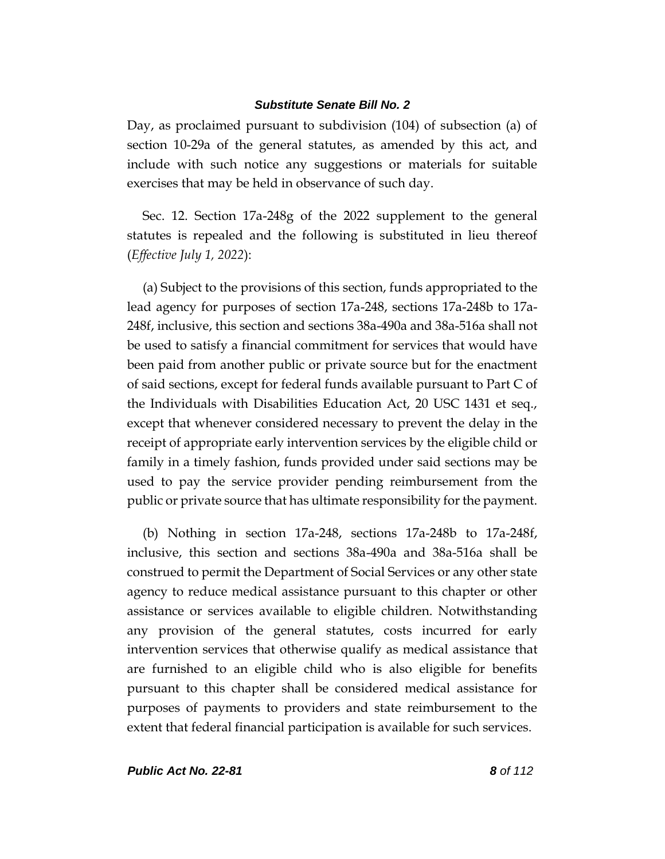Day, as proclaimed pursuant to subdivision (104) of subsection (a) of section 10-29a of the general statutes, as amended by this act, and include with such notice any suggestions or materials for suitable exercises that may be held in observance of such day.

Sec. 12. Section 17a-248g of the 2022 supplement to the general statutes is repealed and the following is substituted in lieu thereof (*Effective July 1, 2022*):

(a) Subject to the provisions of this section, funds appropriated to the lead agency for purposes of section 17a-248, sections 17a-248b to 17a-248f, inclusive, this section and sections 38a-490a and 38a-516a shall not be used to satisfy a financial commitment for services that would have been paid from another public or private source but for the enactment of said sections, except for federal funds available pursuant to Part C of the Individuals with Disabilities Education Act, 20 USC 1431 et seq., except that whenever considered necessary to prevent the delay in the receipt of appropriate early intervention services by the eligible child or family in a timely fashion, funds provided under said sections may be used to pay the service provider pending reimbursement from the public or private source that has ultimate responsibility for the payment.

(b) Nothing in section 17a-248, sections 17a-248b to 17a-248f, inclusive, this section and sections 38a-490a and 38a-516a shall be construed to permit the Department of Social Services or any other state agency to reduce medical assistance pursuant to this chapter or other assistance or services available to eligible children. Notwithstanding any provision of the general statutes, costs incurred for early intervention services that otherwise qualify as medical assistance that are furnished to an eligible child who is also eligible for benefits pursuant to this chapter shall be considered medical assistance for purposes of payments to providers and state reimbursement to the extent that federal financial participation is available for such services.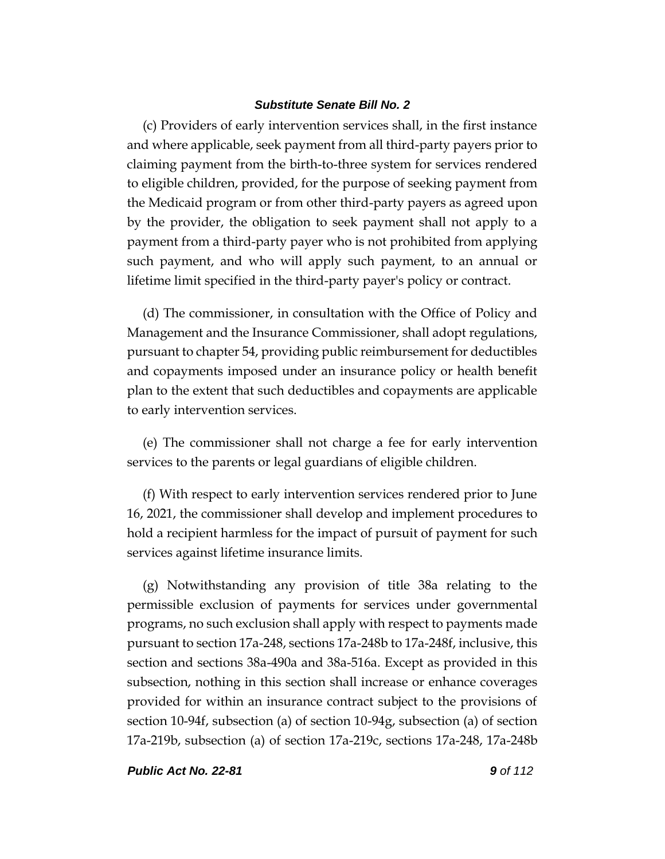(c) Providers of early intervention services shall, in the first instance and where applicable, seek payment from all third-party payers prior to claiming payment from the birth-to-three system for services rendered to eligible children, provided, for the purpose of seeking payment from the Medicaid program or from other third-party payers as agreed upon by the provider, the obligation to seek payment shall not apply to a payment from a third-party payer who is not prohibited from applying such payment, and who will apply such payment, to an annual or lifetime limit specified in the third-party payer's policy or contract.

(d) The commissioner, in consultation with the Office of Policy and Management and the Insurance Commissioner, shall adopt regulations, pursuant to chapter 54, providing public reimbursement for deductibles and copayments imposed under an insurance policy or health benefit plan to the extent that such deductibles and copayments are applicable to early intervention services.

(e) The commissioner shall not charge a fee for early intervention services to the parents or legal guardians of eligible children.

(f) With respect to early intervention services rendered prior to June 16, 2021, the commissioner shall develop and implement procedures to hold a recipient harmless for the impact of pursuit of payment for such services against lifetime insurance limits.

(g) Notwithstanding any provision of title 38a relating to the permissible exclusion of payments for services under governmental programs, no such exclusion shall apply with respect to payments made pursuant to section 17a-248, sections 17a-248b to 17a-248f, inclusive, this section and sections 38a-490a and 38a-516a. Except as provided in this subsection, nothing in this section shall increase or enhance coverages provided for within an insurance contract subject to the provisions of section 10-94f, subsection (a) of section 10-94g, subsection (a) of section 17a-219b, subsection (a) of section 17a-219c, sections 17a-248, 17a-248b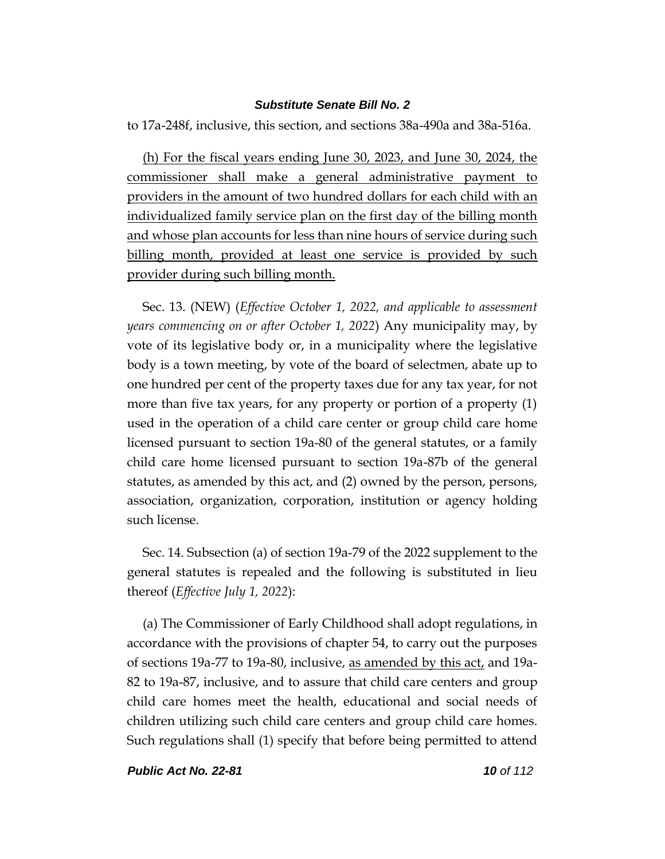to 17a-248f, inclusive, this section, and sections 38a-490a and 38a-516a.

(h) For the fiscal years ending June 30, 2023, and June 30, 2024, the commissioner shall make a general administrative payment to providers in the amount of two hundred dollars for each child with an individualized family service plan on the first day of the billing month and whose plan accounts for less than nine hours of service during such billing month, provided at least one service is provided by such provider during such billing month.

Sec. 13. (NEW) (*Effective October 1, 2022, and applicable to assessment years commencing on or after October 1, 2022*) Any municipality may, by vote of its legislative body or, in a municipality where the legislative body is a town meeting, by vote of the board of selectmen, abate up to one hundred per cent of the property taxes due for any tax year, for not more than five tax years, for any property or portion of a property (1) used in the operation of a child care center or group child care home licensed pursuant to section 19a-80 of the general statutes, or a family child care home licensed pursuant to section 19a-87b of the general statutes, as amended by this act, and (2) owned by the person, persons, association, organization, corporation, institution or agency holding such license.

Sec. 14. Subsection (a) of section 19a-79 of the 2022 supplement to the general statutes is repealed and the following is substituted in lieu thereof (*Effective July 1, 2022*):

(a) The Commissioner of Early Childhood shall adopt regulations, in accordance with the provisions of chapter 54, to carry out the purposes of sections 19a-77 to 19a-80, inclusive, as amended by this act, and 19a-82 to 19a-87, inclusive, and to assure that child care centers and group child care homes meet the health, educational and social needs of children utilizing such child care centers and group child care homes. Such regulations shall (1) specify that before being permitted to attend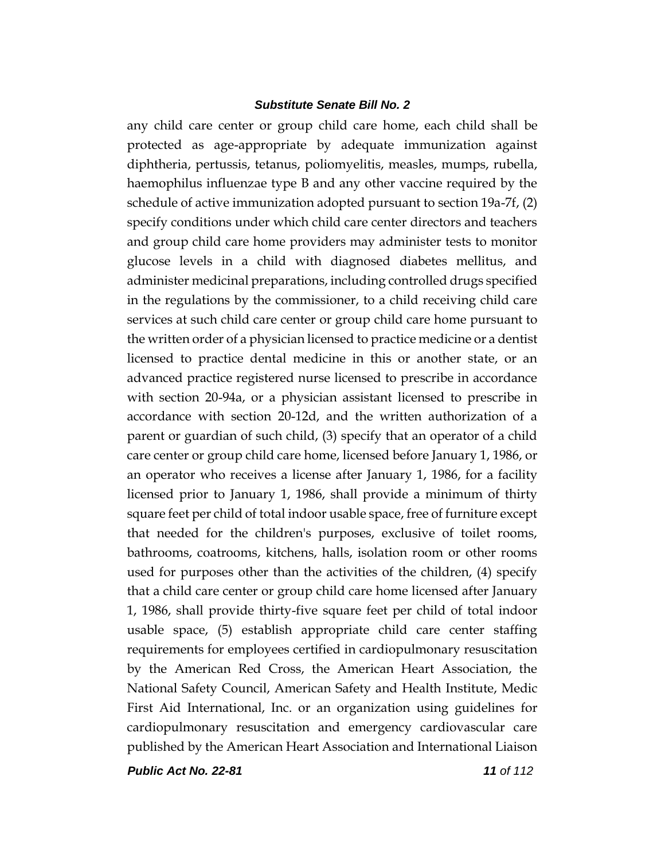any child care center or group child care home, each child shall be protected as age-appropriate by adequate immunization against diphtheria, pertussis, tetanus, poliomyelitis, measles, mumps, rubella, haemophilus influenzae type B and any other vaccine required by the schedule of active immunization adopted pursuant to section 19a-7f, (2) specify conditions under which child care center directors and teachers and group child care home providers may administer tests to monitor glucose levels in a child with diagnosed diabetes mellitus, and administer medicinal preparations, including controlled drugs specified in the regulations by the commissioner, to a child receiving child care services at such child care center or group child care home pursuant to the written order of a physician licensed to practice medicine or a dentist licensed to practice dental medicine in this or another state, or an advanced practice registered nurse licensed to prescribe in accordance with section 20-94a, or a physician assistant licensed to prescribe in accordance with section 20-12d, and the written authorization of a parent or guardian of such child, (3) specify that an operator of a child care center or group child care home, licensed before January 1, 1986, or an operator who receives a license after January 1, 1986, for a facility licensed prior to January 1, 1986, shall provide a minimum of thirty square feet per child of total indoor usable space, free of furniture except that needed for the children's purposes, exclusive of toilet rooms, bathrooms, coatrooms, kitchens, halls, isolation room or other rooms used for purposes other than the activities of the children, (4) specify that a child care center or group child care home licensed after January 1, 1986, shall provide thirty-five square feet per child of total indoor usable space, (5) establish appropriate child care center staffing requirements for employees certified in cardiopulmonary resuscitation by the American Red Cross, the American Heart Association, the National Safety Council, American Safety and Health Institute, Medic First Aid International, Inc. or an organization using guidelines for cardiopulmonary resuscitation and emergency cardiovascular care published by the American Heart Association and International Liaison

*Public Act No. 22-81 11 of 112*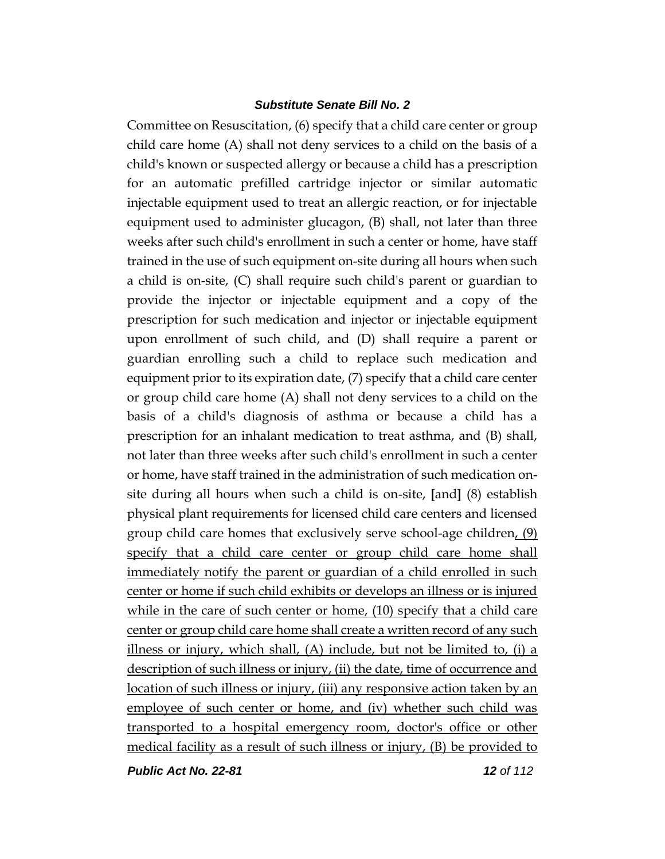Committee on Resuscitation, (6) specify that a child care center or group child care home (A) shall not deny services to a child on the basis of a child's known or suspected allergy or because a child has a prescription for an automatic prefilled cartridge injector or similar automatic injectable equipment used to treat an allergic reaction, or for injectable equipment used to administer glucagon, (B) shall, not later than three weeks after such child's enrollment in such a center or home, have staff trained in the use of such equipment on-site during all hours when such a child is on-site, (C) shall require such child's parent or guardian to provide the injector or injectable equipment and a copy of the prescription for such medication and injector or injectable equipment upon enrollment of such child, and (D) shall require a parent or guardian enrolling such a child to replace such medication and equipment prior to its expiration date, (7) specify that a child care center or group child care home (A) shall not deny services to a child on the basis of a child's diagnosis of asthma or because a child has a prescription for an inhalant medication to treat asthma, and (B) shall, not later than three weeks after such child's enrollment in such a center or home, have staff trained in the administration of such medication onsite during all hours when such a child is on-site, **[**and**]** (8) establish physical plant requirements for licensed child care centers and licensed group child care homes that exclusively serve school-age children, (9) specify that a child care center or group child care home shall immediately notify the parent or guardian of a child enrolled in such center or home if such child exhibits or develops an illness or is injured while in the care of such center or home, (10) specify that a child care center or group child care home shall create a written record of any such illness or injury, which shall,  $(A)$  include, but not be limited to, (i) a description of such illness or injury, (ii) the date, time of occurrence and location of such illness or injury, (iii) any responsive action taken by an employee of such center or home, and (iv) whether such child was transported to a hospital emergency room, doctor's office or other medical facility as a result of such illness or injury, (B) be provided to

*Public Act No. 22-81 12 of 112*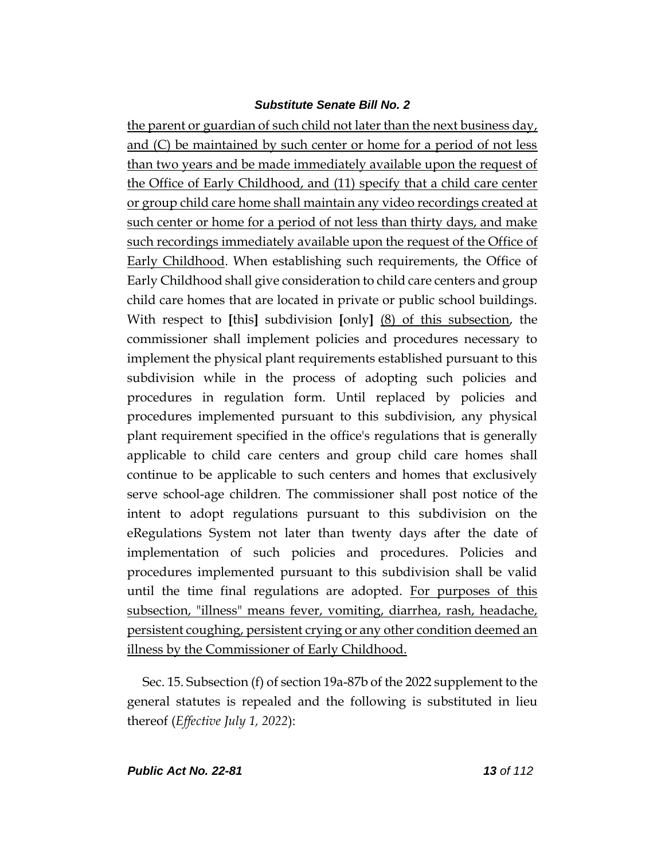the parent or guardian of such child not later than the next business day, and (C) be maintained by such center or home for a period of not less than two years and be made immediately available upon the request of the Office of Early Childhood, and (11) specify that a child care center or group child care home shall maintain any video recordings created at such center or home for a period of not less than thirty days, and make such recordings immediately available upon the request of the Office of Early Childhood. When establishing such requirements, the Office of Early Childhood shall give consideration to child care centers and group child care homes that are located in private or public school buildings. With respect to **[**this**]** subdivision **[**only**]** (8) of this subsection, the commissioner shall implement policies and procedures necessary to implement the physical plant requirements established pursuant to this subdivision while in the process of adopting such policies and procedures in regulation form. Until replaced by policies and procedures implemented pursuant to this subdivision, any physical plant requirement specified in the office's regulations that is generally applicable to child care centers and group child care homes shall continue to be applicable to such centers and homes that exclusively serve school-age children. The commissioner shall post notice of the intent to adopt regulations pursuant to this subdivision on the eRegulations System not later than twenty days after the date of implementation of such policies and procedures. Policies and procedures implemented pursuant to this subdivision shall be valid until the time final regulations are adopted. For purposes of this subsection, "illness" means fever, vomiting, diarrhea, rash, headache, persistent coughing, persistent crying or any other condition deemed an illness by the Commissioner of Early Childhood.

Sec. 15. Subsection (f) of section 19a-87b of the 2022 supplement to the general statutes is repealed and the following is substituted in lieu thereof (*Effective July 1, 2022*):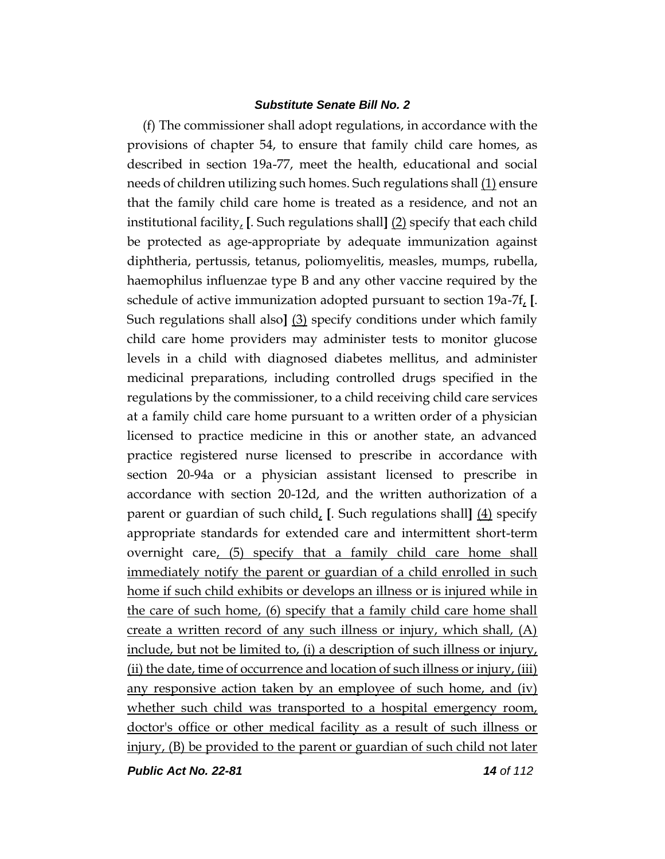(f) The commissioner shall adopt regulations, in accordance with the provisions of chapter 54, to ensure that family child care homes, as described in section 19a-77, meet the health, educational and social needs of children utilizing such homes. Such regulations shall (1) ensure that the family child care home is treated as a residence, and not an institutional facility, **[**. Such regulations shall**]** (2) specify that each child be protected as age-appropriate by adequate immunization against diphtheria, pertussis, tetanus, poliomyelitis, measles, mumps, rubella, haemophilus influenzae type B and any other vaccine required by the schedule of active immunization adopted pursuant to section 19a-7f, **[**. Such regulations shall also**]** (3) specify conditions under which family child care home providers may administer tests to monitor glucose levels in a child with diagnosed diabetes mellitus, and administer medicinal preparations, including controlled drugs specified in the regulations by the commissioner, to a child receiving child care services at a family child care home pursuant to a written order of a physician licensed to practice medicine in this or another state, an advanced practice registered nurse licensed to prescribe in accordance with section 20-94a or a physician assistant licensed to prescribe in accordance with section 20-12d, and the written authorization of a parent or guardian of such child, **[**. Such regulations shall**]** (4) specify appropriate standards for extended care and intermittent short-term overnight care, (5) specify that a family child care home shall immediately notify the parent or guardian of a child enrolled in such home if such child exhibits or develops an illness or is injured while in the care of such home, (6) specify that a family child care home shall create a written record of any such illness or injury, which shall, (A) include, but not be limited to, (i) a description of such illness or injury, (ii) the date, time of occurrence and location of such illness or injury, (iii) any responsive action taken by an employee of such home, and (iv) whether such child was transported to a hospital emergency room, doctor's office or other medical facility as a result of such illness or injury, (B) be provided to the parent or guardian of such child not later

*Public Act No. 22-81 14 of 112*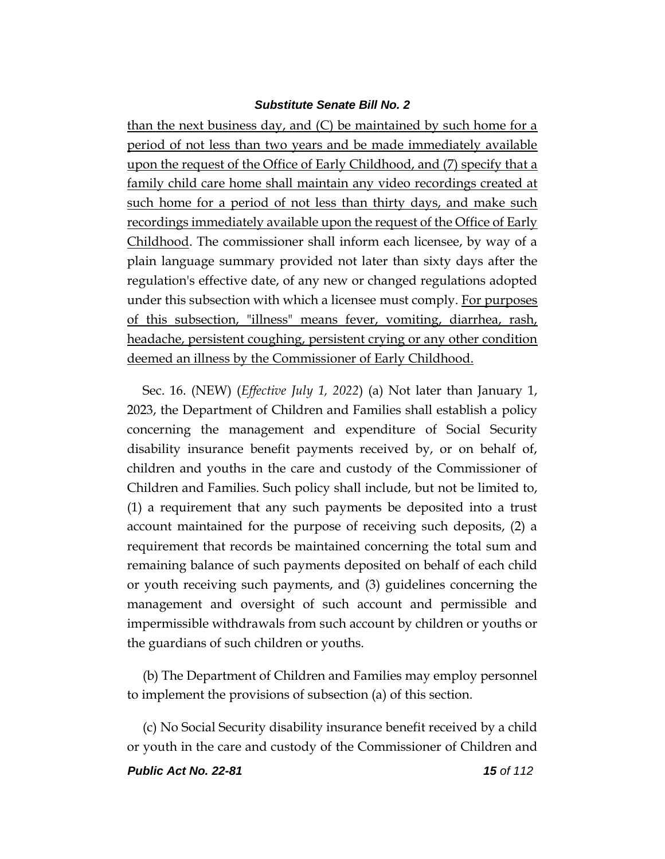than the next business day, and (C) be maintained by such home for a period of not less than two years and be made immediately available upon the request of the Office of Early Childhood, and (7) specify that a family child care home shall maintain any video recordings created at such home for a period of not less than thirty days, and make such recordings immediately available upon the request of the Office of Early Childhood. The commissioner shall inform each licensee, by way of a plain language summary provided not later than sixty days after the regulation's effective date, of any new or changed regulations adopted under this subsection with which a licensee must comply. For purposes of this subsection, "illness" means fever, vomiting, diarrhea, rash, headache, persistent coughing, persistent crying or any other condition deemed an illness by the Commissioner of Early Childhood.

Sec. 16. (NEW) (*Effective July 1, 2022*) (a) Not later than January 1, 2023, the Department of Children and Families shall establish a policy concerning the management and expenditure of Social Security disability insurance benefit payments received by, or on behalf of, children and youths in the care and custody of the Commissioner of Children and Families. Such policy shall include, but not be limited to, (1) a requirement that any such payments be deposited into a trust account maintained for the purpose of receiving such deposits, (2) a requirement that records be maintained concerning the total sum and remaining balance of such payments deposited on behalf of each child or youth receiving such payments, and (3) guidelines concerning the management and oversight of such account and permissible and impermissible withdrawals from such account by children or youths or the guardians of such children or youths.

(b) The Department of Children and Families may employ personnel to implement the provisions of subsection (a) of this section.

(c) No Social Security disability insurance benefit received by a child or youth in the care and custody of the Commissioner of Children and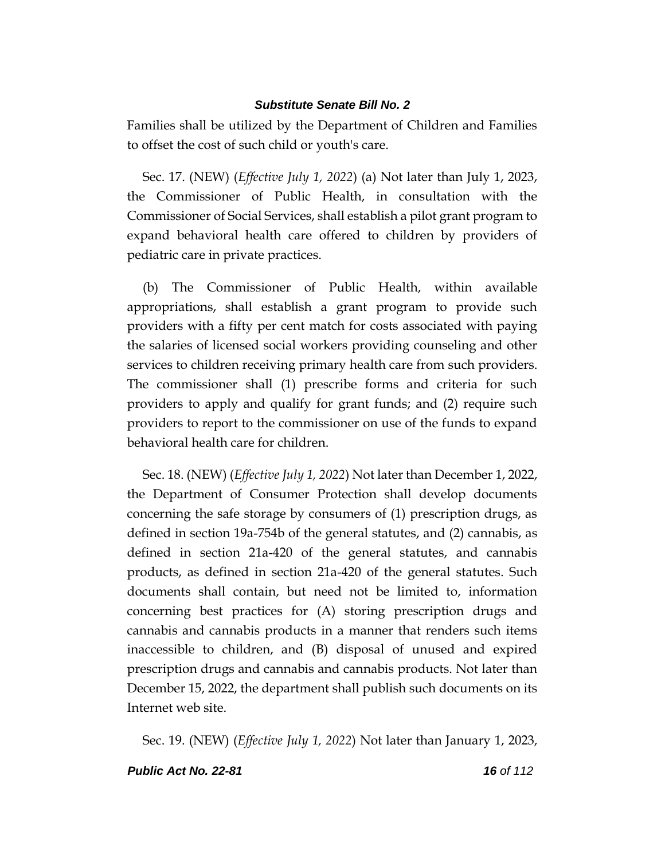Families shall be utilized by the Department of Children and Families to offset the cost of such child or youth's care.

Sec. 17. (NEW) (*Effective July 1, 2022*) (a) Not later than July 1, 2023, the Commissioner of Public Health, in consultation with the Commissioner of Social Services, shall establish a pilot grant program to expand behavioral health care offered to children by providers of pediatric care in private practices.

(b) The Commissioner of Public Health, within available appropriations, shall establish a grant program to provide such providers with a fifty per cent match for costs associated with paying the salaries of licensed social workers providing counseling and other services to children receiving primary health care from such providers. The commissioner shall (1) prescribe forms and criteria for such providers to apply and qualify for grant funds; and (2) require such providers to report to the commissioner on use of the funds to expand behavioral health care for children.

Sec. 18. (NEW) (*Effective July 1, 2022*) Not later than December 1, 2022, the Department of Consumer Protection shall develop documents concerning the safe storage by consumers of (1) prescription drugs, as defined in section 19a-754b of the general statutes, and (2) cannabis, as defined in section 21a-420 of the general statutes, and cannabis products, as defined in section 21a-420 of the general statutes. Such documents shall contain, but need not be limited to, information concerning best practices for (A) storing prescription drugs and cannabis and cannabis products in a manner that renders such items inaccessible to children, and (B) disposal of unused and expired prescription drugs and cannabis and cannabis products. Not later than December 15, 2022, the department shall publish such documents on its Internet web site.

Sec. 19. (NEW) (*Effective July 1, 2022*) Not later than January 1, 2023,

### *Public Act No. 22-81 16 of 112*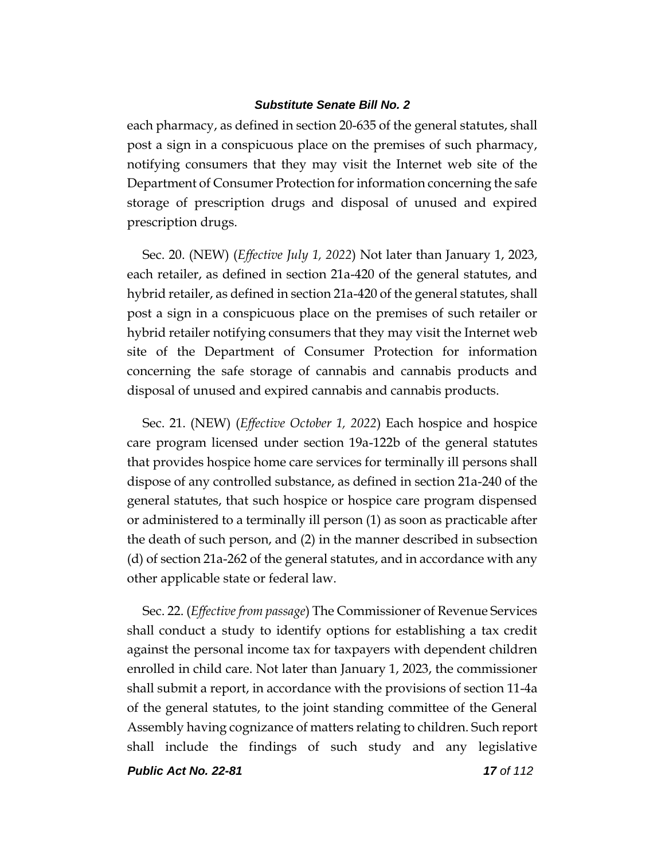each pharmacy, as defined in section 20-635 of the general statutes, shall post a sign in a conspicuous place on the premises of such pharmacy, notifying consumers that they may visit the Internet web site of the Department of Consumer Protection for information concerning the safe storage of prescription drugs and disposal of unused and expired prescription drugs.

Sec. 20. (NEW) (*Effective July 1, 2022*) Not later than January 1, 2023, each retailer, as defined in section 21a-420 of the general statutes, and hybrid retailer, as defined in section 21a-420 of the general statutes, shall post a sign in a conspicuous place on the premises of such retailer or hybrid retailer notifying consumers that they may visit the Internet web site of the Department of Consumer Protection for information concerning the safe storage of cannabis and cannabis products and disposal of unused and expired cannabis and cannabis products.

Sec. 21. (NEW) (*Effective October 1, 2022*) Each hospice and hospice care program licensed under section 19a-122b of the general statutes that provides hospice home care services for terminally ill persons shall dispose of any controlled substance, as defined in section 21a-240 of the general statutes, that such hospice or hospice care program dispensed or administered to a terminally ill person (1) as soon as practicable after the death of such person, and (2) in the manner described in subsection (d) of section 21a-262 of the general statutes, and in accordance with any other applicable state or federal law.

Sec. 22. (*Effective from passage*) The Commissioner of Revenue Services shall conduct a study to identify options for establishing a tax credit against the personal income tax for taxpayers with dependent children enrolled in child care. Not later than January 1, 2023, the commissioner shall submit a report, in accordance with the provisions of section 11-4a of the general statutes, to the joint standing committee of the General Assembly having cognizance of matters relating to children. Such report shall include the findings of such study and any legislative

*Public Act No. 22-81 17 of 112*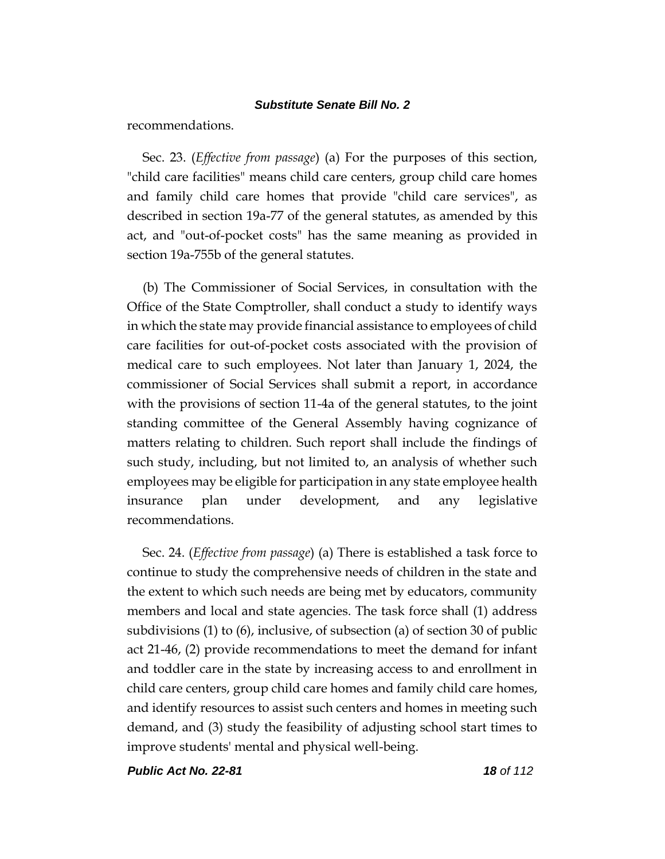recommendations.

Sec. 23. (*Effective from passage*) (a) For the purposes of this section, "child care facilities" means child care centers, group child care homes and family child care homes that provide "child care services", as described in section 19a-77 of the general statutes, as amended by this act, and "out-of-pocket costs" has the same meaning as provided in section 19a-755b of the general statutes.

(b) The Commissioner of Social Services, in consultation with the Office of the State Comptroller, shall conduct a study to identify ways in which the state may provide financial assistance to employees of child care facilities for out-of-pocket costs associated with the provision of medical care to such employees. Not later than January 1, 2024, the commissioner of Social Services shall submit a report, in accordance with the provisions of section 11-4a of the general statutes, to the joint standing committee of the General Assembly having cognizance of matters relating to children. Such report shall include the findings of such study, including, but not limited to, an analysis of whether such employees may be eligible for participation in any state employee health insurance plan under development, and any legislative recommendations.

Sec. 24. (*Effective from passage*) (a) There is established a task force to continue to study the comprehensive needs of children in the state and the extent to which such needs are being met by educators, community members and local and state agencies. The task force shall (1) address subdivisions (1) to (6), inclusive, of subsection (a) of section 30 of public act 21-46, (2) provide recommendations to meet the demand for infant and toddler care in the state by increasing access to and enrollment in child care centers, group child care homes and family child care homes, and identify resources to assist such centers and homes in meeting such demand, and (3) study the feasibility of adjusting school start times to improve students' mental and physical well-being.

*Public Act No. 22-81 18 of 112*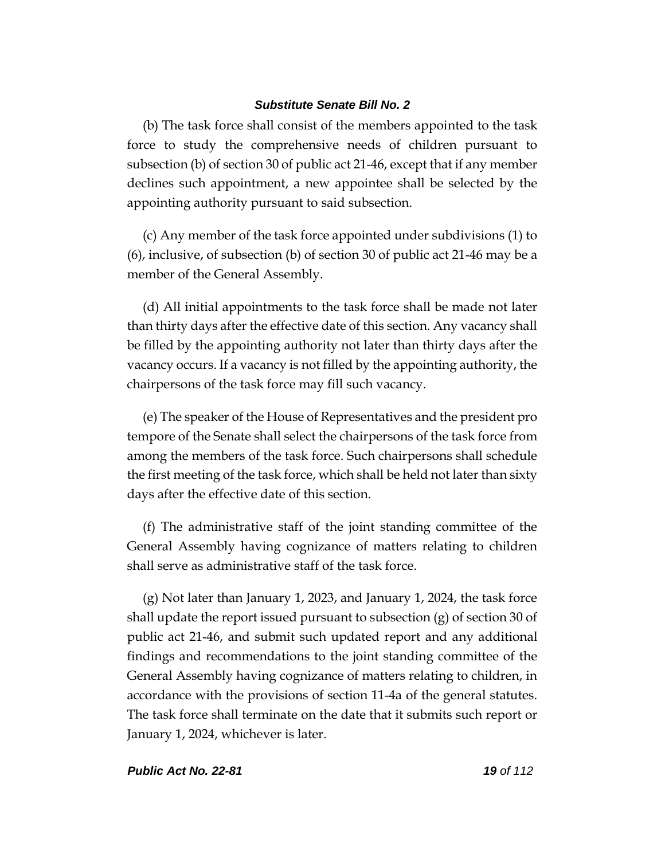(b) The task force shall consist of the members appointed to the task force to study the comprehensive needs of children pursuant to subsection (b) of section 30 of public act 21-46, except that if any member declines such appointment, a new appointee shall be selected by the appointing authority pursuant to said subsection.

(c) Any member of the task force appointed under subdivisions (1) to (6), inclusive, of subsection (b) of section 30 of public act 21-46 may be a member of the General Assembly.

(d) All initial appointments to the task force shall be made not later than thirty days after the effective date of this section. Any vacancy shall be filled by the appointing authority not later than thirty days after the vacancy occurs. If a vacancy is not filled by the appointing authority, the chairpersons of the task force may fill such vacancy.

(e) The speaker of the House of Representatives and the president pro tempore of the Senate shall select the chairpersons of the task force from among the members of the task force. Such chairpersons shall schedule the first meeting of the task force, which shall be held not later than sixty days after the effective date of this section.

(f) The administrative staff of the joint standing committee of the General Assembly having cognizance of matters relating to children shall serve as administrative staff of the task force.

(g) Not later than January 1, 2023, and January 1, 2024, the task force shall update the report issued pursuant to subsection (g) of section 30 of public act 21-46, and submit such updated report and any additional findings and recommendations to the joint standing committee of the General Assembly having cognizance of matters relating to children, in accordance with the provisions of section 11-4a of the general statutes. The task force shall terminate on the date that it submits such report or January 1, 2024, whichever is later.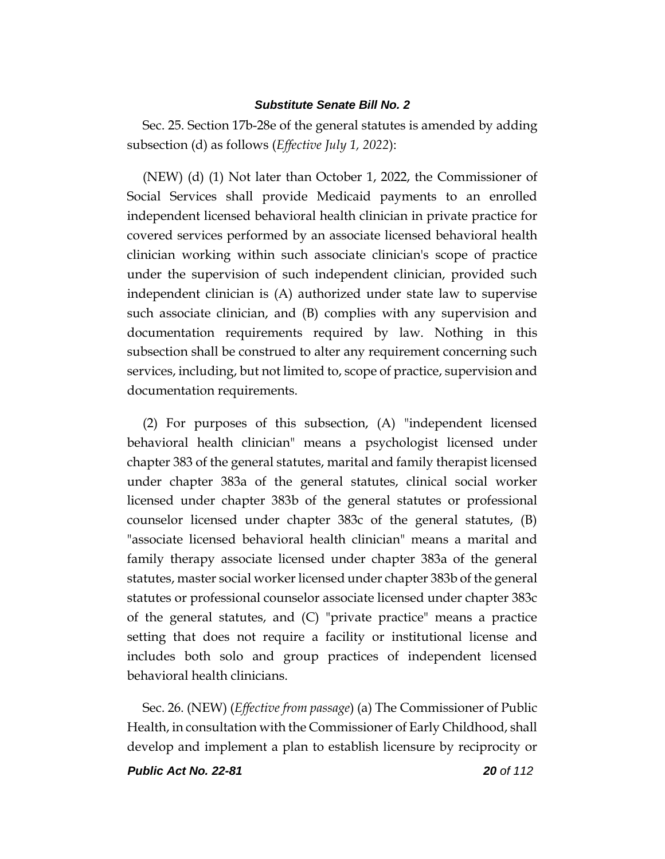Sec. 25. Section 17b-28e of the general statutes is amended by adding subsection (d) as follows (*Effective July 1, 2022*):

(NEW) (d) (1) Not later than October 1, 2022, the Commissioner of Social Services shall provide Medicaid payments to an enrolled independent licensed behavioral health clinician in private practice for covered services performed by an associate licensed behavioral health clinician working within such associate clinician's scope of practice under the supervision of such independent clinician, provided such independent clinician is (A) authorized under state law to supervise such associate clinician, and (B) complies with any supervision and documentation requirements required by law. Nothing in this subsection shall be construed to alter any requirement concerning such services, including, but not limited to, scope of practice, supervision and documentation requirements.

(2) For purposes of this subsection, (A) "independent licensed behavioral health clinician" means a psychologist licensed under chapter 383 of the general statutes, marital and family therapist licensed under chapter 383a of the general statutes, clinical social worker licensed under chapter 383b of the general statutes or professional counselor licensed under chapter 383c of the general statutes, (B) "associate licensed behavioral health clinician" means a marital and family therapy associate licensed under chapter 383a of the general statutes, master social worker licensed under chapter 383b of the general statutes or professional counselor associate licensed under chapter 383c of the general statutes, and (C) "private practice" means a practice setting that does not require a facility or institutional license and includes both solo and group practices of independent licensed behavioral health clinicians.

Sec. 26. (NEW) (*Effective from passage*) (a) The Commissioner of Public Health, in consultation with the Commissioner of Early Childhood, shall develop and implement a plan to establish licensure by reciprocity or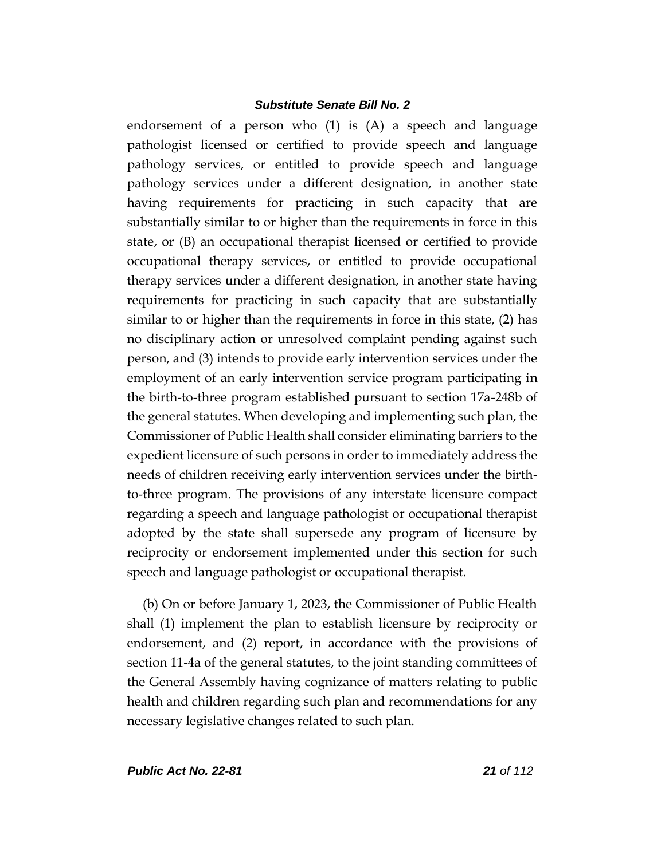endorsement of a person who (1) is (A) a speech and language pathologist licensed or certified to provide speech and language pathology services, or entitled to provide speech and language pathology services under a different designation, in another state having requirements for practicing in such capacity that are substantially similar to or higher than the requirements in force in this state, or (B) an occupational therapist licensed or certified to provide occupational therapy services, or entitled to provide occupational therapy services under a different designation, in another state having requirements for practicing in such capacity that are substantially similar to or higher than the requirements in force in this state, (2) has no disciplinary action or unresolved complaint pending against such person, and (3) intends to provide early intervention services under the employment of an early intervention service program participating in the birth-to-three program established pursuant to section 17a-248b of the general statutes. When developing and implementing such plan, the Commissioner of Public Health shall consider eliminating barriers to the expedient licensure of such persons in order to immediately address the needs of children receiving early intervention services under the birthto-three program. The provisions of any interstate licensure compact regarding a speech and language pathologist or occupational therapist adopted by the state shall supersede any program of licensure by reciprocity or endorsement implemented under this section for such speech and language pathologist or occupational therapist.

(b) On or before January 1, 2023, the Commissioner of Public Health shall (1) implement the plan to establish licensure by reciprocity or endorsement, and (2) report, in accordance with the provisions of section 11-4a of the general statutes, to the joint standing committees of the General Assembly having cognizance of matters relating to public health and children regarding such plan and recommendations for any necessary legislative changes related to such plan.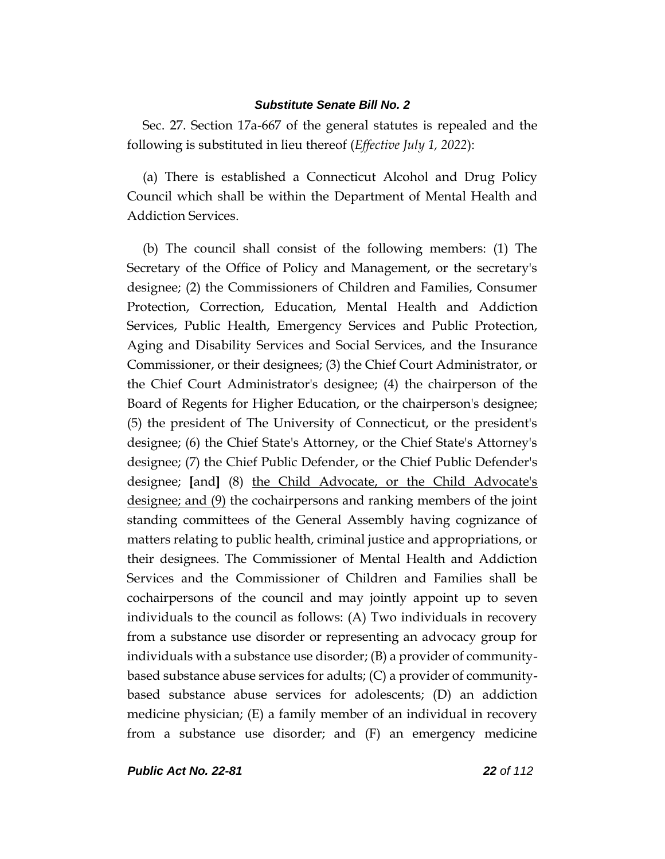Sec. 27. Section 17a-667 of the general statutes is repealed and the following is substituted in lieu thereof (*Effective July 1, 2022*):

(a) There is established a Connecticut Alcohol and Drug Policy Council which shall be within the Department of Mental Health and Addiction Services.

(b) The council shall consist of the following members: (1) The Secretary of the Office of Policy and Management, or the secretary's designee; (2) the Commissioners of Children and Families, Consumer Protection, Correction, Education, Mental Health and Addiction Services, Public Health, Emergency Services and Public Protection, Aging and Disability Services and Social Services, and the Insurance Commissioner, or their designees; (3) the Chief Court Administrator, or the Chief Court Administrator's designee; (4) the chairperson of the Board of Regents for Higher Education, or the chairperson's designee; (5) the president of The University of Connecticut, or the president's designee; (6) the Chief State's Attorney, or the Chief State's Attorney's designee; (7) the Chief Public Defender, or the Chief Public Defender's designee; **[**and**]** (8) the Child Advocate, or the Child Advocate's designee; and (9) the cochairpersons and ranking members of the joint standing committees of the General Assembly having cognizance of matters relating to public health, criminal justice and appropriations, or their designees. The Commissioner of Mental Health and Addiction Services and the Commissioner of Children and Families shall be cochairpersons of the council and may jointly appoint up to seven individuals to the council as follows: (A) Two individuals in recovery from a substance use disorder or representing an advocacy group for individuals with a substance use disorder; (B) a provider of communitybased substance abuse services for adults; (C) a provider of communitybased substance abuse services for adolescents; (D) an addiction medicine physician; (E) a family member of an individual in recovery from a substance use disorder; and (F) an emergency medicine

*Public Act No. 22-81 22 of 112*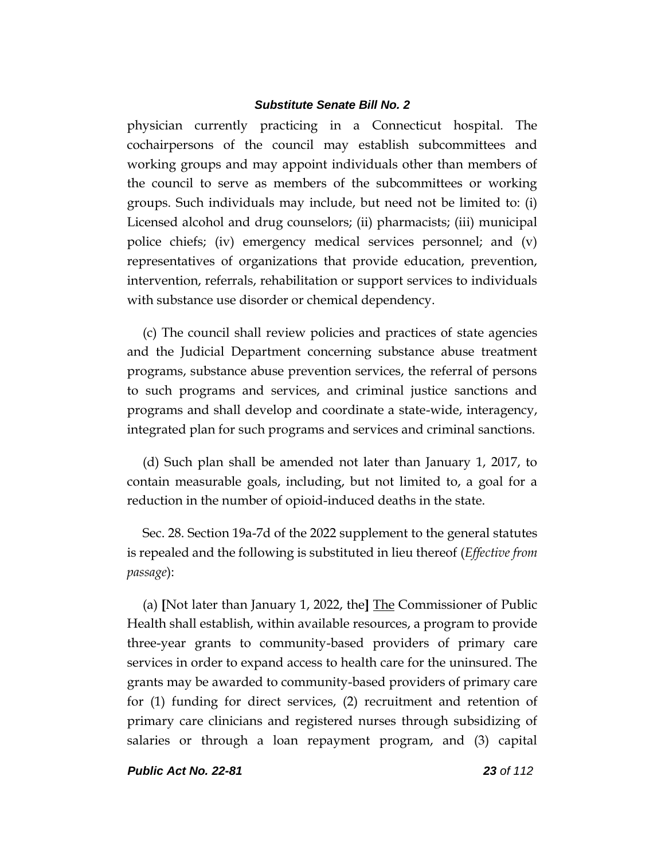physician currently practicing in a Connecticut hospital. The cochairpersons of the council may establish subcommittees and working groups and may appoint individuals other than members of the council to serve as members of the subcommittees or working groups. Such individuals may include, but need not be limited to: (i) Licensed alcohol and drug counselors; (ii) pharmacists; (iii) municipal police chiefs; (iv) emergency medical services personnel; and (v) representatives of organizations that provide education, prevention, intervention, referrals, rehabilitation or support services to individuals with substance use disorder or chemical dependency.

(c) The council shall review policies and practices of state agencies and the Judicial Department concerning substance abuse treatment programs, substance abuse prevention services, the referral of persons to such programs and services, and criminal justice sanctions and programs and shall develop and coordinate a state-wide, interagency, integrated plan for such programs and services and criminal sanctions.

(d) Such plan shall be amended not later than January 1, 2017, to contain measurable goals, including, but not limited to, a goal for a reduction in the number of opioid-induced deaths in the state.

Sec. 28. Section 19a-7d of the 2022 supplement to the general statutes is repealed and the following is substituted in lieu thereof (*Effective from passage*):

(a) **[**Not later than January 1, 2022, the**]** The Commissioner of Public Health shall establish, within available resources, a program to provide three-year grants to community-based providers of primary care services in order to expand access to health care for the uninsured. The grants may be awarded to community-based providers of primary care for (1) funding for direct services, (2) recruitment and retention of primary care clinicians and registered nurses through subsidizing of salaries or through a loan repayment program, and (3) capital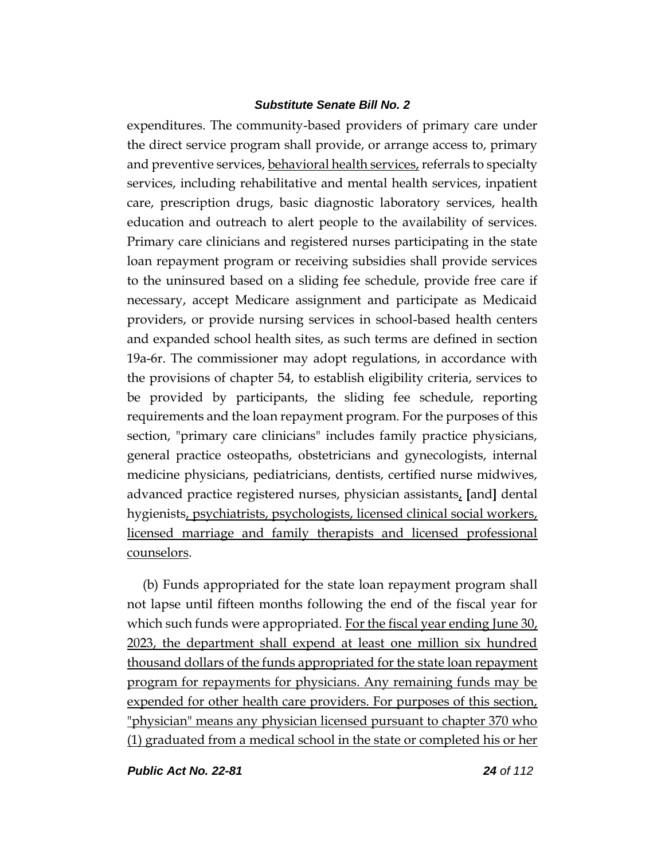expenditures. The community-based providers of primary care under the direct service program shall provide, or arrange access to, primary and preventive services, behavioral health services, referrals to specialty services, including rehabilitative and mental health services, inpatient care, prescription drugs, basic diagnostic laboratory services, health education and outreach to alert people to the availability of services. Primary care clinicians and registered nurses participating in the state loan repayment program or receiving subsidies shall provide services to the uninsured based on a sliding fee schedule, provide free care if necessary, accept Medicare assignment and participate as Medicaid providers, or provide nursing services in school-based health centers and expanded school health sites, as such terms are defined in section 19a-6r. The commissioner may adopt regulations, in accordance with the provisions of chapter 54, to establish eligibility criteria, services to be provided by participants, the sliding fee schedule, reporting requirements and the loan repayment program. For the purposes of this section, "primary care clinicians" includes family practice physicians, general practice osteopaths, obstetricians and gynecologists, internal medicine physicians, pediatricians, dentists, certified nurse midwives, advanced practice registered nurses, physician assistants, **[**and**]** dental hygienists, psychiatrists, psychologists, licensed clinical social workers, licensed marriage and family therapists and licensed professional counselors.

(b) Funds appropriated for the state loan repayment program shall not lapse until fifteen months following the end of the fiscal year for which such funds were appropriated. For the fiscal year ending June 30, 2023, the department shall expend at least one million six hundred thousand dollars of the funds appropriated for the state loan repayment program for repayments for physicians. Any remaining funds may be expended for other health care providers. For purposes of this section, "physician" means any physician licensed pursuant to chapter 370 who (1) graduated from a medical school in the state or completed his or her

*Public Act No. 22-81 24 of 112*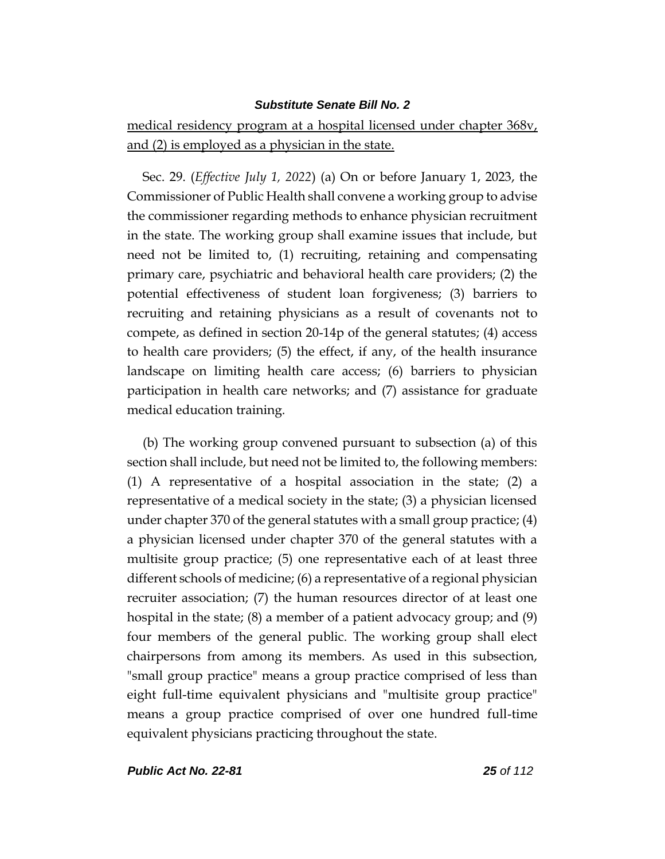medical residency program at a hospital licensed under chapter 368v, and (2) is employed as a physician in the state.

Sec. 29. (*Effective July 1, 2022*) (a) On or before January 1, 2023, the Commissioner of Public Health shall convene a working group to advise the commissioner regarding methods to enhance physician recruitment in the state. The working group shall examine issues that include, but need not be limited to, (1) recruiting, retaining and compensating primary care, psychiatric and behavioral health care providers; (2) the potential effectiveness of student loan forgiveness; (3) barriers to recruiting and retaining physicians as a result of covenants not to compete, as defined in section 20-14p of the general statutes; (4) access to health care providers; (5) the effect, if any, of the health insurance landscape on limiting health care access; (6) barriers to physician participation in health care networks; and (7) assistance for graduate medical education training.

(b) The working group convened pursuant to subsection (a) of this section shall include, but need not be limited to, the following members: (1) A representative of a hospital association in the state; (2) a representative of a medical society in the state; (3) a physician licensed under chapter 370 of the general statutes with a small group practice; (4) a physician licensed under chapter 370 of the general statutes with a multisite group practice; (5) one representative each of at least three different schools of medicine; (6) a representative of a regional physician recruiter association; (7) the human resources director of at least one hospital in the state; (8) a member of a patient advocacy group; and (9) four members of the general public. The working group shall elect chairpersons from among its members. As used in this subsection, "small group practice" means a group practice comprised of less than eight full-time equivalent physicians and "multisite group practice" means a group practice comprised of over one hundred full-time equivalent physicians practicing throughout the state.

*Public Act No. 22-81 25 of 112*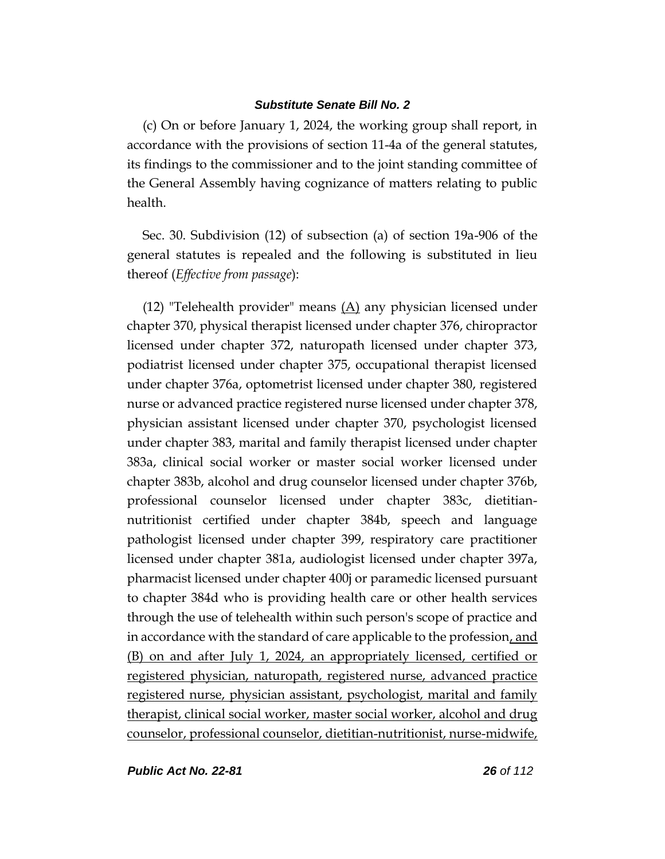(c) On or before January 1, 2024, the working group shall report, in accordance with the provisions of section 11-4a of the general statutes, its findings to the commissioner and to the joint standing committee of the General Assembly having cognizance of matters relating to public health.

Sec. 30. Subdivision (12) of subsection (a) of section 19a-906 of the general statutes is repealed and the following is substituted in lieu thereof (*Effective from passage*):

(12) "Telehealth provider" means  $(A)$  any physician licensed under chapter 370, physical therapist licensed under chapter 376, chiropractor licensed under chapter 372, naturopath licensed under chapter 373, podiatrist licensed under chapter 375, occupational therapist licensed under chapter 376a, optometrist licensed under chapter 380, registered nurse or advanced practice registered nurse licensed under chapter 378, physician assistant licensed under chapter 370, psychologist licensed under chapter 383, marital and family therapist licensed under chapter 383a, clinical social worker or master social worker licensed under chapter 383b, alcohol and drug counselor licensed under chapter 376b, professional counselor licensed under chapter 383c, dietitiannutritionist certified under chapter 384b, speech and language pathologist licensed under chapter 399, respiratory care practitioner licensed under chapter 381a, audiologist licensed under chapter 397a, pharmacist licensed under chapter 400j or paramedic licensed pursuant to chapter 384d who is providing health care or other health services through the use of telehealth within such person's scope of practice and in accordance with the standard of care applicable to the profession, and (B) on and after July 1, 2024, an appropriately licensed, certified or registered physician, naturopath, registered nurse, advanced practice registered nurse, physician assistant, psychologist, marital and family therapist, clinical social worker, master social worker, alcohol and drug counselor, professional counselor, dietitian-nutritionist, nurse-midwife,

*Public Act No. 22-81 26 of 112*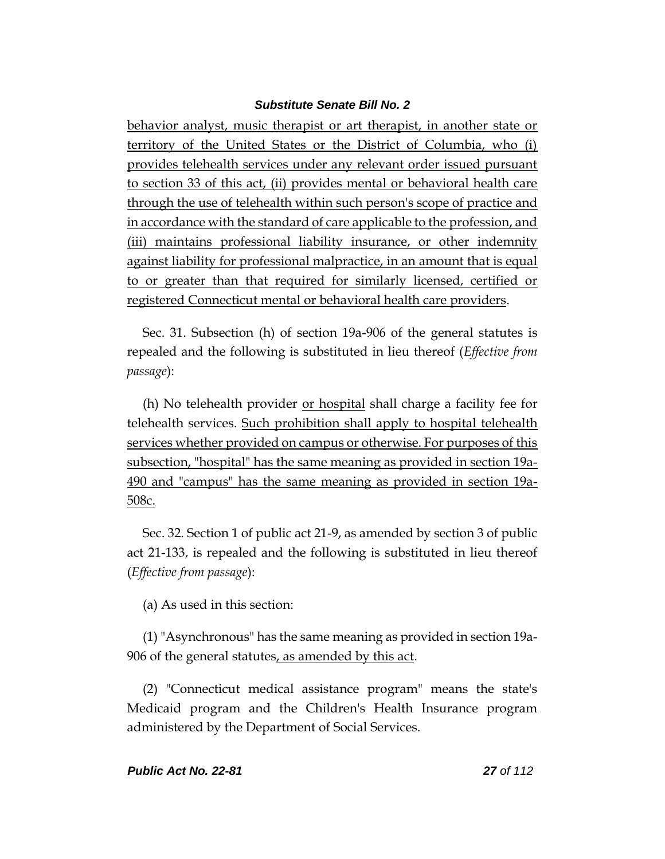behavior analyst, music therapist or art therapist, in another state or territory of the United States or the District of Columbia, who (i) provides telehealth services under any relevant order issued pursuant to section 33 of this act, (ii) provides mental or behavioral health care through the use of telehealth within such person's scope of practice and in accordance with the standard of care applicable to the profession, and (iii) maintains professional liability insurance, or other indemnity against liability for professional malpractice, in an amount that is equal to or greater than that required for similarly licensed, certified or registered Connecticut mental or behavioral health care providers.

Sec. 31. Subsection (h) of section 19a-906 of the general statutes is repealed and the following is substituted in lieu thereof (*Effective from passage*):

(h) No telehealth provider <u>or hospital</u> shall charge a facility fee for telehealth services. Such prohibition shall apply to hospital telehealth services whether provided on campus or otherwise. For purposes of this subsection, "hospital" has the same meaning as provided in section 19a-490 and "campus" has the same meaning as provided in section 19a-508c.

Sec. 32. Section 1 of public act 21-9, as amended by section 3 of public act 21-133, is repealed and the following is substituted in lieu thereof (*Effective from passage*):

(a) As used in this section:

(1) "Asynchronous" has the same meaning as provided in section 19a-906 of the general statutes, as amended by this act.

(2) "Connecticut medical assistance program" means the state's Medicaid program and the Children's Health Insurance program administered by the Department of Social Services.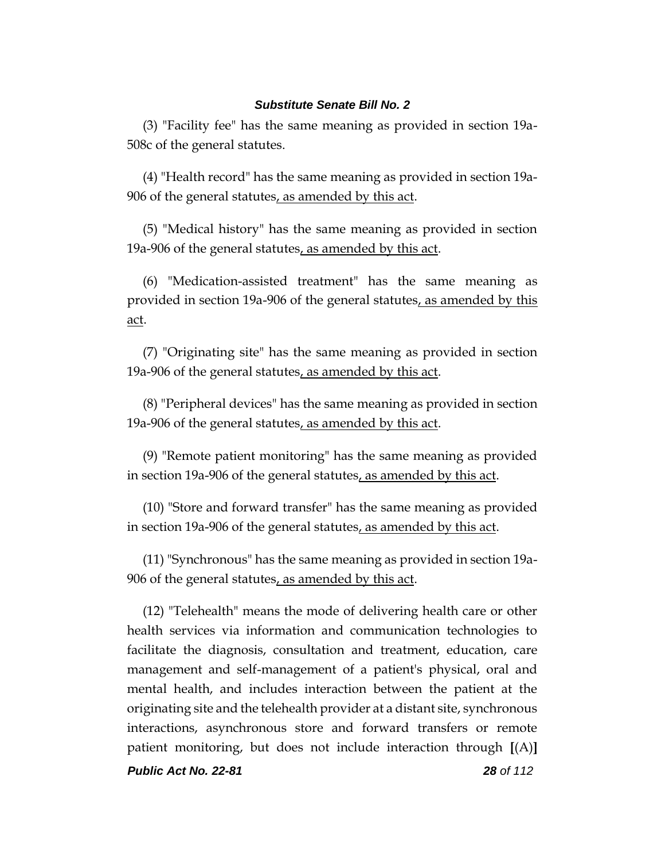(3) "Facility fee" has the same meaning as provided in section 19a-508c of the general statutes.

(4) "Health record" has the same meaning as provided in section 19a-906 of the general statutes, as amended by this act.

(5) "Medical history" has the same meaning as provided in section 19a-906 of the general statutes, as amended by this act.

(6) "Medication-assisted treatment" has the same meaning as provided in section 19a-906 of the general statutes, as amended by this act.

(7) "Originating site" has the same meaning as provided in section 19a-906 of the general statutes, as amended by this act.

(8) "Peripheral devices" has the same meaning as provided in section 19a-906 of the general statutes, as amended by this act.

(9) "Remote patient monitoring" has the same meaning as provided in section 19a-906 of the general statutes, as amended by this act.

(10) "Store and forward transfer" has the same meaning as provided in section 19a-906 of the general statutes, as amended by this act.

(11) "Synchronous" has the same meaning as provided in section 19a-906 of the general statutes, as amended by this act.

(12) "Telehealth" means the mode of delivering health care or other health services via information and communication technologies to facilitate the diagnosis, consultation and treatment, education, care management and self-management of a patient's physical, oral and mental health, and includes interaction between the patient at the originating site and the telehealth provider at a distant site, synchronous interactions, asynchronous store and forward transfers or remote patient monitoring, but does not include interaction through **[**(A)**]**

*Public Act No. 22-81 28 of 112*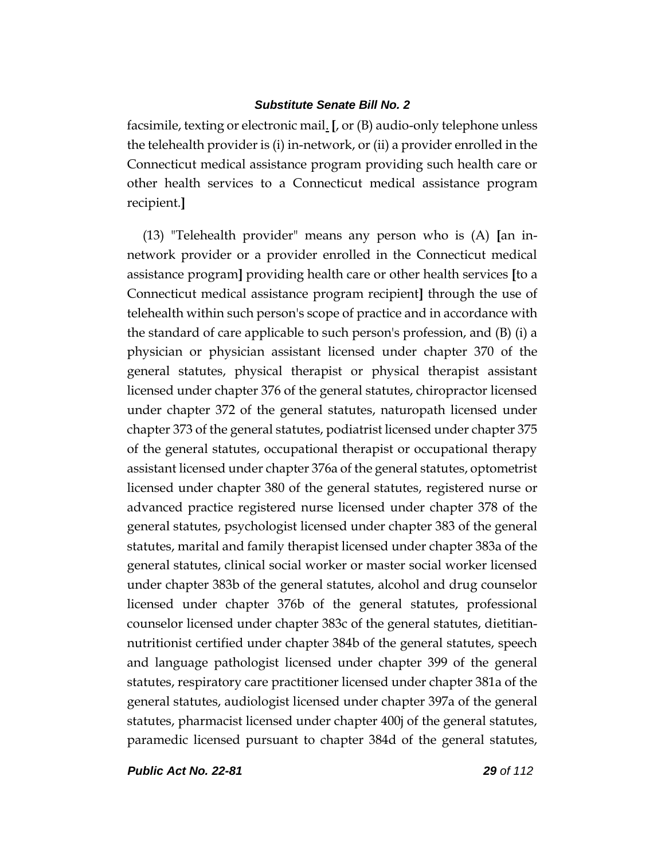facsimile, texting or electronic mail. **[**, or (B) audio-only telephone unless the telehealth provider is (i) in-network, or (ii) a provider enrolled in the Connecticut medical assistance program providing such health care or other health services to a Connecticut medical assistance program recipient.**]**

(13) "Telehealth provider" means any person who is (A) **[**an innetwork provider or a provider enrolled in the Connecticut medical assistance program**]** providing health care or other health services **[**to a Connecticut medical assistance program recipient**]** through the use of telehealth within such person's scope of practice and in accordance with the standard of care applicable to such person's profession, and (B) (i) a physician or physician assistant licensed under chapter 370 of the general statutes, physical therapist or physical therapist assistant licensed under chapter 376 of the general statutes, chiropractor licensed under chapter 372 of the general statutes, naturopath licensed under chapter 373 of the general statutes, podiatrist licensed under chapter 375 of the general statutes, occupational therapist or occupational therapy assistant licensed under chapter 376a of the general statutes, optometrist licensed under chapter 380 of the general statutes, registered nurse or advanced practice registered nurse licensed under chapter 378 of the general statutes, psychologist licensed under chapter 383 of the general statutes, marital and family therapist licensed under chapter 383a of the general statutes, clinical social worker or master social worker licensed under chapter 383b of the general statutes, alcohol and drug counselor licensed under chapter 376b of the general statutes, professional counselor licensed under chapter 383c of the general statutes, dietitiannutritionist certified under chapter 384b of the general statutes, speech and language pathologist licensed under chapter 399 of the general statutes, respiratory care practitioner licensed under chapter 381a of the general statutes, audiologist licensed under chapter 397a of the general statutes, pharmacist licensed under chapter 400j of the general statutes, paramedic licensed pursuant to chapter 384d of the general statutes,

*Public Act No. 22-81 29 of 112*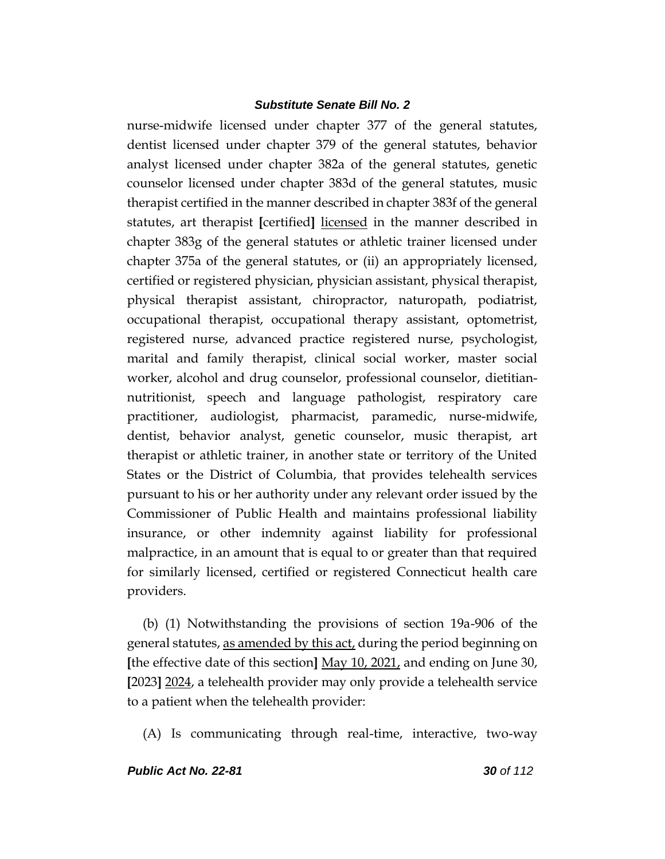nurse-midwife licensed under chapter 377 of the general statutes, dentist licensed under chapter 379 of the general statutes, behavior analyst licensed under chapter 382a of the general statutes, genetic counselor licensed under chapter 383d of the general statutes, music therapist certified in the manner described in chapter 383f of the general statutes, art therapist **[**certified**]** licensed in the manner described in chapter 383g of the general statutes or athletic trainer licensed under chapter 375a of the general statutes, or (ii) an appropriately licensed, certified or registered physician, physician assistant, physical therapist, physical therapist assistant, chiropractor, naturopath, podiatrist, occupational therapist, occupational therapy assistant, optometrist, registered nurse, advanced practice registered nurse, psychologist, marital and family therapist, clinical social worker, master social worker, alcohol and drug counselor, professional counselor, dietitiannutritionist, speech and language pathologist, respiratory care practitioner, audiologist, pharmacist, paramedic, nurse-midwife, dentist, behavior analyst, genetic counselor, music therapist, art therapist or athletic trainer, in another state or territory of the United States or the District of Columbia, that provides telehealth services pursuant to his or her authority under any relevant order issued by the Commissioner of Public Health and maintains professional liability insurance, or other indemnity against liability for professional malpractice, in an amount that is equal to or greater than that required for similarly licensed, certified or registered Connecticut health care providers.

(b) (1) Notwithstanding the provisions of section 19a-906 of the general statutes, as amended by this act, during the period beginning on **[**the effective date of this section**]** May 10, 2021, and ending on June 30, **[**2023**]** 2024, a telehealth provider may only provide a telehealth service to a patient when the telehealth provider:

(A) Is communicating through real-time, interactive, two-way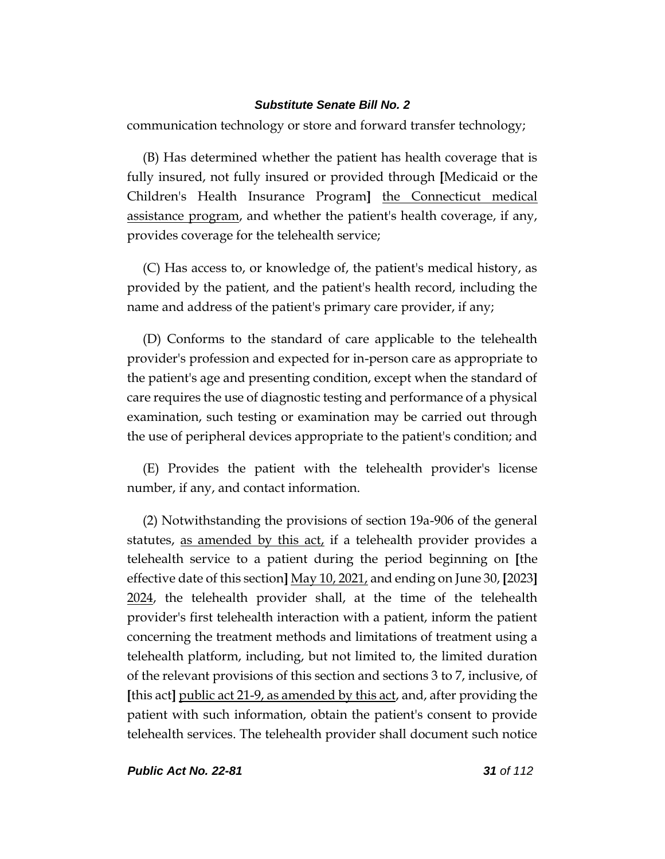communication technology or store and forward transfer technology;

(B) Has determined whether the patient has health coverage that is fully insured, not fully insured or provided through **[**Medicaid or the Children's Health Insurance Program**]** the Connecticut medical assistance program, and whether the patient's health coverage, if any, provides coverage for the telehealth service;

(C) Has access to, or knowledge of, the patient's medical history, as provided by the patient, and the patient's health record, including the name and address of the patient's primary care provider, if any;

(D) Conforms to the standard of care applicable to the telehealth provider's profession and expected for in-person care as appropriate to the patient's age and presenting condition, except when the standard of care requires the use of diagnostic testing and performance of a physical examination, such testing or examination may be carried out through the use of peripheral devices appropriate to the patient's condition; and

(E) Provides the patient with the telehealth provider's license number, if any, and contact information.

(2) Notwithstanding the provisions of section 19a-906 of the general statutes, as amended by this act, if a telehealth provider provides a telehealth service to a patient during the period beginning on **[**the effective date of this section**]** May 10, 2021, and ending on June 30, **[**2023**]** 2024, the telehealth provider shall, at the time of the telehealth provider's first telehealth interaction with a patient, inform the patient concerning the treatment methods and limitations of treatment using a telehealth platform, including, but not limited to, the limited duration of the relevant provisions of this section and sections 3 to 7, inclusive, of **[**this act**]** public act 21-9, as amended by this act, and, after providing the patient with such information, obtain the patient's consent to provide telehealth services. The telehealth provider shall document such notice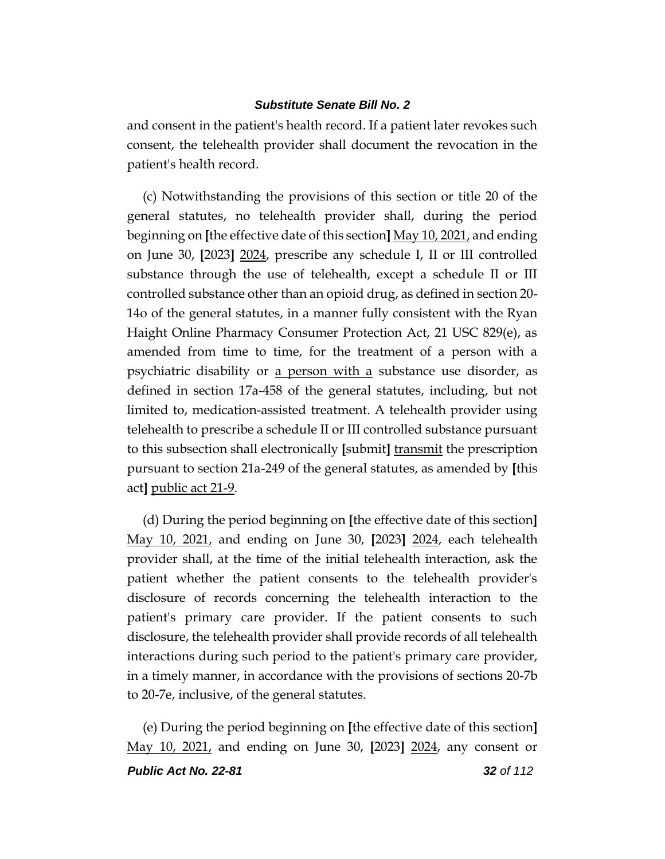and consent in the patient's health record. If a patient later revokes such consent, the telehealth provider shall document the revocation in the patient's health record.

(c) Notwithstanding the provisions of this section or title 20 of the general statutes, no telehealth provider shall, during the period beginning on **[**the effective date of this section**]** May 10, 2021, and ending on June 30, **[**2023**]** 2024, prescribe any schedule I, II or III controlled substance through the use of telehealth, except a schedule II or III controlled substance other than an opioid drug, as defined in section 20- 14o of the general statutes, in a manner fully consistent with the Ryan Haight Online Pharmacy Consumer Protection Act, 21 USC 829(e), as amended from time to time, for the treatment of a person with a psychiatric disability or <u>a person with a</u> substance use disorder, as defined in section 17a-458 of the general statutes, including, but not limited to, medication-assisted treatment. A telehealth provider using telehealth to prescribe a schedule II or III controlled substance pursuant to this subsection shall electronically **[**submit**]** transmit the prescription pursuant to section 21a-249 of the general statutes, as amended by **[**this act**]** public act 21-9.

(d) During the period beginning on **[**the effective date of this section**]** May 10, 2021, and ending on June 30, **[**2023**]** 2024, each telehealth provider shall, at the time of the initial telehealth interaction, ask the patient whether the patient consents to the telehealth provider's disclosure of records concerning the telehealth interaction to the patient's primary care provider. If the patient consents to such disclosure, the telehealth provider shall provide records of all telehealth interactions during such period to the patient's primary care provider, in a timely manner, in accordance with the provisions of sections 20-7b to 20-7e, inclusive, of the general statutes.

(e) During the period beginning on **[**the effective date of this section**]** May 10, 2021, and ending on June 30, **[**2023**]** 2024, any consent or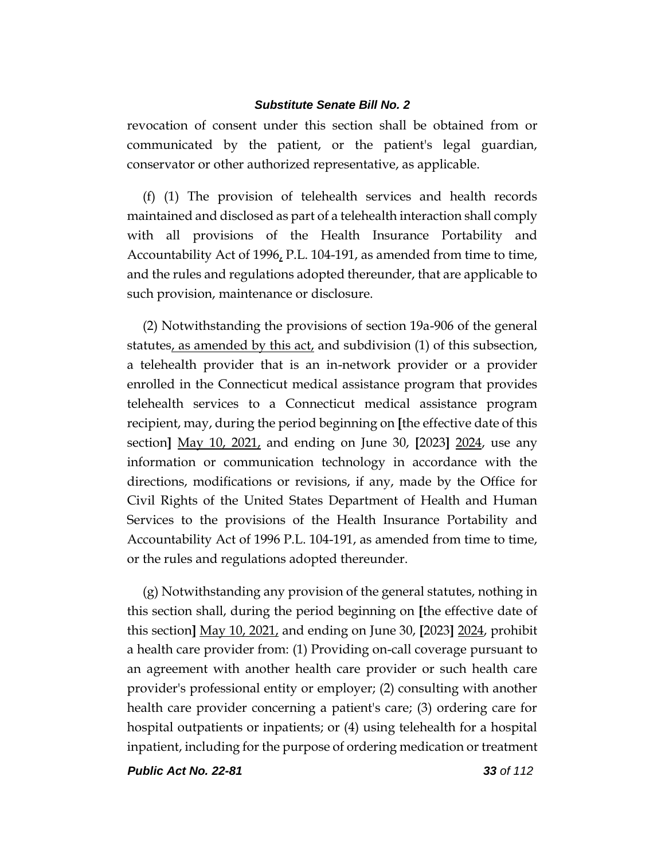revocation of consent under this section shall be obtained from or communicated by the patient, or the patient's legal guardian, conservator or other authorized representative, as applicable.

(f) (1) The provision of telehealth services and health records maintained and disclosed as part of a telehealth interaction shall comply with all provisions of the Health Insurance Portability and Accountability Act of 1996, P.L. 104-191, as amended from time to time, and the rules and regulations adopted thereunder, that are applicable to such provision, maintenance or disclosure.

(2) Notwithstanding the provisions of section 19a-906 of the general statutes, as amended by this act, and subdivision (1) of this subsection, a telehealth provider that is an in-network provider or a provider enrolled in the Connecticut medical assistance program that provides telehealth services to a Connecticut medical assistance program recipient, may, during the period beginning on **[**the effective date of this section**]** May 10, 2021, and ending on June 30, **[**2023**]** 2024, use any information or communication technology in accordance with the directions, modifications or revisions, if any, made by the Office for Civil Rights of the United States Department of Health and Human Services to the provisions of the Health Insurance Portability and Accountability Act of 1996 P.L. 104-191, as amended from time to time, or the rules and regulations adopted thereunder.

(g) Notwithstanding any provision of the general statutes, nothing in this section shall, during the period beginning on **[**the effective date of this section**]** May 10, 2021, and ending on June 30, **[**2023**]** 2024, prohibit a health care provider from: (1) Providing on-call coverage pursuant to an agreement with another health care provider or such health care provider's professional entity or employer; (2) consulting with another health care provider concerning a patient's care; (3) ordering care for hospital outpatients or inpatients; or (4) using telehealth for a hospital inpatient, including for the purpose of ordering medication or treatment

*Public Act No. 22-81 33 of 112*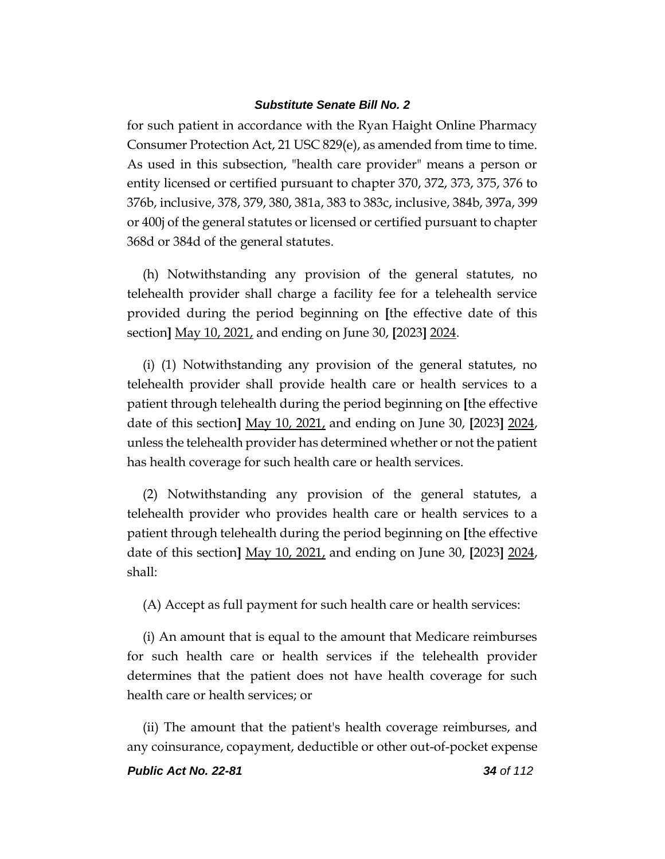for such patient in accordance with the Ryan Haight Online Pharmacy Consumer Protection Act, 21 USC 829(e), as amended from time to time. As used in this subsection, "health care provider" means a person or entity licensed or certified pursuant to chapter 370, 372, 373, 375, 376 to 376b, inclusive, 378, 379, 380, 381a, 383 to 383c, inclusive, 384b, 397a, 399 or 400j of the general statutes or licensed or certified pursuant to chapter 368d or 384d of the general statutes.

(h) Notwithstanding any provision of the general statutes, no telehealth provider shall charge a facility fee for a telehealth service provided during the period beginning on **[**the effective date of this section**]** May 10, 2021, and ending on June 30, **[**2023**]** 2024.

(i) (1) Notwithstanding any provision of the general statutes, no telehealth provider shall provide health care or health services to a patient through telehealth during the period beginning on **[**the effective date of this section**]** May 10, 2021, and ending on June 30, **[**2023**]** 2024, unless the telehealth provider has determined whether or not the patient has health coverage for such health care or health services.

(2) Notwithstanding any provision of the general statutes, a telehealth provider who provides health care or health services to a patient through telehealth during the period beginning on **[**the effective date of this section**]** May 10, 2021, and ending on June 30, **[**2023**]** 2024, shall:

(A) Accept as full payment for such health care or health services:

(i) An amount that is equal to the amount that Medicare reimburses for such health care or health services if the telehealth provider determines that the patient does not have health coverage for such health care or health services; or

(ii) The amount that the patient's health coverage reimburses, and any coinsurance, copayment, deductible or other out-of-pocket expense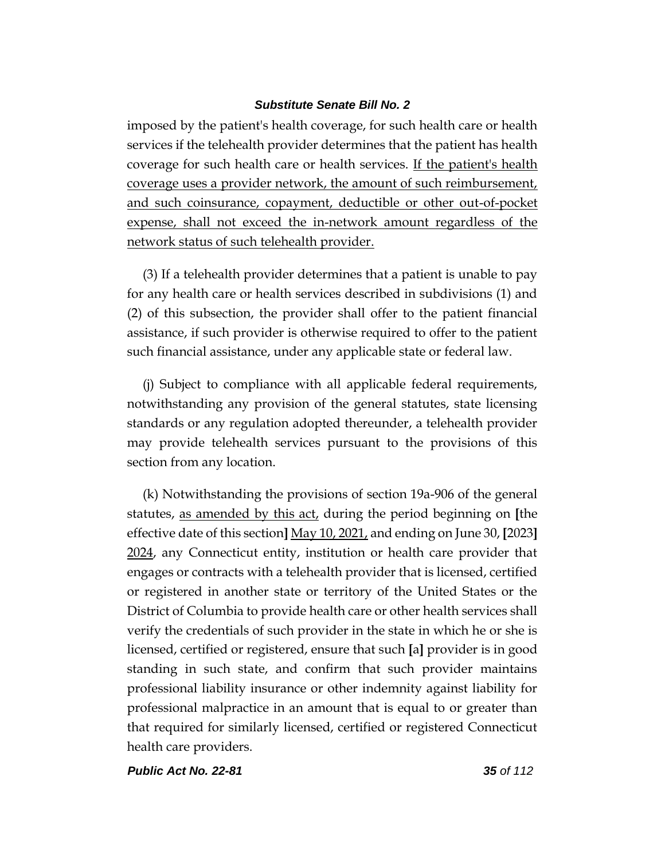imposed by the patient's health coverage, for such health care or health services if the telehealth provider determines that the patient has health coverage for such health care or health services. If the patient's health coverage uses a provider network, the amount of such reimbursement, and such coinsurance, copayment, deductible or other out-of-pocket expense, shall not exceed the in-network amount regardless of the network status of such telehealth provider.

(3) If a telehealth provider determines that a patient is unable to pay for any health care or health services described in subdivisions (1) and (2) of this subsection, the provider shall offer to the patient financial assistance, if such provider is otherwise required to offer to the patient such financial assistance, under any applicable state or federal law.

(j) Subject to compliance with all applicable federal requirements, notwithstanding any provision of the general statutes, state licensing standards or any regulation adopted thereunder, a telehealth provider may provide telehealth services pursuant to the provisions of this section from any location.

(k) Notwithstanding the provisions of section 19a-906 of the general statutes, as amended by this act, during the period beginning on **[**the effective date of this section**]** May 10, 2021, and ending on June 30, **[**2023**]** 2024, any Connecticut entity, institution or health care provider that engages or contracts with a telehealth provider that is licensed, certified or registered in another state or territory of the United States or the District of Columbia to provide health care or other health services shall verify the credentials of such provider in the state in which he or she is licensed, certified or registered, ensure that such **[**a**]** provider is in good standing in such state, and confirm that such provider maintains professional liability insurance or other indemnity against liability for professional malpractice in an amount that is equal to or greater than that required for similarly licensed, certified or registered Connecticut health care providers.

*Public Act No. 22-81 35 of 112*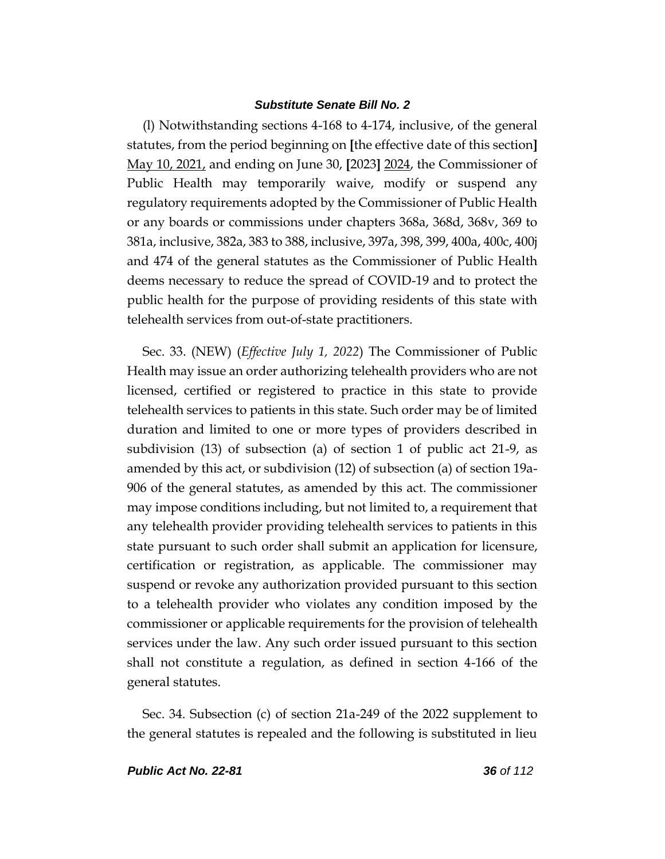(l) Notwithstanding sections 4-168 to 4-174, inclusive, of the general statutes, from the period beginning on **[**the effective date of this section**]** May 10, 2021, and ending on June 30, **[**2023**]** 2024, the Commissioner of Public Health may temporarily waive, modify or suspend any regulatory requirements adopted by the Commissioner of Public Health or any boards or commissions under chapters 368a, 368d, 368v, 369 to 381a, inclusive, 382a, 383 to 388, inclusive, 397a, 398, 399, 400a, 400c, 400j and 474 of the general statutes as the Commissioner of Public Health deems necessary to reduce the spread of COVID-19 and to protect the public health for the purpose of providing residents of this state with telehealth services from out-of-state practitioners.

Sec. 33. (NEW) (*Effective July 1, 2022*) The Commissioner of Public Health may issue an order authorizing telehealth providers who are not licensed, certified or registered to practice in this state to provide telehealth services to patients in this state. Such order may be of limited duration and limited to one or more types of providers described in subdivision (13) of subsection (a) of section 1 of public act 21-9, as amended by this act, or subdivision (12) of subsection (a) of section 19a-906 of the general statutes, as amended by this act. The commissioner may impose conditions including, but not limited to, a requirement that any telehealth provider providing telehealth services to patients in this state pursuant to such order shall submit an application for licensure, certification or registration, as applicable. The commissioner may suspend or revoke any authorization provided pursuant to this section to a telehealth provider who violates any condition imposed by the commissioner or applicable requirements for the provision of telehealth services under the law. Any such order issued pursuant to this section shall not constitute a regulation, as defined in section 4-166 of the general statutes.

Sec. 34. Subsection (c) of section 21a-249 of the 2022 supplement to the general statutes is repealed and the following is substituted in lieu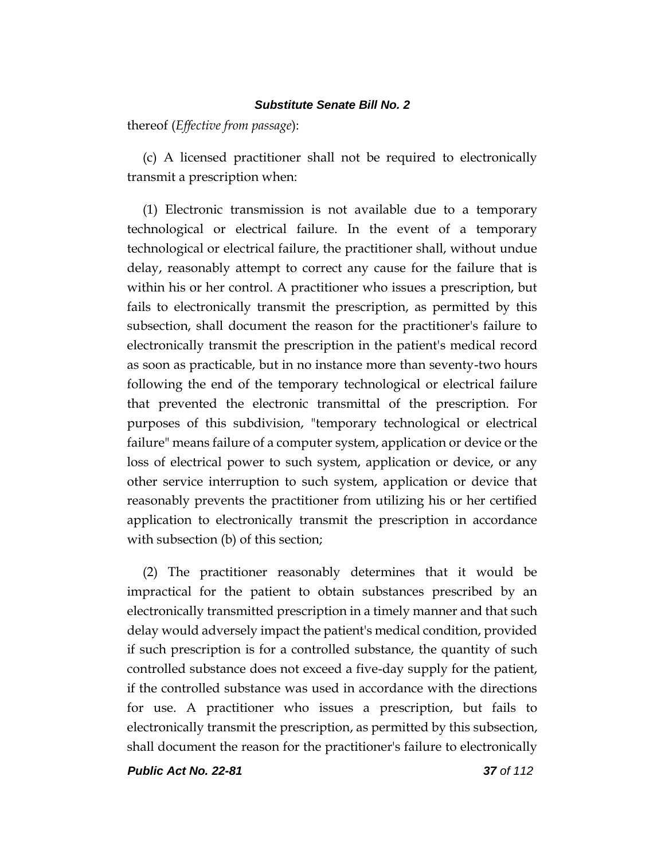thereof (*Effective from passage*):

(c) A licensed practitioner shall not be required to electronically transmit a prescription when:

(1) Electronic transmission is not available due to a temporary technological or electrical failure. In the event of a temporary technological or electrical failure, the practitioner shall, without undue delay, reasonably attempt to correct any cause for the failure that is within his or her control. A practitioner who issues a prescription, but fails to electronically transmit the prescription, as permitted by this subsection, shall document the reason for the practitioner's failure to electronically transmit the prescription in the patient's medical record as soon as practicable, but in no instance more than seventy-two hours following the end of the temporary technological or electrical failure that prevented the electronic transmittal of the prescription. For purposes of this subdivision, "temporary technological or electrical failure" means failure of a computer system, application or device or the loss of electrical power to such system, application or device, or any other service interruption to such system, application or device that reasonably prevents the practitioner from utilizing his or her certified application to electronically transmit the prescription in accordance with subsection (b) of this section;

(2) The practitioner reasonably determines that it would be impractical for the patient to obtain substances prescribed by an electronically transmitted prescription in a timely manner and that such delay would adversely impact the patient's medical condition, provided if such prescription is for a controlled substance, the quantity of such controlled substance does not exceed a five-day supply for the patient, if the controlled substance was used in accordance with the directions for use. A practitioner who issues a prescription, but fails to electronically transmit the prescription, as permitted by this subsection, shall document the reason for the practitioner's failure to electronically

*Public Act No. 22-81 37 of 112*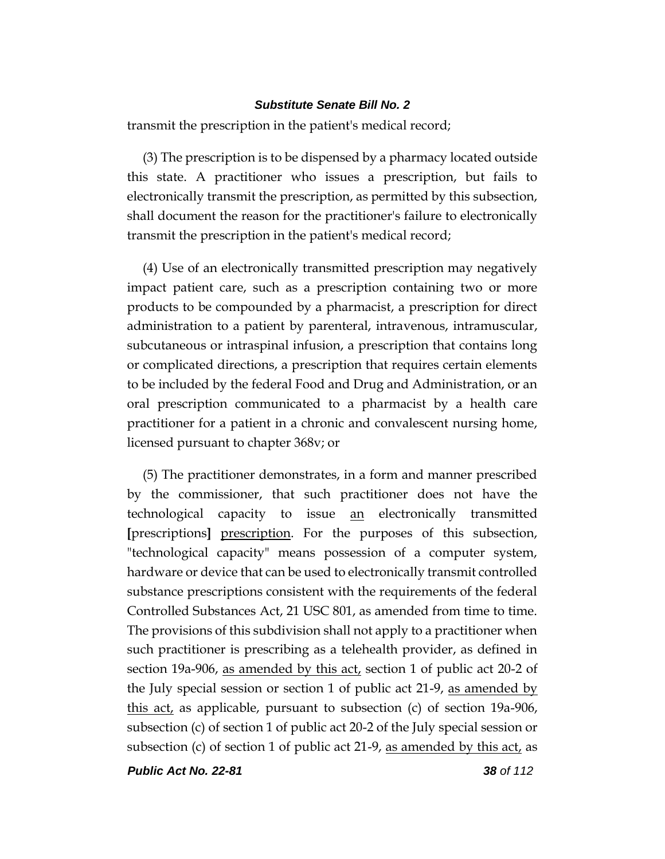transmit the prescription in the patient's medical record;

(3) The prescription is to be dispensed by a pharmacy located outside this state. A practitioner who issues a prescription, but fails to electronically transmit the prescription, as permitted by this subsection, shall document the reason for the practitioner's failure to electronically transmit the prescription in the patient's medical record;

(4) Use of an electronically transmitted prescription may negatively impact patient care, such as a prescription containing two or more products to be compounded by a pharmacist, a prescription for direct administration to a patient by parenteral, intravenous, intramuscular, subcutaneous or intraspinal infusion, a prescription that contains long or complicated directions, a prescription that requires certain elements to be included by the federal Food and Drug and Administration, or an oral prescription communicated to a pharmacist by a health care practitioner for a patient in a chronic and convalescent nursing home, licensed pursuant to chapter 368v; or

(5) The practitioner demonstrates, in a form and manner prescribed by the commissioner, that such practitioner does not have the technological capacity to issue an electronically transmitted **[**prescriptions**]** prescription. For the purposes of this subsection, "technological capacity" means possession of a computer system, hardware or device that can be used to electronically transmit controlled substance prescriptions consistent with the requirements of the federal Controlled Substances Act, 21 USC 801, as amended from time to time. The provisions of this subdivision shall not apply to a practitioner when such practitioner is prescribing as a telehealth provider, as defined in section 19a-906, as amended by this act, section 1 of public act 20-2 of the July special session or section 1 of public act 21-9, as amended by this act, as applicable, pursuant to subsection (c) of section 19a-906, subsection (c) of section 1 of public act 20-2 of the July special session or subsection (c) of section 1 of public act 21-9, as amended by this act, as

*Public Act No. 22-81 38 of 112*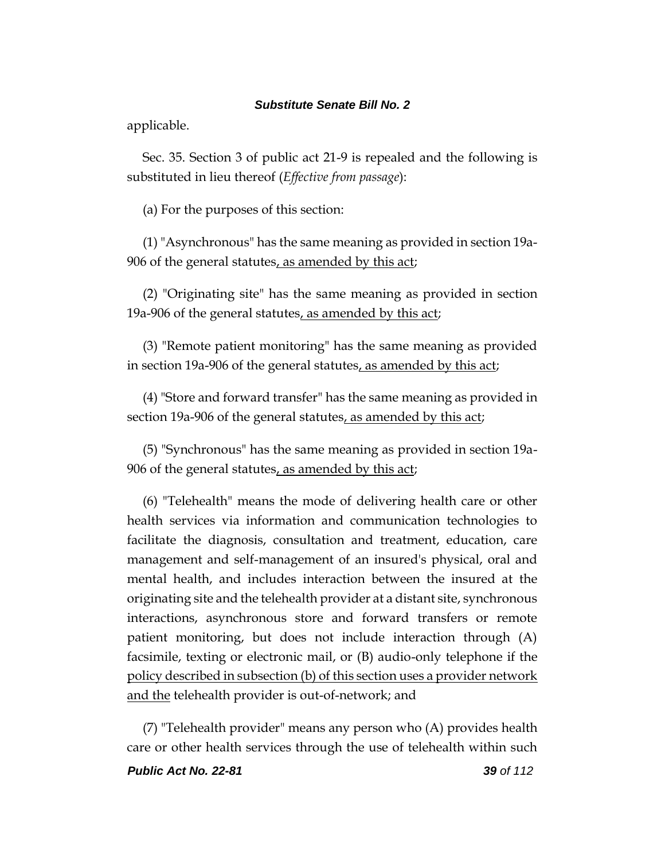applicable.

Sec. 35. Section 3 of public act 21-9 is repealed and the following is substituted in lieu thereof (*Effective from passage*):

(a) For the purposes of this section:

(1) "Asynchronous" has the same meaning as provided in section 19a-906 of the general statutes, as amended by this act;

(2) "Originating site" has the same meaning as provided in section 19a-906 of the general statutes, as amended by this act;

(3) "Remote patient monitoring" has the same meaning as provided in section 19a-906 of the general statutes, as amended by this act;

(4) "Store and forward transfer" has the same meaning as provided in section 19a-906 of the general statutes, as amended by this act;

(5) "Synchronous" has the same meaning as provided in section 19a-906 of the general statutes, as amended by this act;

(6) "Telehealth" means the mode of delivering health care or other health services via information and communication technologies to facilitate the diagnosis, consultation and treatment, education, care management and self-management of an insured's physical, oral and mental health, and includes interaction between the insured at the originating site and the telehealth provider at a distant site, synchronous interactions, asynchronous store and forward transfers or remote patient monitoring, but does not include interaction through (A) facsimile, texting or electronic mail, or (B) audio-only telephone if the policy described in subsection (b) of this section uses a provider network and the telehealth provider is out-of-network; and

(7) "Telehealth provider" means any person who (A) provides health care or other health services through the use of telehealth within such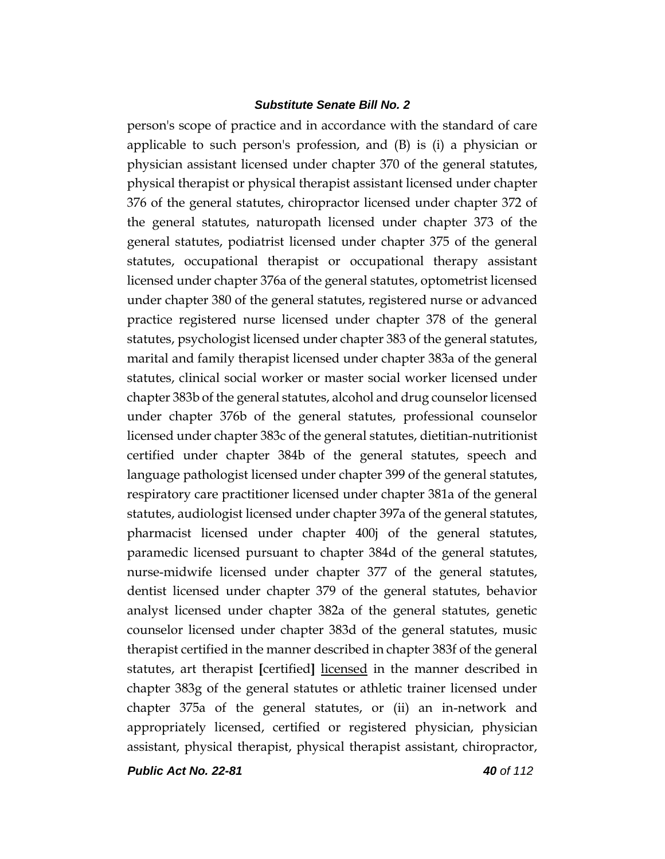person's scope of practice and in accordance with the standard of care applicable to such person's profession, and (B) is (i) a physician or physician assistant licensed under chapter 370 of the general statutes, physical therapist or physical therapist assistant licensed under chapter 376 of the general statutes, chiropractor licensed under chapter 372 of the general statutes, naturopath licensed under chapter 373 of the general statutes, podiatrist licensed under chapter 375 of the general statutes, occupational therapist or occupational therapy assistant licensed under chapter 376a of the general statutes, optometrist licensed under chapter 380 of the general statutes, registered nurse or advanced practice registered nurse licensed under chapter 378 of the general statutes, psychologist licensed under chapter 383 of the general statutes, marital and family therapist licensed under chapter 383a of the general statutes, clinical social worker or master social worker licensed under chapter 383b of the general statutes, alcohol and drug counselor licensed under chapter 376b of the general statutes, professional counselor licensed under chapter 383c of the general statutes, dietitian-nutritionist certified under chapter 384b of the general statutes, speech and language pathologist licensed under chapter 399 of the general statutes, respiratory care practitioner licensed under chapter 381a of the general statutes, audiologist licensed under chapter 397a of the general statutes, pharmacist licensed under chapter 400j of the general statutes, paramedic licensed pursuant to chapter 384d of the general statutes, nurse-midwife licensed under chapter 377 of the general statutes, dentist licensed under chapter 379 of the general statutes, behavior analyst licensed under chapter 382a of the general statutes, genetic counselor licensed under chapter 383d of the general statutes, music therapist certified in the manner described in chapter 383f of the general statutes, art therapist **[**certified**]** licensed in the manner described in chapter 383g of the general statutes or athletic trainer licensed under chapter 375a of the general statutes, or (ii) an in-network and appropriately licensed, certified or registered physician, physician assistant, physical therapist, physical therapist assistant, chiropractor,

*Public Act No. 22-81 40 of 112*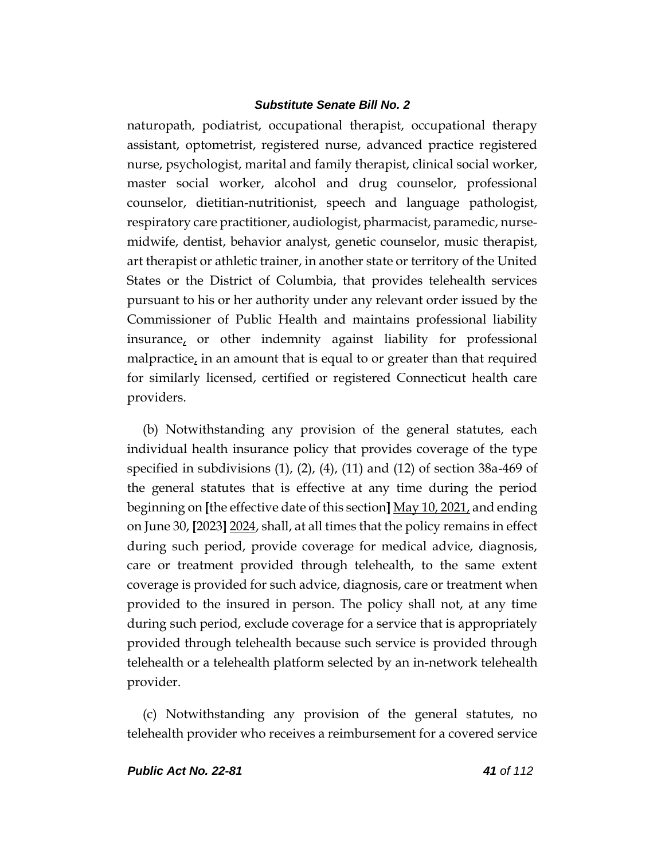naturopath, podiatrist, occupational therapist, occupational therapy assistant, optometrist, registered nurse, advanced practice registered nurse, psychologist, marital and family therapist, clinical social worker, master social worker, alcohol and drug counselor, professional counselor, dietitian-nutritionist, speech and language pathologist, respiratory care practitioner, audiologist, pharmacist, paramedic, nursemidwife, dentist, behavior analyst, genetic counselor, music therapist, art therapist or athletic trainer, in another state or territory of the United States or the District of Columbia, that provides telehealth services pursuant to his or her authority under any relevant order issued by the Commissioner of Public Health and maintains professional liability insurance, or other indemnity against liability for professional malpractice, in an amount that is equal to or greater than that required for similarly licensed, certified or registered Connecticut health care providers.

(b) Notwithstanding any provision of the general statutes, each individual health insurance policy that provides coverage of the type specified in subdivisions (1), (2), (4), (11) and (12) of section 38a-469 of the general statutes that is effective at any time during the period beginning on **[**the effective date of this section**]** May 10, 2021, and ending on June 30, **[**2023**]** 2024, shall, at all times that the policy remains in effect during such period, provide coverage for medical advice, diagnosis, care or treatment provided through telehealth, to the same extent coverage is provided for such advice, diagnosis, care or treatment when provided to the insured in person. The policy shall not, at any time during such period, exclude coverage for a service that is appropriately provided through telehealth because such service is provided through telehealth or a telehealth platform selected by an in-network telehealth provider.

(c) Notwithstanding any provision of the general statutes, no telehealth provider who receives a reimbursement for a covered service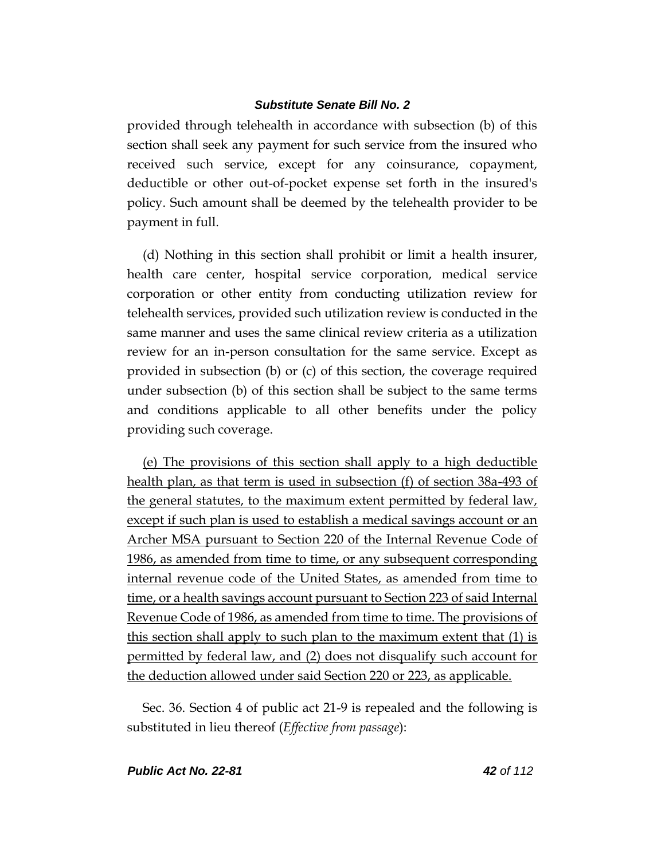provided through telehealth in accordance with subsection (b) of this section shall seek any payment for such service from the insured who received such service, except for any coinsurance, copayment, deductible or other out-of-pocket expense set forth in the insured's policy. Such amount shall be deemed by the telehealth provider to be payment in full.

(d) Nothing in this section shall prohibit or limit a health insurer, health care center, hospital service corporation, medical service corporation or other entity from conducting utilization review for telehealth services, provided such utilization review is conducted in the same manner and uses the same clinical review criteria as a utilization review for an in-person consultation for the same service. Except as provided in subsection (b) or (c) of this section, the coverage required under subsection (b) of this section shall be subject to the same terms and conditions applicable to all other benefits under the policy providing such coverage.

(e) The provisions of this section shall apply to a high deductible health plan, as that term is used in subsection (f) of section 38a-493 of the general statutes, to the maximum extent permitted by federal law, except if such plan is used to establish a medical savings account or an Archer MSA pursuant to Section 220 of the Internal Revenue Code of 1986, as amended from time to time, or any subsequent corresponding internal revenue code of the United States, as amended from time to time, or a health savings account pursuant to Section 223 of said Internal Revenue Code of 1986, as amended from time to time. The provisions of this section shall apply to such plan to the maximum extent that (1) is permitted by federal law, and (2) does not disqualify such account for the deduction allowed under said Section 220 or 223, as applicable.

Sec. 36. Section 4 of public act 21-9 is repealed and the following is substituted in lieu thereof (*Effective from passage*):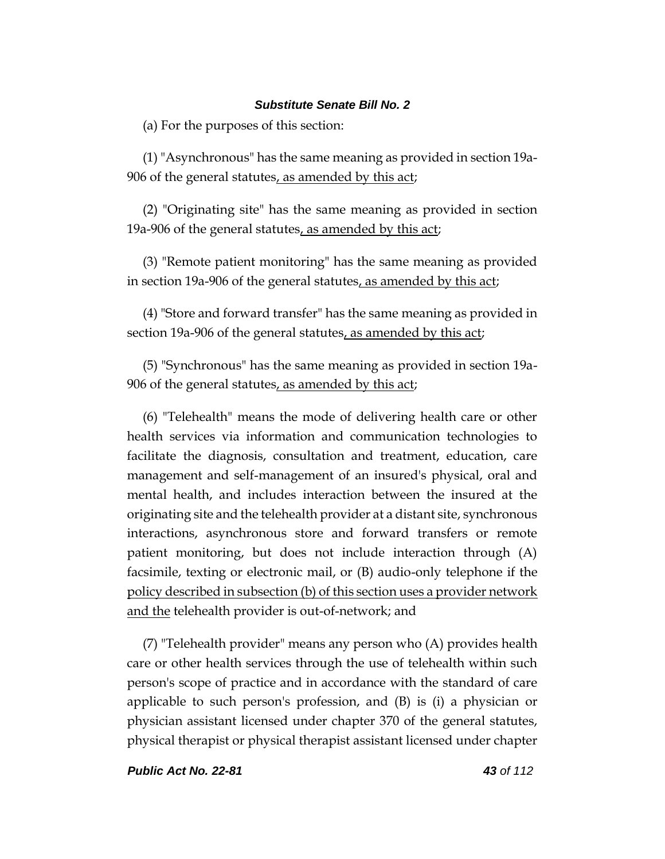(a) For the purposes of this section:

(1) "Asynchronous" has the same meaning as provided in section 19a-906 of the general statutes, as amended by this act;

(2) "Originating site" has the same meaning as provided in section 19a-906 of the general statutes, as amended by this act;

(3) "Remote patient monitoring" has the same meaning as provided in section 19a-906 of the general statutes, as amended by this act;

(4) "Store and forward transfer" has the same meaning as provided in section 19a-906 of the general statutes, as amended by this act;

(5) "Synchronous" has the same meaning as provided in section 19a-906 of the general statutes, as amended by this act;

(6) "Telehealth" means the mode of delivering health care or other health services via information and communication technologies to facilitate the diagnosis, consultation and treatment, education, care management and self-management of an insured's physical, oral and mental health, and includes interaction between the insured at the originating site and the telehealth provider at a distant site, synchronous interactions, asynchronous store and forward transfers or remote patient monitoring, but does not include interaction through (A) facsimile, texting or electronic mail, or (B) audio-only telephone if the policy described in subsection (b) of this section uses a provider network and the telehealth provider is out-of-network; and

(7) "Telehealth provider" means any person who (A) provides health care or other health services through the use of telehealth within such person's scope of practice and in accordance with the standard of care applicable to such person's profession, and (B) is (i) a physician or physician assistant licensed under chapter 370 of the general statutes, physical therapist or physical therapist assistant licensed under chapter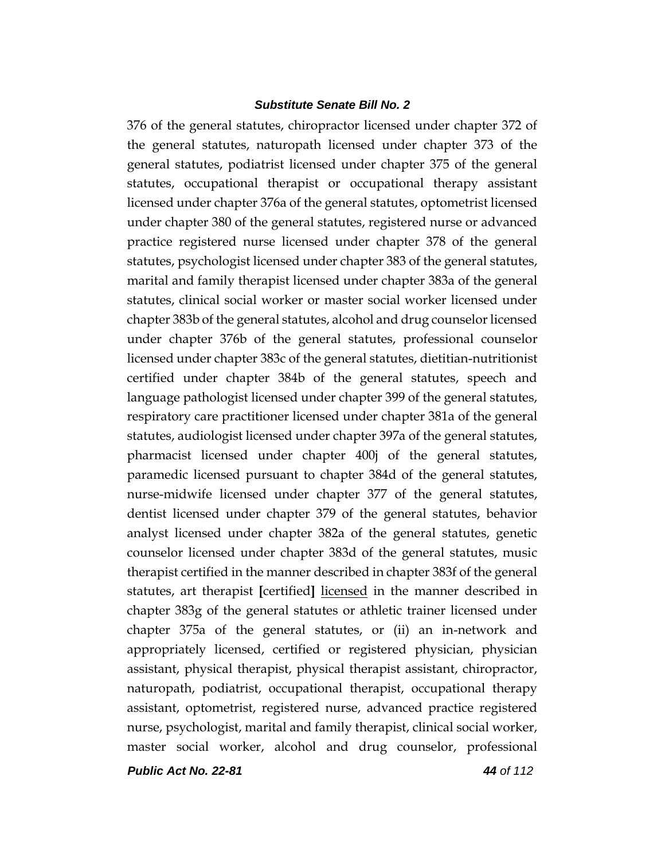376 of the general statutes, chiropractor licensed under chapter 372 of the general statutes, naturopath licensed under chapter 373 of the general statutes, podiatrist licensed under chapter 375 of the general statutes, occupational therapist or occupational therapy assistant licensed under chapter 376a of the general statutes, optometrist licensed under chapter 380 of the general statutes, registered nurse or advanced practice registered nurse licensed under chapter 378 of the general statutes, psychologist licensed under chapter 383 of the general statutes, marital and family therapist licensed under chapter 383a of the general statutes, clinical social worker or master social worker licensed under chapter 383b of the general statutes, alcohol and drug counselor licensed under chapter 376b of the general statutes, professional counselor licensed under chapter 383c of the general statutes, dietitian-nutritionist certified under chapter 384b of the general statutes, speech and language pathologist licensed under chapter 399 of the general statutes, respiratory care practitioner licensed under chapter 381a of the general statutes, audiologist licensed under chapter 397a of the general statutes, pharmacist licensed under chapter 400j of the general statutes, paramedic licensed pursuant to chapter 384d of the general statutes, nurse-midwife licensed under chapter 377 of the general statutes, dentist licensed under chapter 379 of the general statutes, behavior analyst licensed under chapter 382a of the general statutes, genetic counselor licensed under chapter 383d of the general statutes, music therapist certified in the manner described in chapter 383f of the general statutes, art therapist **[**certified**]** licensed in the manner described in chapter 383g of the general statutes or athletic trainer licensed under chapter 375a of the general statutes, or (ii) an in-network and appropriately licensed, certified or registered physician, physician assistant, physical therapist, physical therapist assistant, chiropractor, naturopath, podiatrist, occupational therapist, occupational therapy assistant, optometrist, registered nurse, advanced practice registered nurse, psychologist, marital and family therapist, clinical social worker, master social worker, alcohol and drug counselor, professional

*Public Act No. 22-81 44 of 112*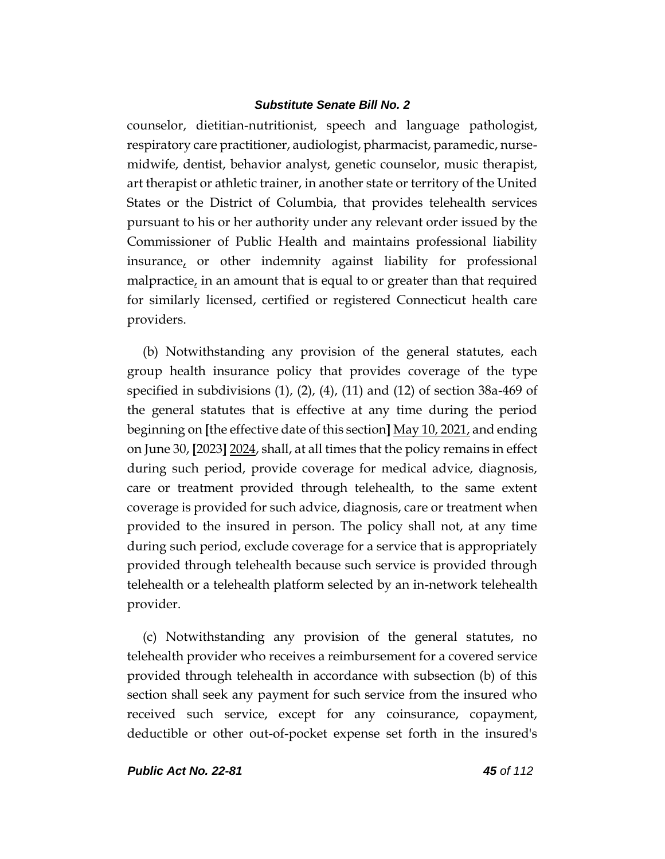counselor, dietitian-nutritionist, speech and language pathologist, respiratory care practitioner, audiologist, pharmacist, paramedic, nursemidwife, dentist, behavior analyst, genetic counselor, music therapist, art therapist or athletic trainer, in another state or territory of the United States or the District of Columbia, that provides telehealth services pursuant to his or her authority under any relevant order issued by the Commissioner of Public Health and maintains professional liability insurance, or other indemnity against liability for professional malpractice, in an amount that is equal to or greater than that required for similarly licensed, certified or registered Connecticut health care providers.

(b) Notwithstanding any provision of the general statutes, each group health insurance policy that provides coverage of the type specified in subdivisions  $(1)$ ,  $(2)$ ,  $(4)$ ,  $(11)$  and  $(12)$  of section 38a-469 of the general statutes that is effective at any time during the period beginning on **[**the effective date of this section**]** May 10, 2021, and ending on June 30, **[**2023**]** 2024, shall, at all times that the policy remains in effect during such period, provide coverage for medical advice, diagnosis, care or treatment provided through telehealth, to the same extent coverage is provided for such advice, diagnosis, care or treatment when provided to the insured in person. The policy shall not, at any time during such period, exclude coverage for a service that is appropriately provided through telehealth because such service is provided through telehealth or a telehealth platform selected by an in-network telehealth provider.

(c) Notwithstanding any provision of the general statutes, no telehealth provider who receives a reimbursement for a covered service provided through telehealth in accordance with subsection (b) of this section shall seek any payment for such service from the insured who received such service, except for any coinsurance, copayment, deductible or other out-of-pocket expense set forth in the insured's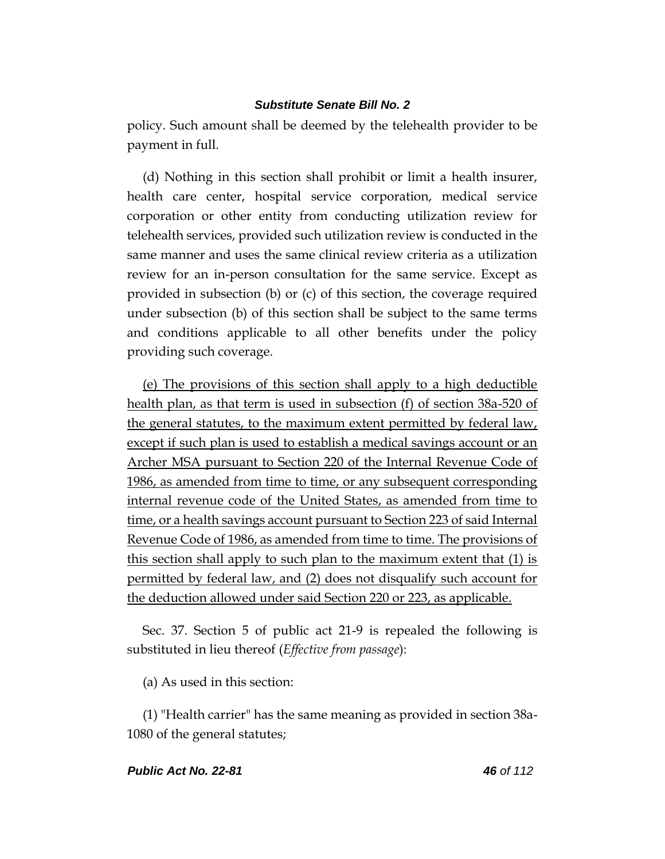policy. Such amount shall be deemed by the telehealth provider to be payment in full.

(d) Nothing in this section shall prohibit or limit a health insurer, health care center, hospital service corporation, medical service corporation or other entity from conducting utilization review for telehealth services, provided such utilization review is conducted in the same manner and uses the same clinical review criteria as a utilization review for an in-person consultation for the same service. Except as provided in subsection (b) or (c) of this section, the coverage required under subsection (b) of this section shall be subject to the same terms and conditions applicable to all other benefits under the policy providing such coverage.

(e) The provisions of this section shall apply to a high deductible health plan, as that term is used in subsection (f) of section 38a-520 of the general statutes, to the maximum extent permitted by federal law, except if such plan is used to establish a medical savings account or an Archer MSA pursuant to Section 220 of the Internal Revenue Code of 1986, as amended from time to time, or any subsequent corresponding internal revenue code of the United States, as amended from time to time, or a health savings account pursuant to Section 223 of said Internal Revenue Code of 1986, as amended from time to time. The provisions of this section shall apply to such plan to the maximum extent that (1) is permitted by federal law, and (2) does not disqualify such account for the deduction allowed under said Section 220 or 223, as applicable.

Sec. 37. Section 5 of public act 21-9 is repealed the following is substituted in lieu thereof (*Effective from passage*):

(a) As used in this section:

(1) "Health carrier" has the same meaning as provided in section 38a-1080 of the general statutes;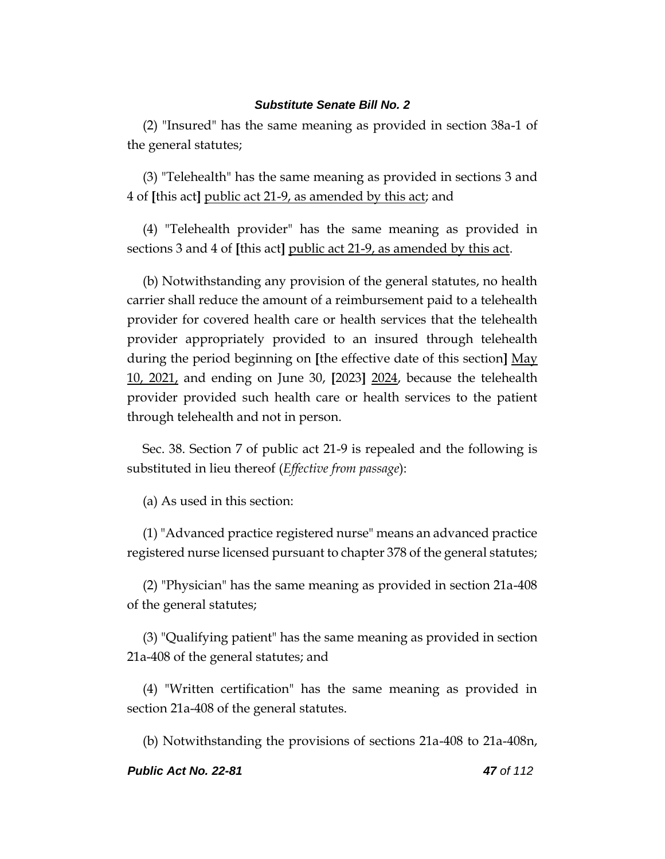(2) "Insured" has the same meaning as provided in section 38a-1 of the general statutes;

(3) "Telehealth" has the same meaning as provided in sections 3 and 4 of **[**this act**]** public act 21-9, as amended by this act; and

(4) "Telehealth provider" has the same meaning as provided in sections 3 and 4 of **[**this act**]** public act 21-9, as amended by this act.

(b) Notwithstanding any provision of the general statutes, no health carrier shall reduce the amount of a reimbursement paid to a telehealth provider for covered health care or health services that the telehealth provider appropriately provided to an insured through telehealth during the period beginning on **[**the effective date of this section**]** May 10, 2021, and ending on June 30, **[**2023**]** 2024, because the telehealth provider provided such health care or health services to the patient through telehealth and not in person.

Sec. 38. Section 7 of public act 21-9 is repealed and the following is substituted in lieu thereof (*Effective from passage*):

(a) As used in this section:

(1) "Advanced practice registered nurse" means an advanced practice registered nurse licensed pursuant to chapter 378 of the general statutes;

(2) "Physician" has the same meaning as provided in section 21a-408 of the general statutes;

(3) "Qualifying patient" has the same meaning as provided in section 21a-408 of the general statutes; and

(4) "Written certification" has the same meaning as provided in section 21a-408 of the general statutes.

(b) Notwithstanding the provisions of sections 21a-408 to 21a-408n,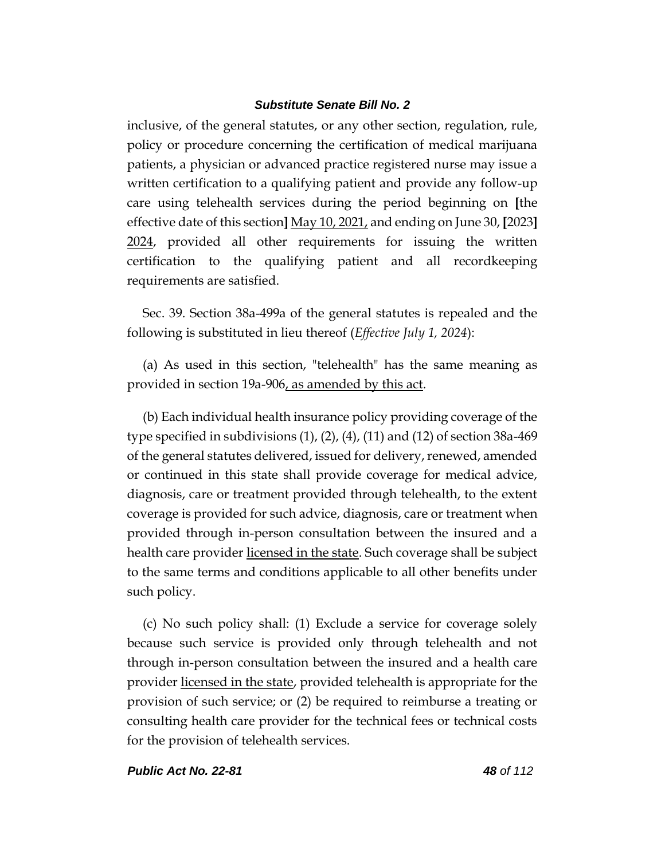inclusive, of the general statutes, or any other section, regulation, rule, policy or procedure concerning the certification of medical marijuana patients, a physician or advanced practice registered nurse may issue a written certification to a qualifying patient and provide any follow-up care using telehealth services during the period beginning on **[**the effective date of this section**]** May 10, 2021, and ending on June 30, **[**2023**]** 2024, provided all other requirements for issuing the written certification to the qualifying patient and all recordkeeping requirements are satisfied.

Sec. 39. Section 38a-499a of the general statutes is repealed and the following is substituted in lieu thereof (*Effective July 1, 2024*):

(a) As used in this section, "telehealth" has the same meaning as provided in section 19a-906, as amended by this act.

(b) Each individual health insurance policy providing coverage of the type specified in subdivisions (1), (2), (4), (11) and (12) of section 38a-469 of the general statutes delivered, issued for delivery, renewed, amended or continued in this state shall provide coverage for medical advice, diagnosis, care or treatment provided through telehealth, to the extent coverage is provided for such advice, diagnosis, care or treatment when provided through in-person consultation between the insured and a health care provider <u>licensed in the state</u>. Such coverage shall be subject to the same terms and conditions applicable to all other benefits under such policy.

(c) No such policy shall: (1) Exclude a service for coverage solely because such service is provided only through telehealth and not through in-person consultation between the insured and a health care provider licensed in the state, provided telehealth is appropriate for the provision of such service; or (2) be required to reimburse a treating or consulting health care provider for the technical fees or technical costs for the provision of telehealth services.

#### *Public Act No. 22-81 48 of 112*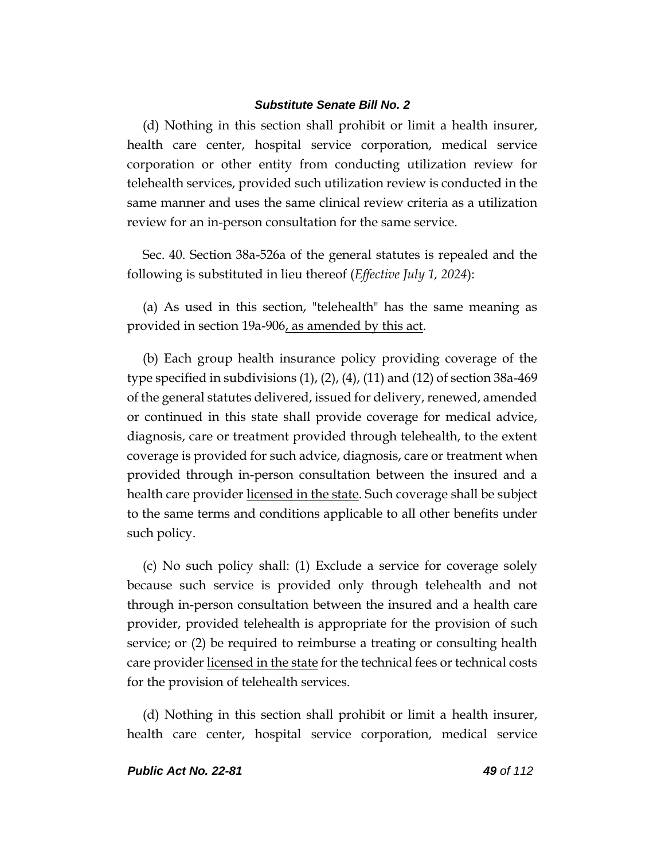(d) Nothing in this section shall prohibit or limit a health insurer, health care center, hospital service corporation, medical service corporation or other entity from conducting utilization review for telehealth services, provided such utilization review is conducted in the same manner and uses the same clinical review criteria as a utilization review for an in-person consultation for the same service.

Sec. 40. Section 38a-526a of the general statutes is repealed and the following is substituted in lieu thereof (*Effective July 1, 2024*):

(a) As used in this section, "telehealth" has the same meaning as provided in section 19a-906, as amended by this act.

(b) Each group health insurance policy providing coverage of the type specified in subdivisions (1), (2), (4), (11) and (12) of section 38a-469 of the general statutes delivered, issued for delivery, renewed, amended or continued in this state shall provide coverage for medical advice, diagnosis, care or treatment provided through telehealth, to the extent coverage is provided for such advice, diagnosis, care or treatment when provided through in-person consultation between the insured and a health care provider licensed in the state. Such coverage shall be subject to the same terms and conditions applicable to all other benefits under such policy.

(c) No such policy shall: (1) Exclude a service for coverage solely because such service is provided only through telehealth and not through in-person consultation between the insured and a health care provider, provided telehealth is appropriate for the provision of such service; or (2) be required to reimburse a treating or consulting health care provider licensed in the state for the technical fees or technical costs for the provision of telehealth services.

(d) Nothing in this section shall prohibit or limit a health insurer, health care center, hospital service corporation, medical service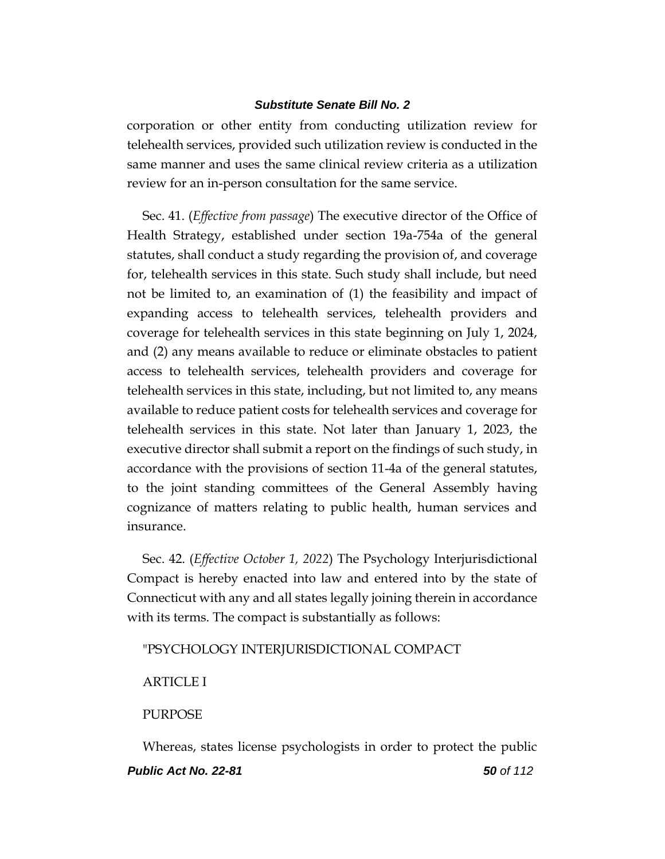corporation or other entity from conducting utilization review for telehealth services, provided such utilization review is conducted in the same manner and uses the same clinical review criteria as a utilization review for an in-person consultation for the same service.

Sec. 41. (*Effective from passage*) The executive director of the Office of Health Strategy, established under section 19a-754a of the general statutes, shall conduct a study regarding the provision of, and coverage for, telehealth services in this state. Such study shall include, but need not be limited to, an examination of (1) the feasibility and impact of expanding access to telehealth services, telehealth providers and coverage for telehealth services in this state beginning on July 1, 2024, and (2) any means available to reduce or eliminate obstacles to patient access to telehealth services, telehealth providers and coverage for telehealth services in this state, including, but not limited to, any means available to reduce patient costs for telehealth services and coverage for telehealth services in this state. Not later than January 1, 2023, the executive director shall submit a report on the findings of such study, in accordance with the provisions of section 11-4a of the general statutes, to the joint standing committees of the General Assembly having cognizance of matters relating to public health, human services and insurance.

Sec. 42. (*Effective October 1, 2022*) The Psychology Interjurisdictional Compact is hereby enacted into law and entered into by the state of Connecticut with any and all states legally joining therein in accordance with its terms. The compact is substantially as follows:

#### "PSYCHOLOGY INTERJURISDICTIONAL COMPACT

**ARTICLE I** 

#### PURPOSE

*Public Act No. 22-81 50 of 112* Whereas, states license psychologists in order to protect the public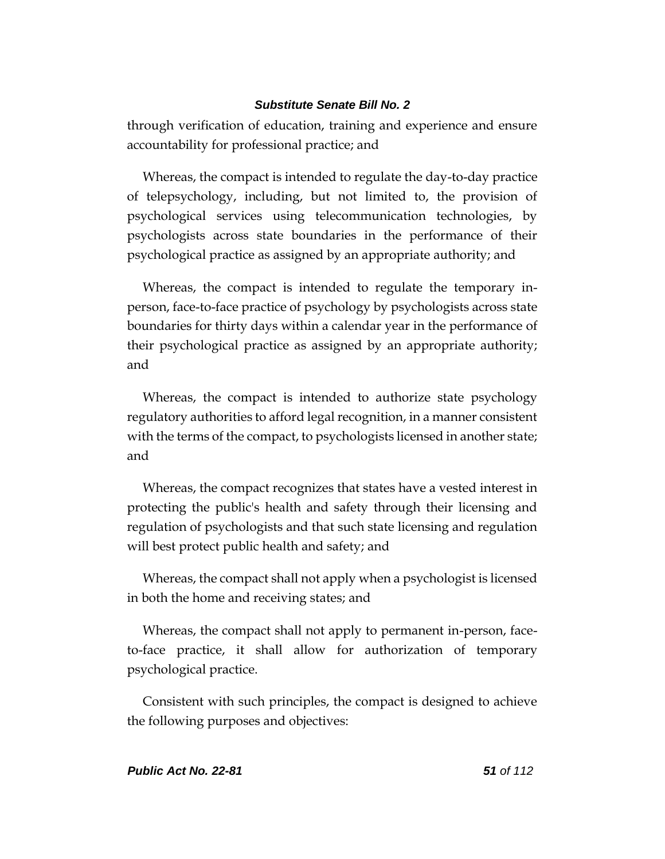through verification of education, training and experience and ensure accountability for professional practice; and

Whereas, the compact is intended to regulate the day-to-day practice of telepsychology, including, but not limited to, the provision of psychological services using telecommunication technologies, by psychologists across state boundaries in the performance of their psychological practice as assigned by an appropriate authority; and

Whereas, the compact is intended to regulate the temporary inperson, face-to-face practice of psychology by psychologists across state boundaries for thirty days within a calendar year in the performance of their psychological practice as assigned by an appropriate authority; and

Whereas, the compact is intended to authorize state psychology regulatory authorities to afford legal recognition, in a manner consistent with the terms of the compact, to psychologists licensed in another state; and

Whereas, the compact recognizes that states have a vested interest in protecting the public's health and safety through their licensing and regulation of psychologists and that such state licensing and regulation will best protect public health and safety; and

Whereas, the compact shall not apply when a psychologist is licensed in both the home and receiving states; and

Whereas, the compact shall not apply to permanent in-person, faceto-face practice, it shall allow for authorization of temporary psychological practice.

Consistent with such principles, the compact is designed to achieve the following purposes and objectives: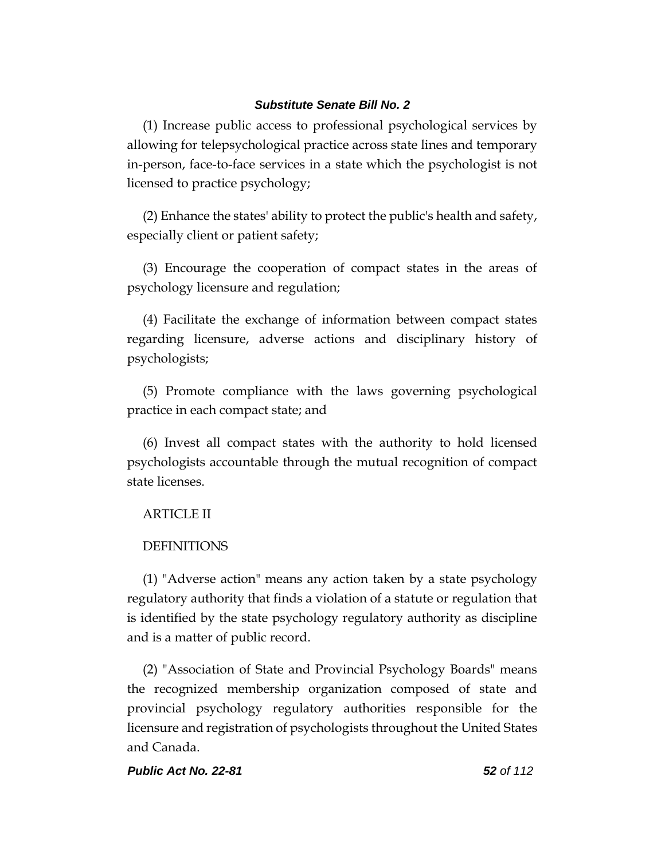(1) Increase public access to professional psychological services by allowing for telepsychological practice across state lines and temporary in-person, face-to-face services in a state which the psychologist is not licensed to practice psychology;

(2) Enhance the states' ability to protect the public's health and safety, especially client or patient safety;

(3) Encourage the cooperation of compact states in the areas of psychology licensure and regulation;

(4) Facilitate the exchange of information between compact states regarding licensure, adverse actions and disciplinary history of psychologists;

(5) Promote compliance with the laws governing psychological practice in each compact state; and

(6) Invest all compact states with the authority to hold licensed psychologists accountable through the mutual recognition of compact state licenses.

# ARTICLE II

# DEFINITIONS

(1) "Adverse action" means any action taken by a state psychology regulatory authority that finds a violation of a statute or regulation that is identified by the state psychology regulatory authority as discipline and is a matter of public record.

(2) "Association of State and Provincial Psychology Boards" means the recognized membership organization composed of state and provincial psychology regulatory authorities responsible for the licensure and registration of psychologists throughout the United States and Canada.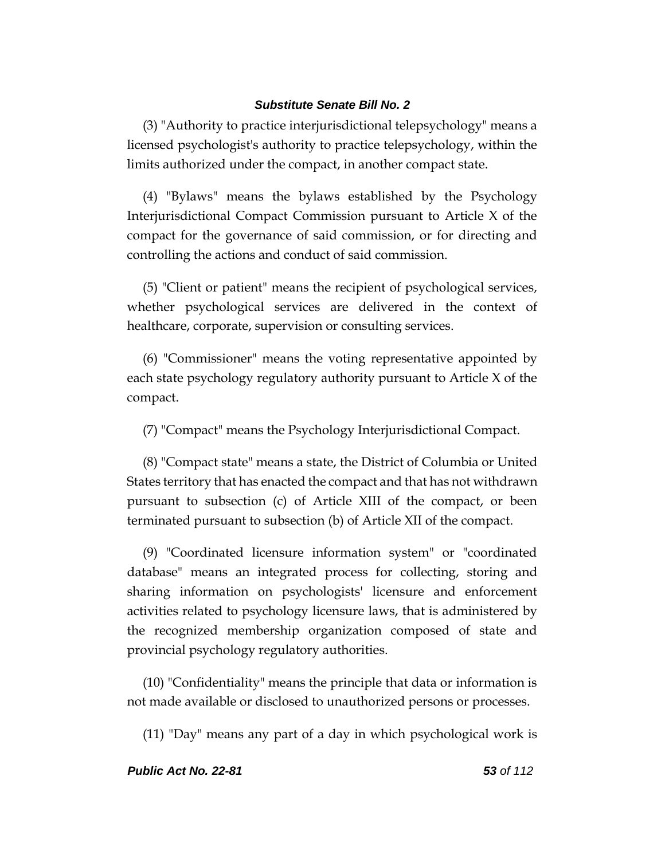(3) "Authority to practice interjurisdictional telepsychology" means a licensed psychologist's authority to practice telepsychology, within the limits authorized under the compact, in another compact state.

(4) "Bylaws" means the bylaws established by the Psychology Interjurisdictional Compact Commission pursuant to Article X of the compact for the governance of said commission, or for directing and controlling the actions and conduct of said commission.

(5) "Client or patient" means the recipient of psychological services, whether psychological services are delivered in the context of healthcare, corporate, supervision or consulting services.

(6) "Commissioner" means the voting representative appointed by each state psychology regulatory authority pursuant to Article X of the compact.

(7) "Compact" means the Psychology Interjurisdictional Compact.

(8) "Compact state" means a state, the District of Columbia or United States territory that has enacted the compact and that has not withdrawn pursuant to subsection (c) of Article XIII of the compact, or been terminated pursuant to subsection (b) of Article XII of the compact.

(9) "Coordinated licensure information system" or "coordinated database" means an integrated process for collecting, storing and sharing information on psychologists' licensure and enforcement activities related to psychology licensure laws, that is administered by the recognized membership organization composed of state and provincial psychology regulatory authorities.

(10) "Confidentiality" means the principle that data or information is not made available or disclosed to unauthorized persons or processes.

(11) "Day" means any part of a day in which psychological work is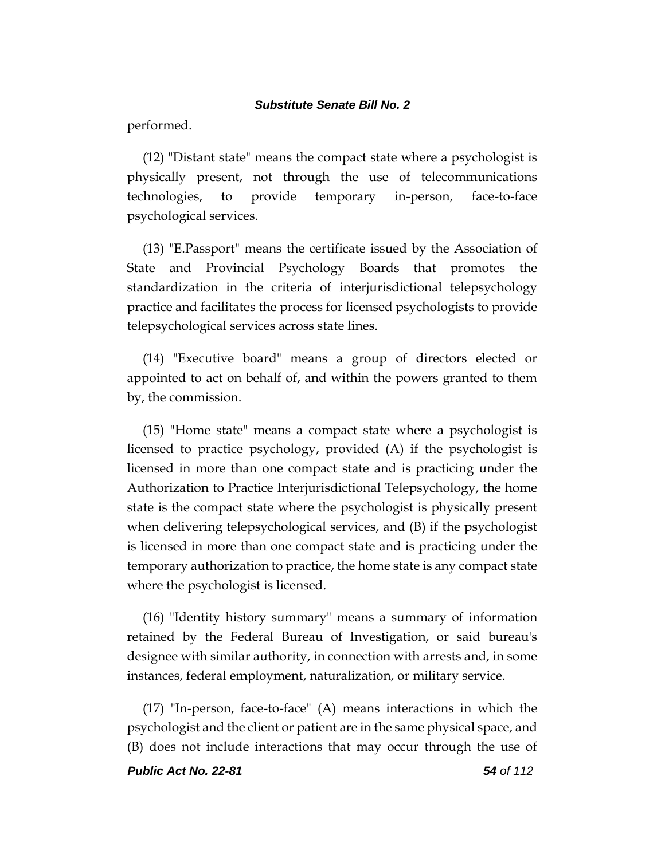performed.

(12) "Distant state" means the compact state where a psychologist is physically present, not through the use of telecommunications technologies, to provide temporary in-person, face-to-face psychological services.

(13) "E.Passport" means the certificate issued by the Association of State and Provincial Psychology Boards that promotes the standardization in the criteria of interjurisdictional telepsychology practice and facilitates the process for licensed psychologists to provide telepsychological services across state lines.

(14) "Executive board" means a group of directors elected or appointed to act on behalf of, and within the powers granted to them by, the commission.

(15) "Home state" means a compact state where a psychologist is licensed to practice psychology, provided (A) if the psychologist is licensed in more than one compact state and is practicing under the Authorization to Practice Interjurisdictional Telepsychology, the home state is the compact state where the psychologist is physically present when delivering telepsychological services, and (B) if the psychologist is licensed in more than one compact state and is practicing under the temporary authorization to practice, the home state is any compact state where the psychologist is licensed.

(16) "Identity history summary" means a summary of information retained by the Federal Bureau of Investigation, or said bureau's designee with similar authority, in connection with arrests and, in some instances, federal employment, naturalization, or military service.

(17) "In-person, face-to-face" (A) means interactions in which the psychologist and the client or patient are in the same physical space, and (B) does not include interactions that may occur through the use of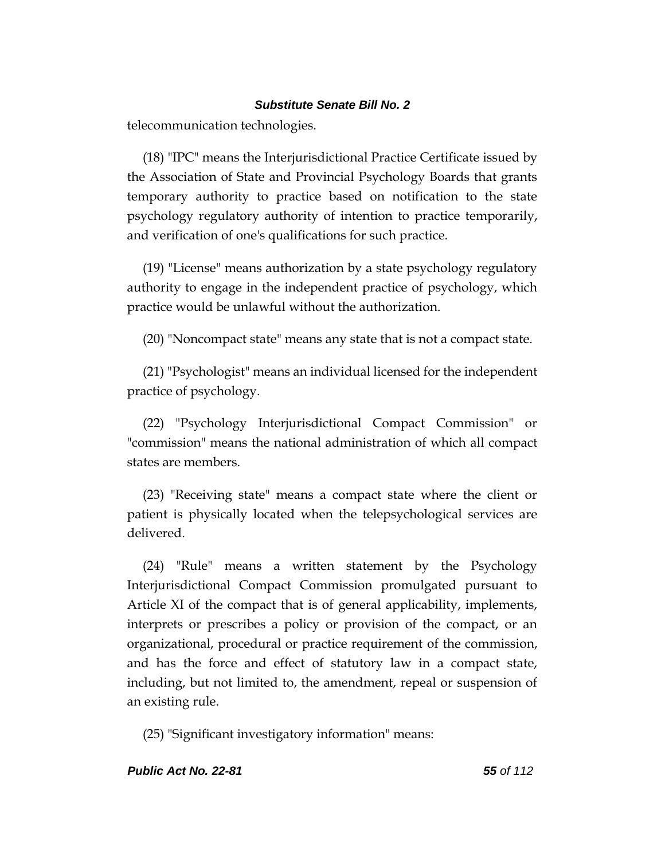telecommunication technologies.

(18) "IPC" means the Interjurisdictional Practice Certificate issued by the Association of State and Provincial Psychology Boards that grants temporary authority to practice based on notification to the state psychology regulatory authority of intention to practice temporarily, and verification of one's qualifications for such practice.

(19) "License" means authorization by a state psychology regulatory authority to engage in the independent practice of psychology, which practice would be unlawful without the authorization.

(20) "Noncompact state" means any state that is not a compact state.

(21) "Psychologist" means an individual licensed for the independent practice of psychology.

(22) "Psychology Interjurisdictional Compact Commission" or "commission" means the national administration of which all compact states are members.

(23) "Receiving state" means a compact state where the client or patient is physically located when the telepsychological services are delivered.

(24) "Rule" means a written statement by the Psychology Interjurisdictional Compact Commission promulgated pursuant to Article XI of the compact that is of general applicability, implements, interprets or prescribes a policy or provision of the compact, or an organizational, procedural or practice requirement of the commission, and has the force and effect of statutory law in a compact state, including, but not limited to, the amendment, repeal or suspension of an existing rule.

(25) "Significant investigatory information" means: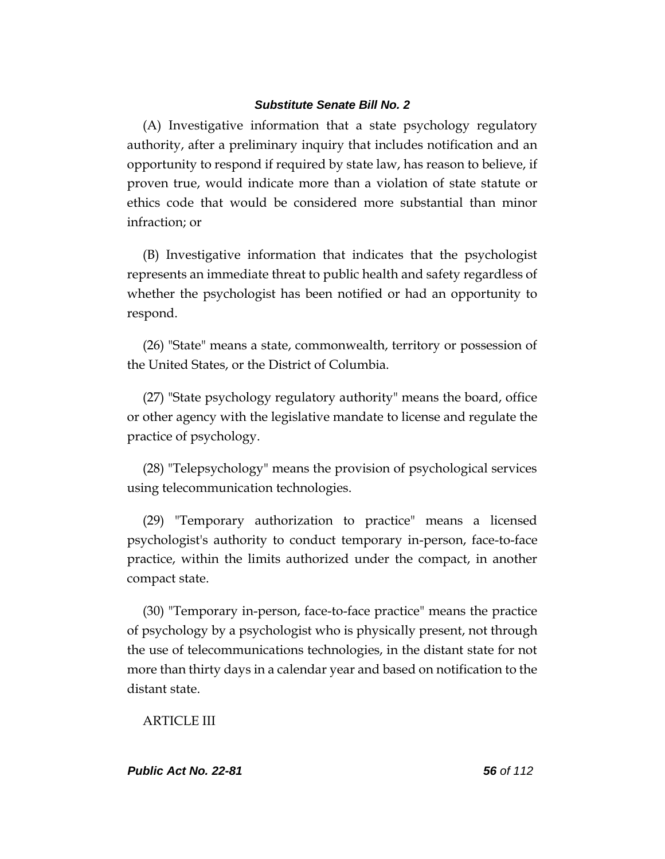(A) Investigative information that a state psychology regulatory authority, after a preliminary inquiry that includes notification and an opportunity to respond if required by state law, has reason to believe, if proven true, would indicate more than a violation of state statute or ethics code that would be considered more substantial than minor infraction; or

(B) Investigative information that indicates that the psychologist represents an immediate threat to public health and safety regardless of whether the psychologist has been notified or had an opportunity to respond.

(26) "State" means a state, commonwealth, territory or possession of the United States, or the District of Columbia.

(27) "State psychology regulatory authority" means the board, office or other agency with the legislative mandate to license and regulate the practice of psychology.

(28) "Telepsychology" means the provision of psychological services using telecommunication technologies.

(29) "Temporary authorization to practice" means a licensed psychologist's authority to conduct temporary in-person, face-to-face practice, within the limits authorized under the compact, in another compact state.

(30) "Temporary in-person, face-to-face practice" means the practice of psychology by a psychologist who is physically present, not through the use of telecommunications technologies, in the distant state for not more than thirty days in a calendar year and based on notification to the distant state.

ARTICLE III

*Public Act No. 22-81 56 of 112*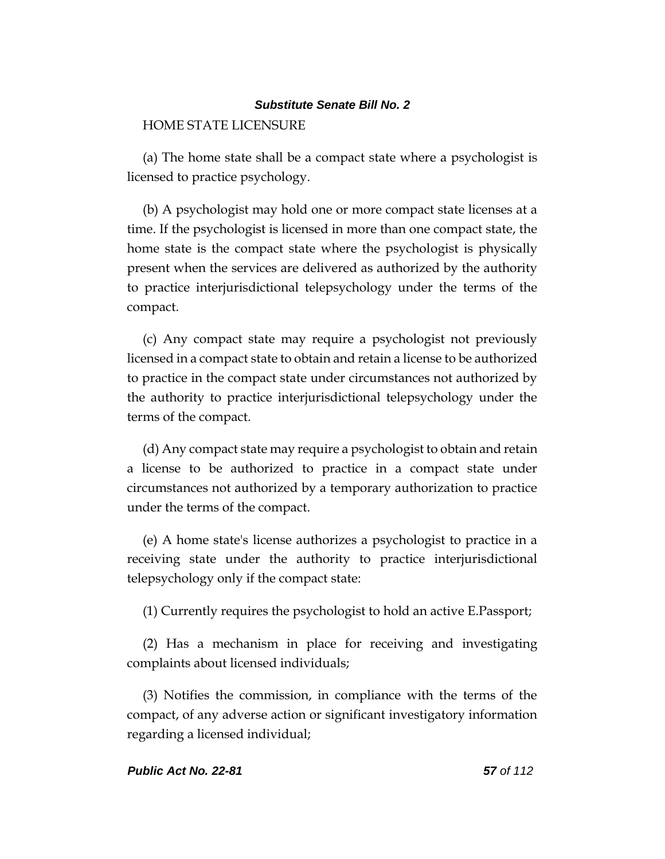# HOME STATE LICENSURE

(a) The home state shall be a compact state where a psychologist is licensed to practice psychology.

(b) A psychologist may hold one or more compact state licenses at a time. If the psychologist is licensed in more than one compact state, the home state is the compact state where the psychologist is physically present when the services are delivered as authorized by the authority to practice interjurisdictional telepsychology under the terms of the compact.

(c) Any compact state may require a psychologist not previously licensed in a compact state to obtain and retain a license to be authorized to practice in the compact state under circumstances not authorized by the authority to practice interjurisdictional telepsychology under the terms of the compact.

(d) Any compact state may require a psychologist to obtain and retain a license to be authorized to practice in a compact state under circumstances not authorized by a temporary authorization to practice under the terms of the compact.

(e) A home state's license authorizes a psychologist to practice in a receiving state under the authority to practice interjurisdictional telepsychology only if the compact state:

(1) Currently requires the psychologist to hold an active E.Passport;

(2) Has a mechanism in place for receiving and investigating complaints about licensed individuals;

(3) Notifies the commission, in compliance with the terms of the compact, of any adverse action or significant investigatory information regarding a licensed individual;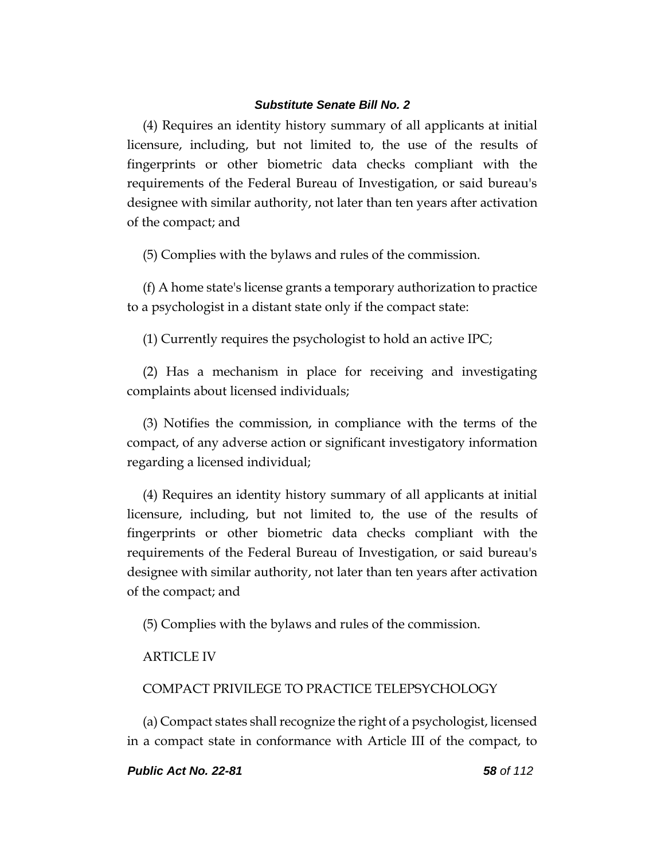(4) Requires an identity history summary of all applicants at initial licensure, including, but not limited to, the use of the results of fingerprints or other biometric data checks compliant with the requirements of the Federal Bureau of Investigation, or said bureau's designee with similar authority, not later than ten years after activation of the compact; and

(5) Complies with the bylaws and rules of the commission.

(f) A home state's license grants a temporary authorization to practice to a psychologist in a distant state only if the compact state:

(1) Currently requires the psychologist to hold an active IPC;

(2) Has a mechanism in place for receiving and investigating complaints about licensed individuals;

(3) Notifies the commission, in compliance with the terms of the compact, of any adverse action or significant investigatory information regarding a licensed individual;

(4) Requires an identity history summary of all applicants at initial licensure, including, but not limited to, the use of the results of fingerprints or other biometric data checks compliant with the requirements of the Federal Bureau of Investigation, or said bureau's designee with similar authority, not later than ten years after activation of the compact; and

(5) Complies with the bylaws and rules of the commission.

# ARTICLE IV

## COMPACT PRIVILEGE TO PRACTICE TELEPSYCHOLOGY

(a) Compact states shall recognize the right of a psychologist, licensed in a compact state in conformance with Article III of the compact, to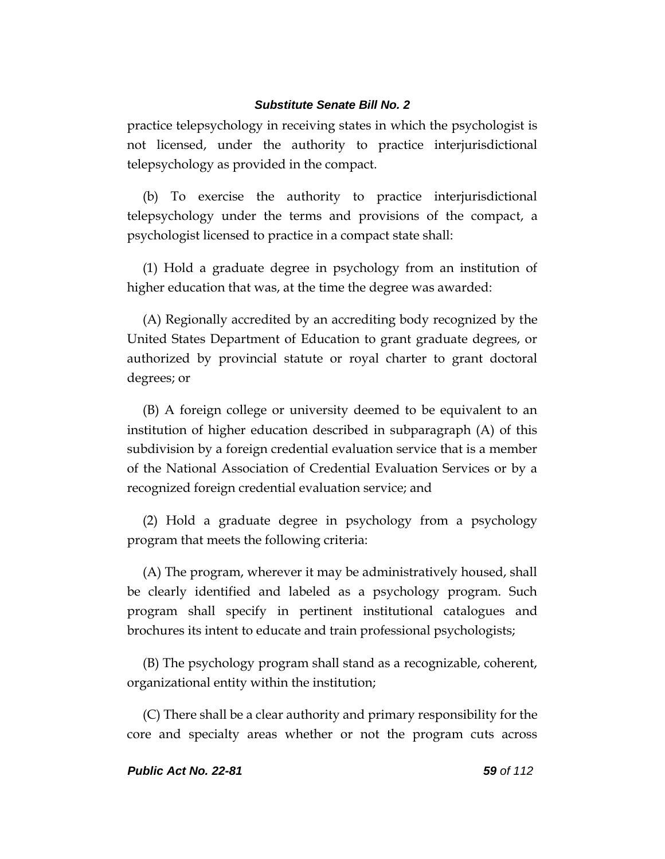practice telepsychology in receiving states in which the psychologist is not licensed, under the authority to practice interjurisdictional telepsychology as provided in the compact.

(b) To exercise the authority to practice interjurisdictional telepsychology under the terms and provisions of the compact, a psychologist licensed to practice in a compact state shall:

(1) Hold a graduate degree in psychology from an institution of higher education that was, at the time the degree was awarded:

(A) Regionally accredited by an accrediting body recognized by the United States Department of Education to grant graduate degrees, or authorized by provincial statute or royal charter to grant doctoral degrees; or

(B) A foreign college or university deemed to be equivalent to an institution of higher education described in subparagraph (A) of this subdivision by a foreign credential evaluation service that is a member of the National Association of Credential Evaluation Services or by a recognized foreign credential evaluation service; and

(2) Hold a graduate degree in psychology from a psychology program that meets the following criteria:

(A) The program, wherever it may be administratively housed, shall be clearly identified and labeled as a psychology program. Such program shall specify in pertinent institutional catalogues and brochures its intent to educate and train professional psychologists;

(B) The psychology program shall stand as a recognizable, coherent, organizational entity within the institution;

(C) There shall be a clear authority and primary responsibility for the core and specialty areas whether or not the program cuts across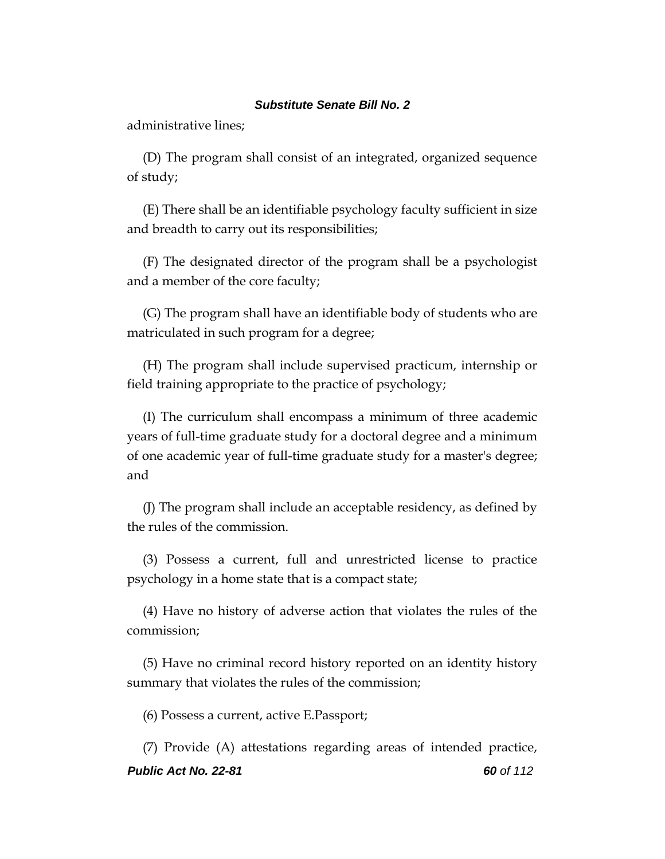administrative lines;

(D) The program shall consist of an integrated, organized sequence of study;

(E) There shall be an identifiable psychology faculty sufficient in size and breadth to carry out its responsibilities;

(F) The designated director of the program shall be a psychologist and a member of the core faculty;

(G) The program shall have an identifiable body of students who are matriculated in such program for a degree;

(H) The program shall include supervised practicum, internship or field training appropriate to the practice of psychology;

(I) The curriculum shall encompass a minimum of three academic years of full-time graduate study for a doctoral degree and a minimum of one academic year of full-time graduate study for a master's degree; and

(J) The program shall include an acceptable residency, as defined by the rules of the commission.

(3) Possess a current, full and unrestricted license to practice psychology in a home state that is a compact state;

(4) Have no history of adverse action that violates the rules of the commission;

(5) Have no criminal record history reported on an identity history summary that violates the rules of the commission;

(6) Possess a current, active E.Passport;

*Public Act No. 22-81 60 of 112* (7) Provide (A) attestations regarding areas of intended practice,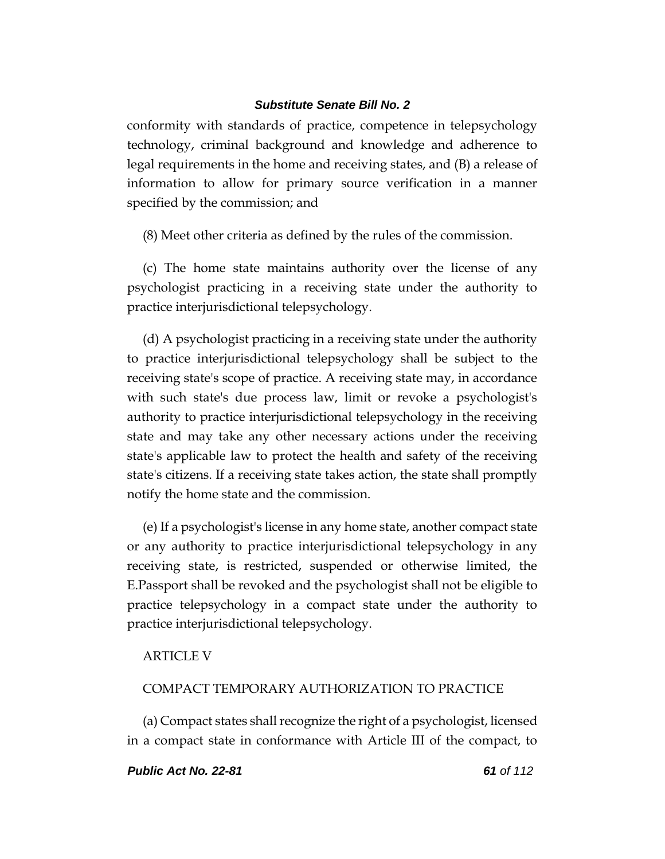conformity with standards of practice, competence in telepsychology technology, criminal background and knowledge and adherence to legal requirements in the home and receiving states, and (B) a release of information to allow for primary source verification in a manner specified by the commission; and

(8) Meet other criteria as defined by the rules of the commission.

(c) The home state maintains authority over the license of any psychologist practicing in a receiving state under the authority to practice interjurisdictional telepsychology.

(d) A psychologist practicing in a receiving state under the authority to practice interjurisdictional telepsychology shall be subject to the receiving state's scope of practice. A receiving state may, in accordance with such state's due process law, limit or revoke a psychologist's authority to practice interjurisdictional telepsychology in the receiving state and may take any other necessary actions under the receiving state's applicable law to protect the health and safety of the receiving state's citizens. If a receiving state takes action, the state shall promptly notify the home state and the commission.

(e) If a psychologist's license in any home state, another compact state or any authority to practice interjurisdictional telepsychology in any receiving state, is restricted, suspended or otherwise limited, the E.Passport shall be revoked and the psychologist shall not be eligible to practice telepsychology in a compact state under the authority to practice interjurisdictional telepsychology.

# ARTICLE V

# COMPACT TEMPORARY AUTHORIZATION TO PRACTICE

(a) Compact states shall recognize the right of a psychologist, licensed in a compact state in conformance with Article III of the compact, to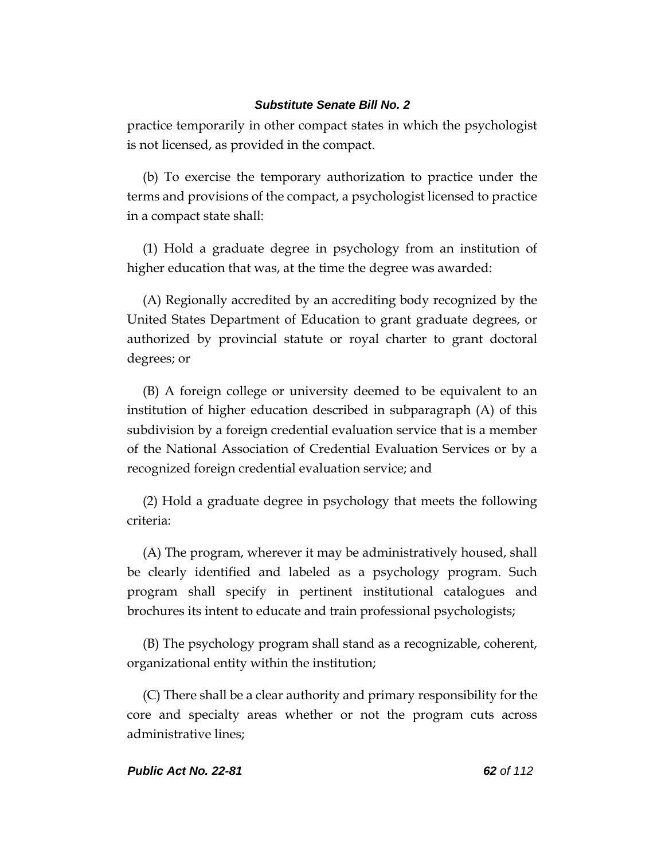practice temporarily in other compact states in which the psychologist is not licensed, as provided in the compact.

(b) To exercise the temporary authorization to practice under the terms and provisions of the compact, a psychologist licensed to practice in a compact state shall:

(1) Hold a graduate degree in psychology from an institution of higher education that was, at the time the degree was awarded:

(A) Regionally accredited by an accrediting body recognized by the United States Department of Education to grant graduate degrees, or authorized by provincial statute or royal charter to grant doctoral degrees; or

(B) A foreign college or university deemed to be equivalent to an institution of higher education described in subparagraph (A) of this subdivision by a foreign credential evaluation service that is a member of the National Association of Credential Evaluation Services or by a recognized foreign credential evaluation service; and

(2) Hold a graduate degree in psychology that meets the following criteria:

(A) The program, wherever it may be administratively housed, shall be clearly identified and labeled as a psychology program. Such program shall specify in pertinent institutional catalogues and brochures its intent to educate and train professional psychologists;

(B) The psychology program shall stand as a recognizable, coherent, organizational entity within the institution;

(C) There shall be a clear authority and primary responsibility for the core and specialty areas whether or not the program cuts across administrative lines;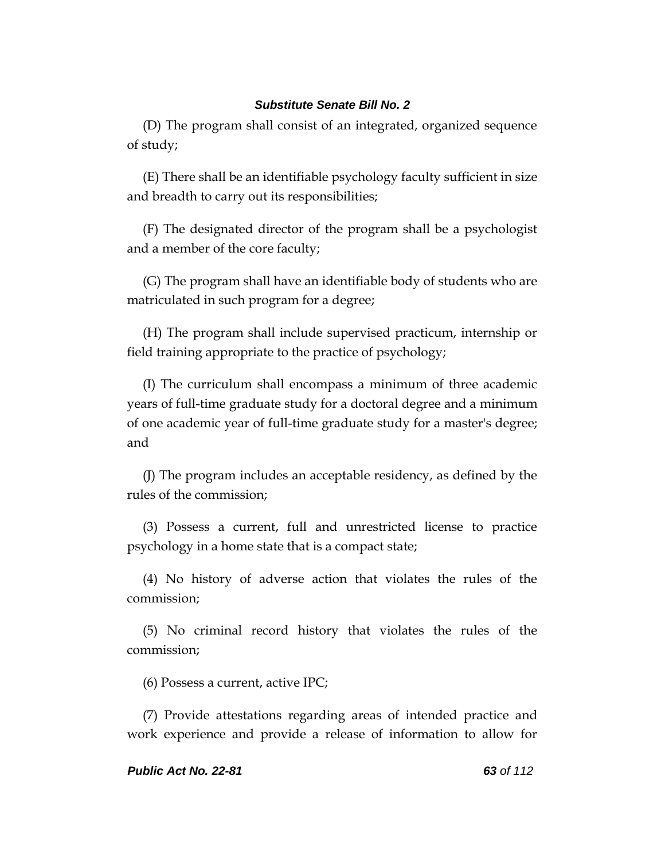(D) The program shall consist of an integrated, organized sequence of study;

(E) There shall be an identifiable psychology faculty sufficient in size and breadth to carry out its responsibilities;

(F) The designated director of the program shall be a psychologist and a member of the core faculty;

(G) The program shall have an identifiable body of students who are matriculated in such program for a degree;

(H) The program shall include supervised practicum, internship or field training appropriate to the practice of psychology;

(I) The curriculum shall encompass a minimum of three academic years of full-time graduate study for a doctoral degree and a minimum of one academic year of full-time graduate study for a master's degree; and

(J) The program includes an acceptable residency, as defined by the rules of the commission;

(3) Possess a current, full and unrestricted license to practice psychology in a home state that is a compact state;

(4) No history of adverse action that violates the rules of the commission;

(5) No criminal record history that violates the rules of the commission;

(6) Possess a current, active IPC;

(7) Provide attestations regarding areas of intended practice and work experience and provide a release of information to allow for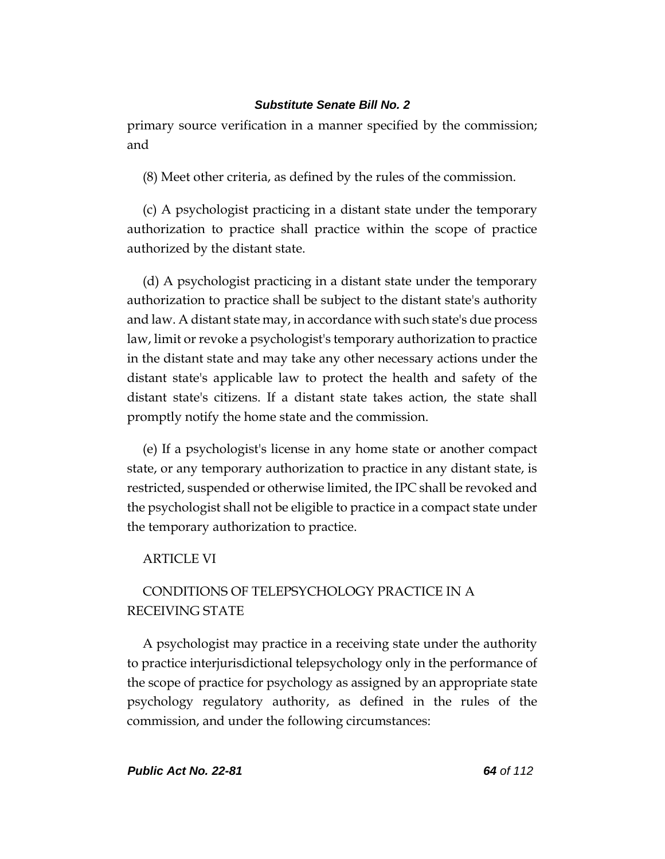primary source verification in a manner specified by the commission; and

(8) Meet other criteria, as defined by the rules of the commission.

(c) A psychologist practicing in a distant state under the temporary authorization to practice shall practice within the scope of practice authorized by the distant state.

(d) A psychologist practicing in a distant state under the temporary authorization to practice shall be subject to the distant state's authority and law. A distant state may, in accordance with such state's due process law, limit or revoke a psychologist's temporary authorization to practice in the distant state and may take any other necessary actions under the distant state's applicable law to protect the health and safety of the distant state's citizens. If a distant state takes action, the state shall promptly notify the home state and the commission.

(e) If a psychologist's license in any home state or another compact state, or any temporary authorization to practice in any distant state, is restricted, suspended or otherwise limited, the IPC shall be revoked and the psychologist shall not be eligible to practice in a compact state under the temporary authorization to practice.

# ARTICLE VI

# CONDITIONS OF TELEPSYCHOLOGY PRACTICE IN A RECEIVING STATE

A psychologist may practice in a receiving state under the authority to practice interjurisdictional telepsychology only in the performance of the scope of practice for psychology as assigned by an appropriate state psychology regulatory authority, as defined in the rules of the commission, and under the following circumstances: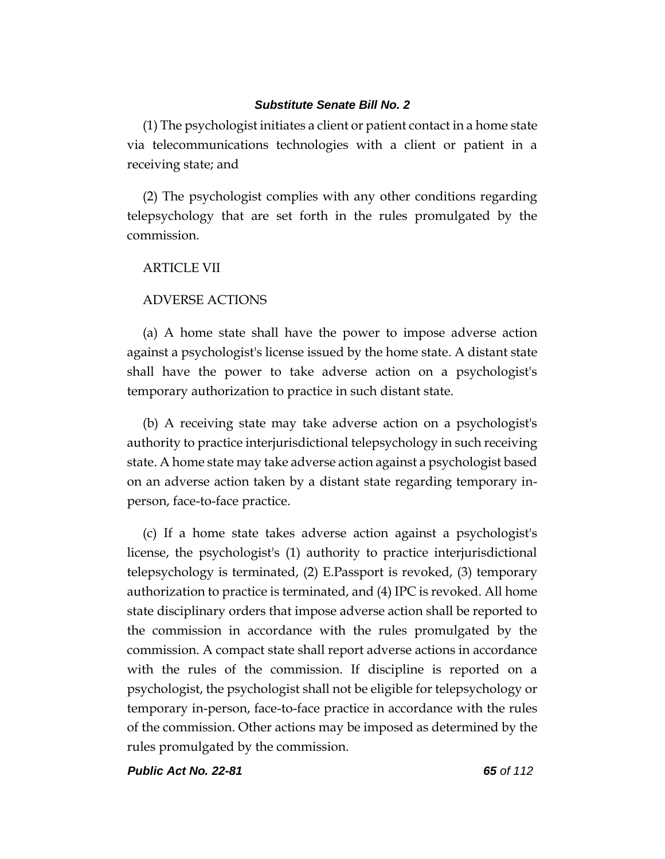(1) The psychologist initiates a client or patient contact in a home state via telecommunications technologies with a client or patient in a receiving state; and

(2) The psychologist complies with any other conditions regarding telepsychology that are set forth in the rules promulgated by the commission.

# ARTICLE VII

# ADVERSE ACTIONS

(a) A home state shall have the power to impose adverse action against a psychologist's license issued by the home state. A distant state shall have the power to take adverse action on a psychologist's temporary authorization to practice in such distant state.

(b) A receiving state may take adverse action on a psychologist's authority to practice interjurisdictional telepsychology in such receiving state. A home state may take adverse action against a psychologist based on an adverse action taken by a distant state regarding temporary inperson, face-to-face practice.

(c) If a home state takes adverse action against a psychologist's license, the psychologist's (1) authority to practice interjurisdictional telepsychology is terminated, (2) E.Passport is revoked, (3) temporary authorization to practice is terminated, and (4) IPC is revoked. All home state disciplinary orders that impose adverse action shall be reported to the commission in accordance with the rules promulgated by the commission. A compact state shall report adverse actions in accordance with the rules of the commission. If discipline is reported on a psychologist, the psychologist shall not be eligible for telepsychology or temporary in-person, face-to-face practice in accordance with the rules of the commission. Other actions may be imposed as determined by the rules promulgated by the commission.

*Public Act No. 22-81 65 of 112*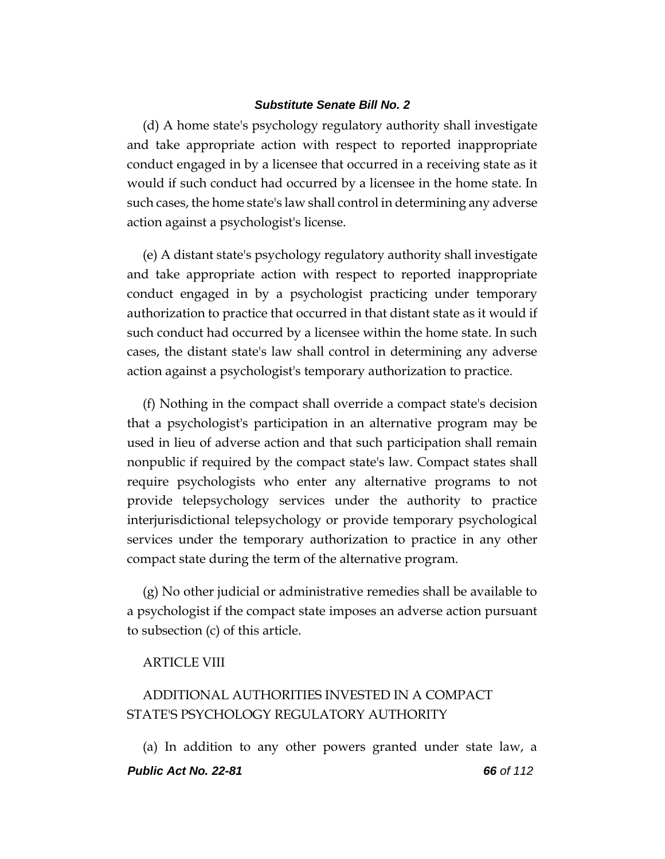(d) A home state's psychology regulatory authority shall investigate and take appropriate action with respect to reported inappropriate conduct engaged in by a licensee that occurred in a receiving state as it would if such conduct had occurred by a licensee in the home state. In such cases, the home state's law shall control in determining any adverse action against a psychologist's license.

(e) A distant state's psychology regulatory authority shall investigate and take appropriate action with respect to reported inappropriate conduct engaged in by a psychologist practicing under temporary authorization to practice that occurred in that distant state as it would if such conduct had occurred by a licensee within the home state. In such cases, the distant state's law shall control in determining any adverse action against a psychologist's temporary authorization to practice.

(f) Nothing in the compact shall override a compact state's decision that a psychologist's participation in an alternative program may be used in lieu of adverse action and that such participation shall remain nonpublic if required by the compact state's law. Compact states shall require psychologists who enter any alternative programs to not provide telepsychology services under the authority to practice interjurisdictional telepsychology or provide temporary psychological services under the temporary authorization to practice in any other compact state during the term of the alternative program.

(g) No other judicial or administrative remedies shall be available to a psychologist if the compact state imposes an adverse action pursuant to subsection (c) of this article.

# ARTICLE VIII

# ADDITIONAL AUTHORITIES INVESTED IN A COMPACT STATE'S PSYCHOLOGY REGULATORY AUTHORITY

*Public Act No. 22-81 66 of 112* (a) In addition to any other powers granted under state law, a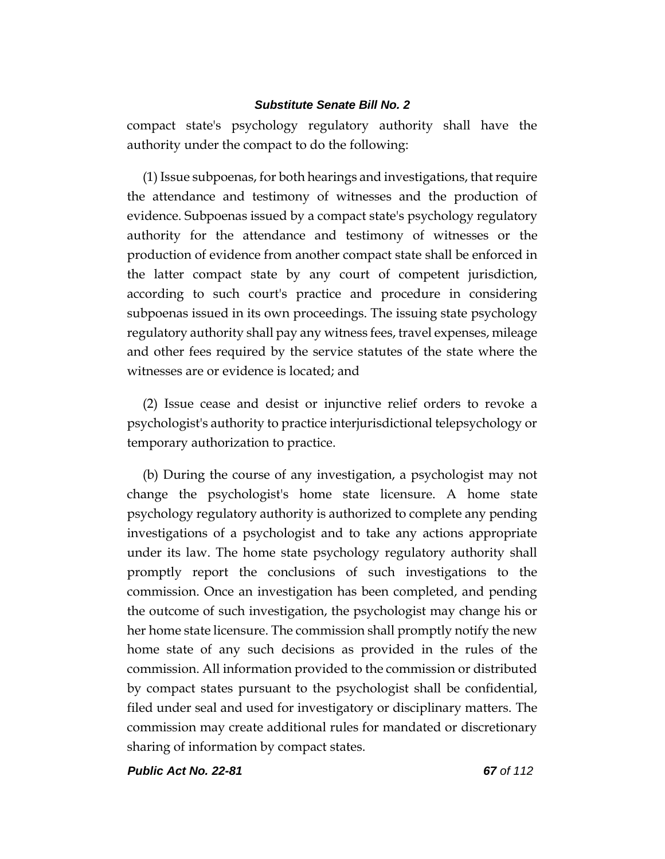compact state's psychology regulatory authority shall have the authority under the compact to do the following:

(1) Issue subpoenas, for both hearings and investigations, that require the attendance and testimony of witnesses and the production of evidence. Subpoenas issued by a compact state's psychology regulatory authority for the attendance and testimony of witnesses or the production of evidence from another compact state shall be enforced in the latter compact state by any court of competent jurisdiction, according to such court's practice and procedure in considering subpoenas issued in its own proceedings. The issuing state psychology regulatory authority shall pay any witness fees, travel expenses, mileage and other fees required by the service statutes of the state where the witnesses are or evidence is located; and

(2) Issue cease and desist or injunctive relief orders to revoke a psychologist's authority to practice interjurisdictional telepsychology or temporary authorization to practice.

(b) During the course of any investigation, a psychologist may not change the psychologist's home state licensure. A home state psychology regulatory authority is authorized to complete any pending investigations of a psychologist and to take any actions appropriate under its law. The home state psychology regulatory authority shall promptly report the conclusions of such investigations to the commission. Once an investigation has been completed, and pending the outcome of such investigation, the psychologist may change his or her home state licensure. The commission shall promptly notify the new home state of any such decisions as provided in the rules of the commission. All information provided to the commission or distributed by compact states pursuant to the psychologist shall be confidential, filed under seal and used for investigatory or disciplinary matters. The commission may create additional rules for mandated or discretionary sharing of information by compact states.

*Public Act No. 22-81 67 of 112*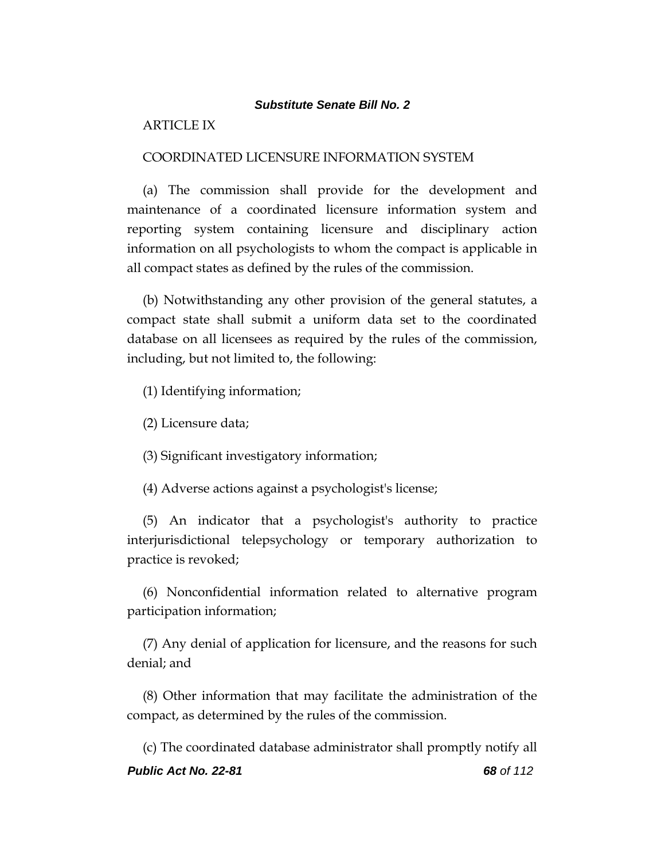# ARTICLE IX

#### COORDINATED LICENSURE INFORMATION SYSTEM

(a) The commission shall provide for the development and maintenance of a coordinated licensure information system and reporting system containing licensure and disciplinary action information on all psychologists to whom the compact is applicable in all compact states as defined by the rules of the commission.

(b) Notwithstanding any other provision of the general statutes, a compact state shall submit a uniform data set to the coordinated database on all licensees as required by the rules of the commission, including, but not limited to, the following:

(1) Identifying information;

(2) Licensure data;

(3) Significant investigatory information;

(4) Adverse actions against a psychologist's license;

(5) An indicator that a psychologist's authority to practice interjurisdictional telepsychology or temporary authorization to practice is revoked;

(6) Nonconfidential information related to alternative program participation information;

(7) Any denial of application for licensure, and the reasons for such denial; and

(8) Other information that may facilitate the administration of the compact, as determined by the rules of the commission.

*Public Act No. 22-81 68 of 112* (c) The coordinated database administrator shall promptly notify all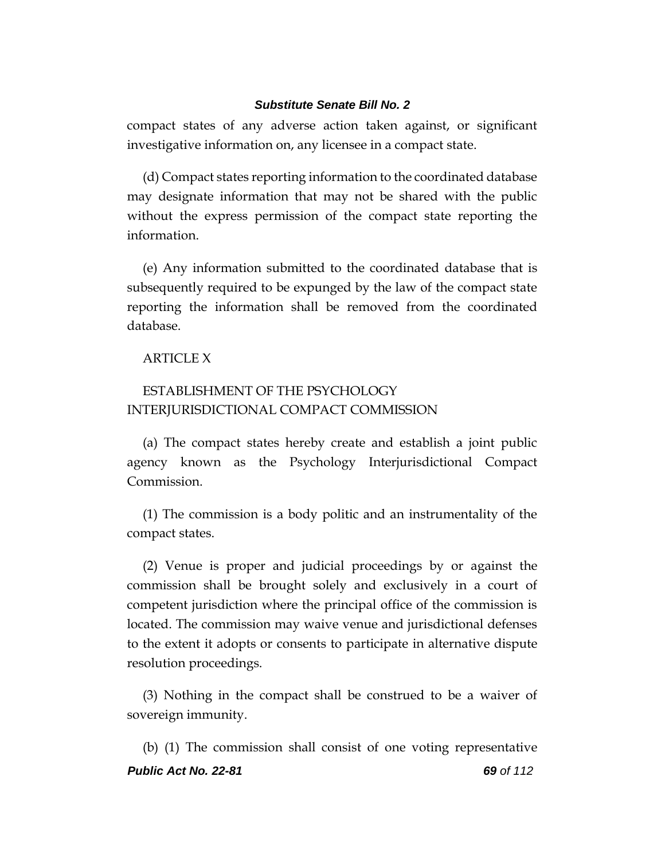compact states of any adverse action taken against, or significant investigative information on, any licensee in a compact state.

(d) Compact states reporting information to the coordinated database may designate information that may not be shared with the public without the express permission of the compact state reporting the information.

(e) Any information submitted to the coordinated database that is subsequently required to be expunged by the law of the compact state reporting the information shall be removed from the coordinated database.

# ARTICLE X

# ESTABLISHMENT OF THE PSYCHOLOGY INTERJURISDICTIONAL COMPACT COMMISSION

(a) The compact states hereby create and establish a joint public agency known as the Psychology Interjurisdictional Compact Commission.

(1) The commission is a body politic and an instrumentality of the compact states.

(2) Venue is proper and judicial proceedings by or against the commission shall be brought solely and exclusively in a court of competent jurisdiction where the principal office of the commission is located. The commission may waive venue and jurisdictional defenses to the extent it adopts or consents to participate in alternative dispute resolution proceedings.

(3) Nothing in the compact shall be construed to be a waiver of sovereign immunity.

*Public Act No. 22-81 69 of 112* (b) (1) The commission shall consist of one voting representative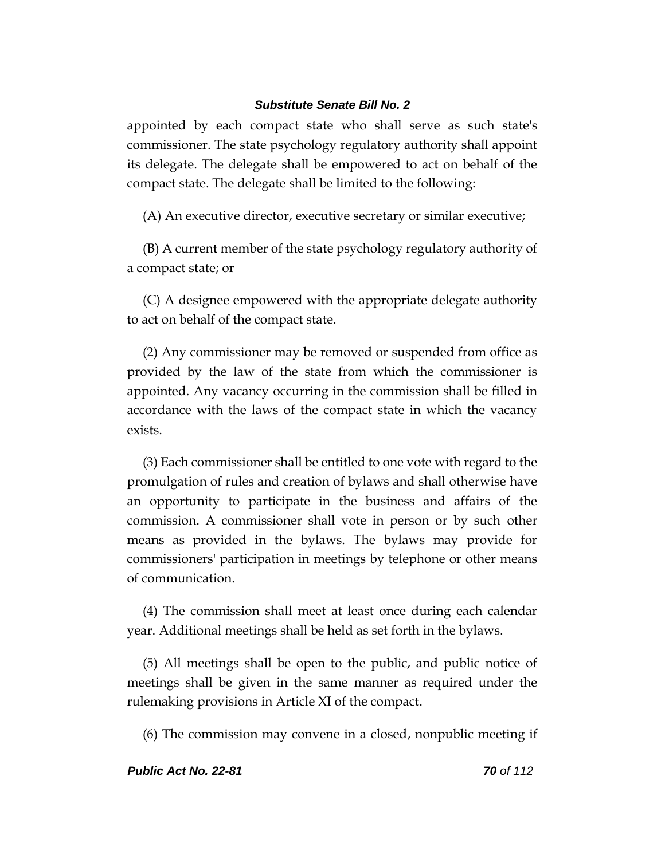appointed by each compact state who shall serve as such state's commissioner. The state psychology regulatory authority shall appoint its delegate. The delegate shall be empowered to act on behalf of the compact state. The delegate shall be limited to the following:

(A) An executive director, executive secretary or similar executive;

(B) A current member of the state psychology regulatory authority of a compact state; or

(C) A designee empowered with the appropriate delegate authority to act on behalf of the compact state.

(2) Any commissioner may be removed or suspended from office as provided by the law of the state from which the commissioner is appointed. Any vacancy occurring in the commission shall be filled in accordance with the laws of the compact state in which the vacancy exists.

(3) Each commissioner shall be entitled to one vote with regard to the promulgation of rules and creation of bylaws and shall otherwise have an opportunity to participate in the business and affairs of the commission. A commissioner shall vote in person or by such other means as provided in the bylaws. The bylaws may provide for commissioners' participation in meetings by telephone or other means of communication.

(4) The commission shall meet at least once during each calendar year. Additional meetings shall be held as set forth in the bylaws.

(5) All meetings shall be open to the public, and public notice of meetings shall be given in the same manner as required under the rulemaking provisions in Article XI of the compact.

(6) The commission may convene in a closed, nonpublic meeting if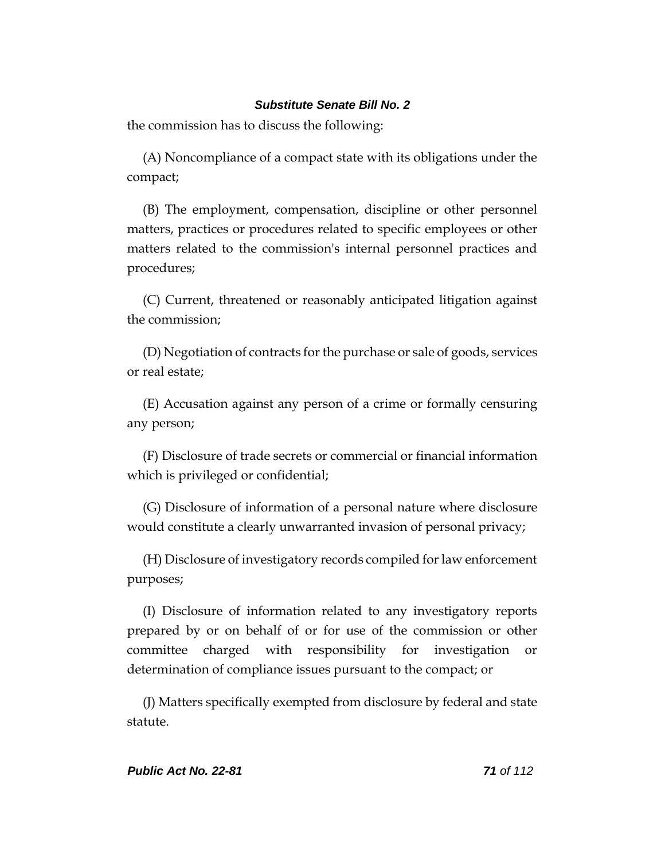the commission has to discuss the following:

(A) Noncompliance of a compact state with its obligations under the compact;

(B) The employment, compensation, discipline or other personnel matters, practices or procedures related to specific employees or other matters related to the commission's internal personnel practices and procedures;

(C) Current, threatened or reasonably anticipated litigation against the commission;

(D) Negotiation of contracts for the purchase or sale of goods, services or real estate;

(E) Accusation against any person of a crime or formally censuring any person;

(F) Disclosure of trade secrets or commercial or financial information which is privileged or confidential;

(G) Disclosure of information of a personal nature where disclosure would constitute a clearly unwarranted invasion of personal privacy;

(H) Disclosure of investigatory records compiled for law enforcement purposes;

(I) Disclosure of information related to any investigatory reports prepared by or on behalf of or for use of the commission or other committee charged with responsibility for investigation or determination of compliance issues pursuant to the compact; or

(J) Matters specifically exempted from disclosure by federal and state statute.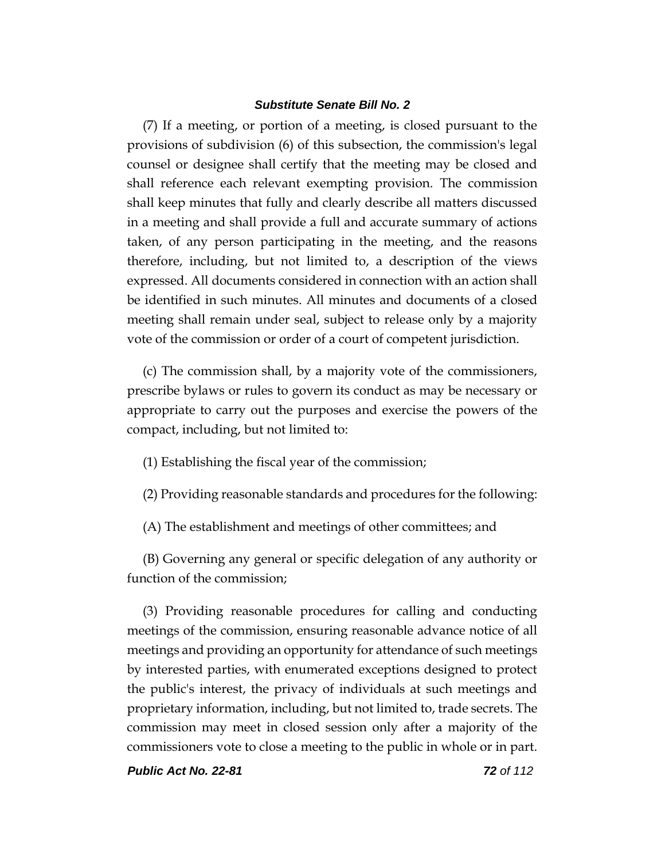(7) If a meeting, or portion of a meeting, is closed pursuant to the provisions of subdivision (6) of this subsection, the commission's legal counsel or designee shall certify that the meeting may be closed and shall reference each relevant exempting provision. The commission shall keep minutes that fully and clearly describe all matters discussed in a meeting and shall provide a full and accurate summary of actions taken, of any person participating in the meeting, and the reasons therefore, including, but not limited to, a description of the views expressed. All documents considered in connection with an action shall be identified in such minutes. All minutes and documents of a closed meeting shall remain under seal, subject to release only by a majority vote of the commission or order of a court of competent jurisdiction.

(c) The commission shall, by a majority vote of the commissioners, prescribe bylaws or rules to govern its conduct as may be necessary or appropriate to carry out the purposes and exercise the powers of the compact, including, but not limited to:

(1) Establishing the fiscal year of the commission;

(2) Providing reasonable standards and procedures for the following:

(A) The establishment and meetings of other committees; and

(B) Governing any general or specific delegation of any authority or function of the commission;

(3) Providing reasonable procedures for calling and conducting meetings of the commission, ensuring reasonable advance notice of all meetings and providing an opportunity for attendance of such meetings by interested parties, with enumerated exceptions designed to protect the public's interest, the privacy of individuals at such meetings and proprietary information, including, but not limited to, trade secrets. The commission may meet in closed session only after a majority of the commissioners vote to close a meeting to the public in whole or in part.

*Public Act No. 22-81 72 of 112*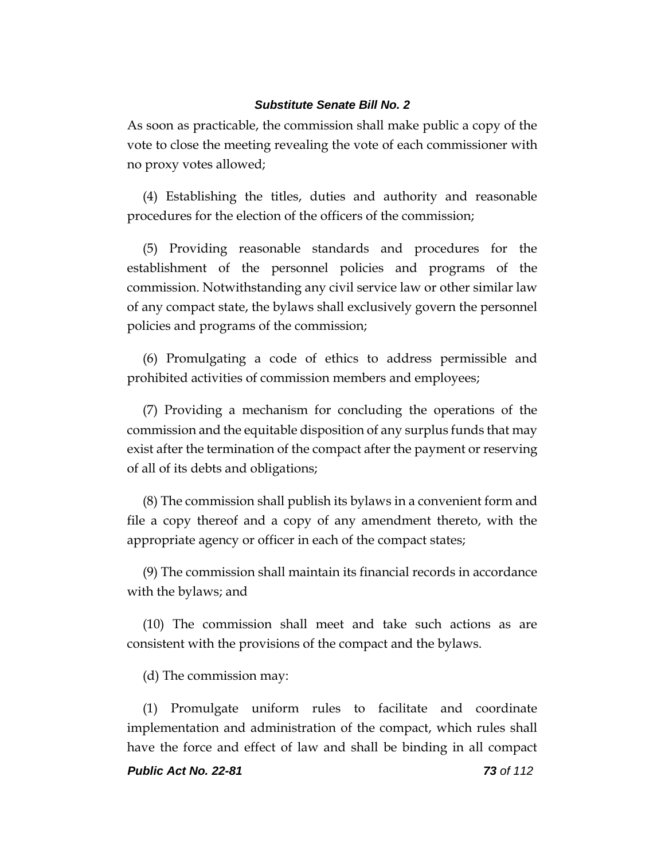As soon as practicable, the commission shall make public a copy of the vote to close the meeting revealing the vote of each commissioner with no proxy votes allowed;

(4) Establishing the titles, duties and authority and reasonable procedures for the election of the officers of the commission;

(5) Providing reasonable standards and procedures for the establishment of the personnel policies and programs of the commission. Notwithstanding any civil service law or other similar law of any compact state, the bylaws shall exclusively govern the personnel policies and programs of the commission;

(6) Promulgating a code of ethics to address permissible and prohibited activities of commission members and employees;

(7) Providing a mechanism for concluding the operations of the commission and the equitable disposition of any surplus funds that may exist after the termination of the compact after the payment or reserving of all of its debts and obligations;

(8) The commission shall publish its bylaws in a convenient form and file a copy thereof and a copy of any amendment thereto, with the appropriate agency or officer in each of the compact states;

(9) The commission shall maintain its financial records in accordance with the bylaws; and

(10) The commission shall meet and take such actions as are consistent with the provisions of the compact and the bylaws.

(d) The commission may:

(1) Promulgate uniform rules to facilitate and coordinate implementation and administration of the compact, which rules shall have the force and effect of law and shall be binding in all compact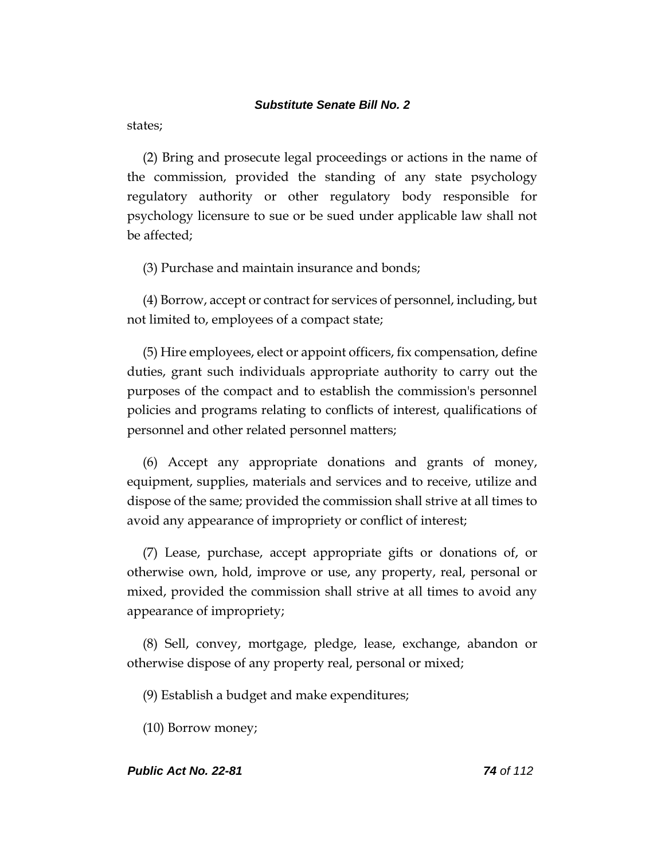states;

(2) Bring and prosecute legal proceedings or actions in the name of the commission, provided the standing of any state psychology regulatory authority or other regulatory body responsible for psychology licensure to sue or be sued under applicable law shall not be affected;

(3) Purchase and maintain insurance and bonds;

(4) Borrow, accept or contract for services of personnel, including, but not limited to, employees of a compact state;

(5) Hire employees, elect or appoint officers, fix compensation, define duties, grant such individuals appropriate authority to carry out the purposes of the compact and to establish the commission's personnel policies and programs relating to conflicts of interest, qualifications of personnel and other related personnel matters;

(6) Accept any appropriate donations and grants of money, equipment, supplies, materials and services and to receive, utilize and dispose of the same; provided the commission shall strive at all times to avoid any appearance of impropriety or conflict of interest;

(7) Lease, purchase, accept appropriate gifts or donations of, or otherwise own, hold, improve or use, any property, real, personal or mixed, provided the commission shall strive at all times to avoid any appearance of impropriety;

(8) Sell, convey, mortgage, pledge, lease, exchange, abandon or otherwise dispose of any property real, personal or mixed;

(9) Establish a budget and make expenditures;

(10) Borrow money;

### *Public Act No. 22-81 74 of 112*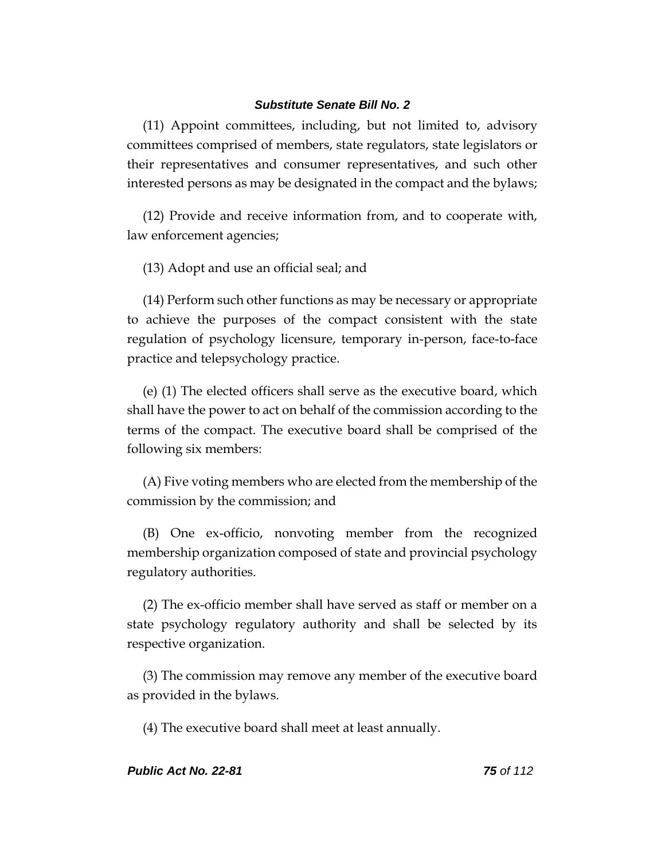(11) Appoint committees, including, but not limited to, advisory committees comprised of members, state regulators, state legislators or their representatives and consumer representatives, and such other interested persons as may be designated in the compact and the bylaws;

(12) Provide and receive information from, and to cooperate with, law enforcement agencies;

(13) Adopt and use an official seal; and

(14) Perform such other functions as may be necessary or appropriate to achieve the purposes of the compact consistent with the state regulation of psychology licensure, temporary in-person, face-to-face practice and telepsychology practice.

(e) (1) The elected officers shall serve as the executive board, which shall have the power to act on behalf of the commission according to the terms of the compact. The executive board shall be comprised of the following six members:

(A) Five voting members who are elected from the membership of the commission by the commission; and

(B) One ex-officio, nonvoting member from the recognized membership organization composed of state and provincial psychology regulatory authorities.

(2) The ex-officio member shall have served as staff or member on a state psychology regulatory authority and shall be selected by its respective organization.

(3) The commission may remove any member of the executive board as provided in the bylaws.

(4) The executive board shall meet at least annually.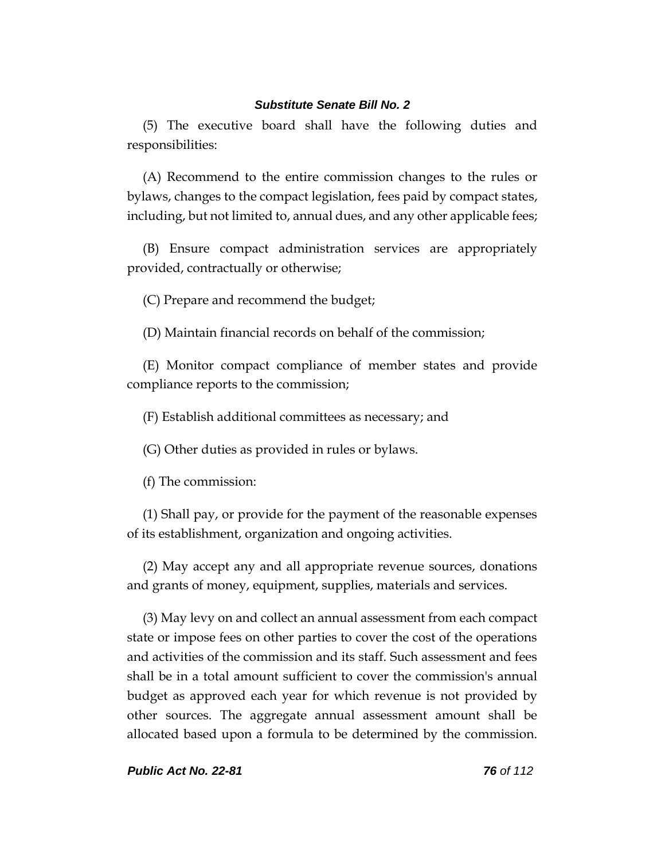(5) The executive board shall have the following duties and responsibilities:

(A) Recommend to the entire commission changes to the rules or bylaws, changes to the compact legislation, fees paid by compact states, including, but not limited to, annual dues, and any other applicable fees;

(B) Ensure compact administration services are appropriately provided, contractually or otherwise;

(C) Prepare and recommend the budget;

(D) Maintain financial records on behalf of the commission;

(E) Monitor compact compliance of member states and provide compliance reports to the commission;

(F) Establish additional committees as necessary; and

(G) Other duties as provided in rules or bylaws.

(f) The commission:

(1) Shall pay, or provide for the payment of the reasonable expenses of its establishment, organization and ongoing activities.

(2) May accept any and all appropriate revenue sources, donations and grants of money, equipment, supplies, materials and services.

(3) May levy on and collect an annual assessment from each compact state or impose fees on other parties to cover the cost of the operations and activities of the commission and its staff. Such assessment and fees shall be in a total amount sufficient to cover the commission's annual budget as approved each year for which revenue is not provided by other sources. The aggregate annual assessment amount shall be allocated based upon a formula to be determined by the commission.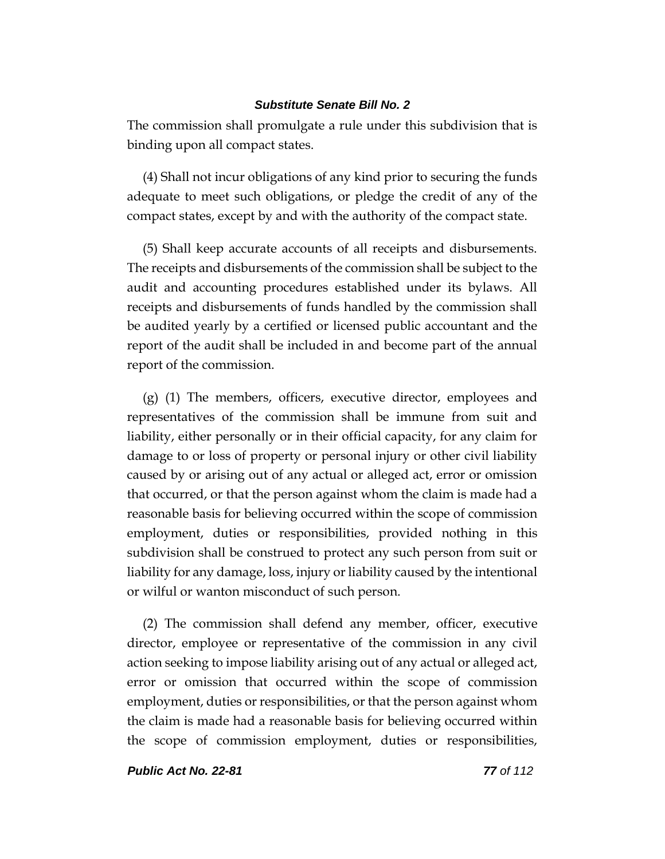The commission shall promulgate a rule under this subdivision that is binding upon all compact states.

(4) Shall not incur obligations of any kind prior to securing the funds adequate to meet such obligations, or pledge the credit of any of the compact states, except by and with the authority of the compact state.

(5) Shall keep accurate accounts of all receipts and disbursements. The receipts and disbursements of the commission shall be subject to the audit and accounting procedures established under its bylaws. All receipts and disbursements of funds handled by the commission shall be audited yearly by a certified or licensed public accountant and the report of the audit shall be included in and become part of the annual report of the commission.

(g) (1) The members, officers, executive director, employees and representatives of the commission shall be immune from suit and liability, either personally or in their official capacity, for any claim for damage to or loss of property or personal injury or other civil liability caused by or arising out of any actual or alleged act, error or omission that occurred, or that the person against whom the claim is made had a reasonable basis for believing occurred within the scope of commission employment, duties or responsibilities, provided nothing in this subdivision shall be construed to protect any such person from suit or liability for any damage, loss, injury or liability caused by the intentional or wilful or wanton misconduct of such person.

(2) The commission shall defend any member, officer, executive director, employee or representative of the commission in any civil action seeking to impose liability arising out of any actual or alleged act, error or omission that occurred within the scope of commission employment, duties or responsibilities, or that the person against whom the claim is made had a reasonable basis for believing occurred within the scope of commission employment, duties or responsibilities,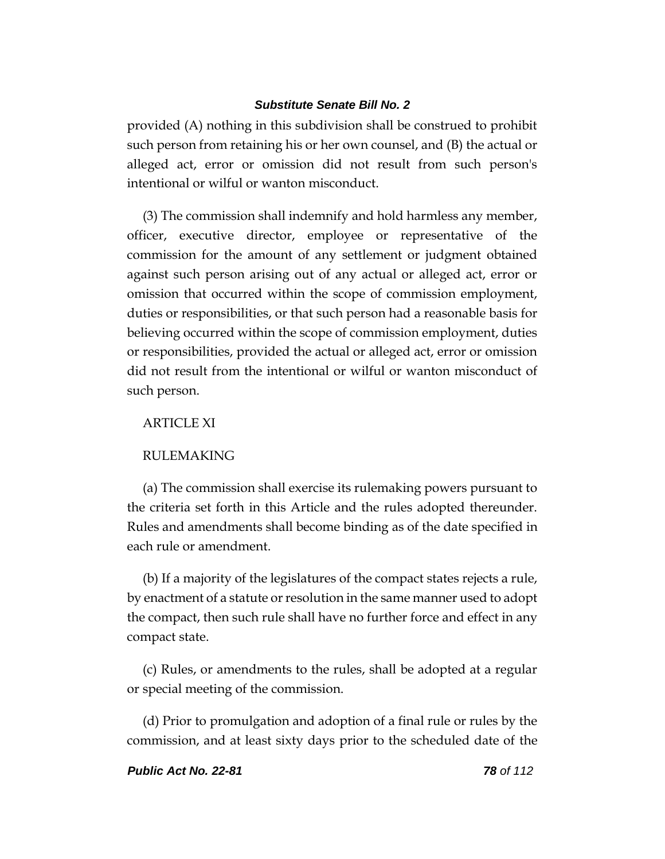provided (A) nothing in this subdivision shall be construed to prohibit such person from retaining his or her own counsel, and (B) the actual or alleged act, error or omission did not result from such person's intentional or wilful or wanton misconduct.

(3) The commission shall indemnify and hold harmless any member, officer, executive director, employee or representative of the commission for the amount of any settlement or judgment obtained against such person arising out of any actual or alleged act, error or omission that occurred within the scope of commission employment, duties or responsibilities, or that such person had a reasonable basis for believing occurred within the scope of commission employment, duties or responsibilities, provided the actual or alleged act, error or omission did not result from the intentional or wilful or wanton misconduct of such person.

## ARTICLE XI

### RULEMAKING

(a) The commission shall exercise its rulemaking powers pursuant to the criteria set forth in this Article and the rules adopted thereunder. Rules and amendments shall become binding as of the date specified in each rule or amendment.

(b) If a majority of the legislatures of the compact states rejects a rule, by enactment of a statute or resolution in the same manner used to adopt the compact, then such rule shall have no further force and effect in any compact state.

(c) Rules, or amendments to the rules, shall be adopted at a regular or special meeting of the commission.

(d) Prior to promulgation and adoption of a final rule or rules by the commission, and at least sixty days prior to the scheduled date of the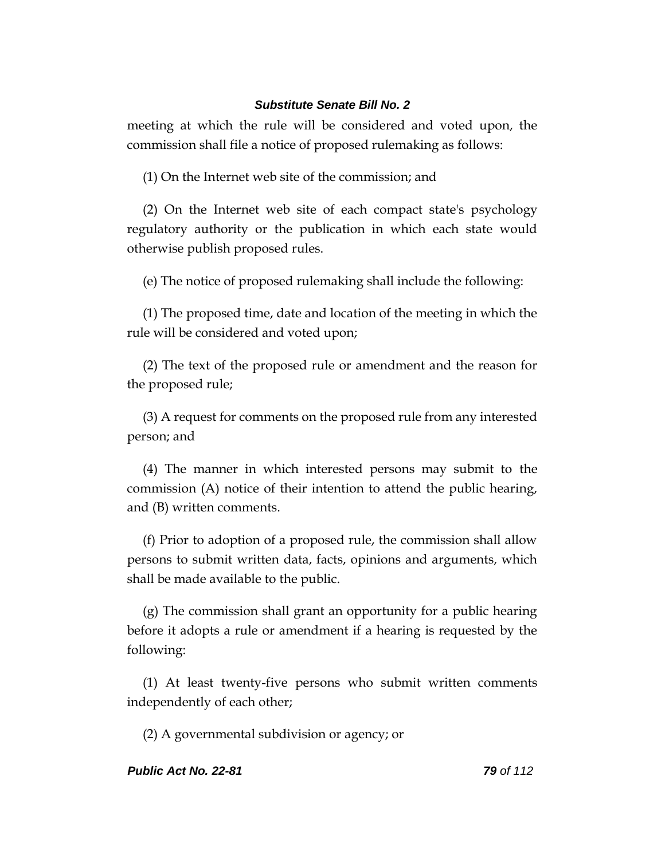meeting at which the rule will be considered and voted upon, the commission shall file a notice of proposed rulemaking as follows:

(1) On the Internet web site of the commission; and

(2) On the Internet web site of each compact state's psychology regulatory authority or the publication in which each state would otherwise publish proposed rules.

(e) The notice of proposed rulemaking shall include the following:

(1) The proposed time, date and location of the meeting in which the rule will be considered and voted upon;

(2) The text of the proposed rule or amendment and the reason for the proposed rule;

(3) A request for comments on the proposed rule from any interested person; and

(4) The manner in which interested persons may submit to the commission (A) notice of their intention to attend the public hearing, and (B) written comments.

(f) Prior to adoption of a proposed rule, the commission shall allow persons to submit written data, facts, opinions and arguments, which shall be made available to the public.

(g) The commission shall grant an opportunity for a public hearing before it adopts a rule or amendment if a hearing is requested by the following:

(1) At least twenty-five persons who submit written comments independently of each other;

(2) A governmental subdivision or agency; or

### *Public Act No. 22-81 79 of 112*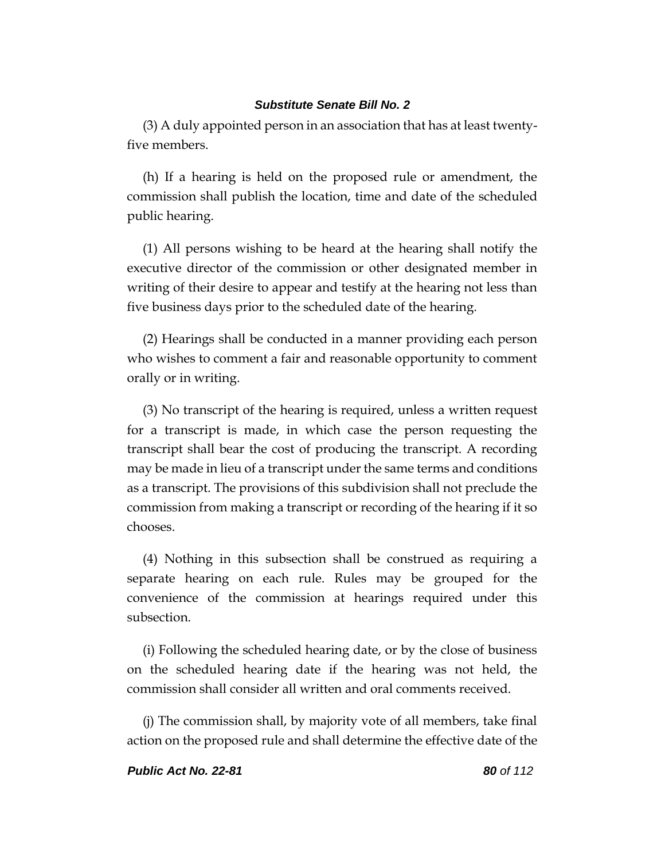(3) A duly appointed person in an association that has at least twentyfive members.

(h) If a hearing is held on the proposed rule or amendment, the commission shall publish the location, time and date of the scheduled public hearing.

(1) All persons wishing to be heard at the hearing shall notify the executive director of the commission or other designated member in writing of their desire to appear and testify at the hearing not less than five business days prior to the scheduled date of the hearing.

(2) Hearings shall be conducted in a manner providing each person who wishes to comment a fair and reasonable opportunity to comment orally or in writing.

(3) No transcript of the hearing is required, unless a written request for a transcript is made, in which case the person requesting the transcript shall bear the cost of producing the transcript. A recording may be made in lieu of a transcript under the same terms and conditions as a transcript. The provisions of this subdivision shall not preclude the commission from making a transcript or recording of the hearing if it so chooses.

(4) Nothing in this subsection shall be construed as requiring a separate hearing on each rule. Rules may be grouped for the convenience of the commission at hearings required under this subsection.

(i) Following the scheduled hearing date, or by the close of business on the scheduled hearing date if the hearing was not held, the commission shall consider all written and oral comments received.

(j) The commission shall, by majority vote of all members, take final action on the proposed rule and shall determine the effective date of the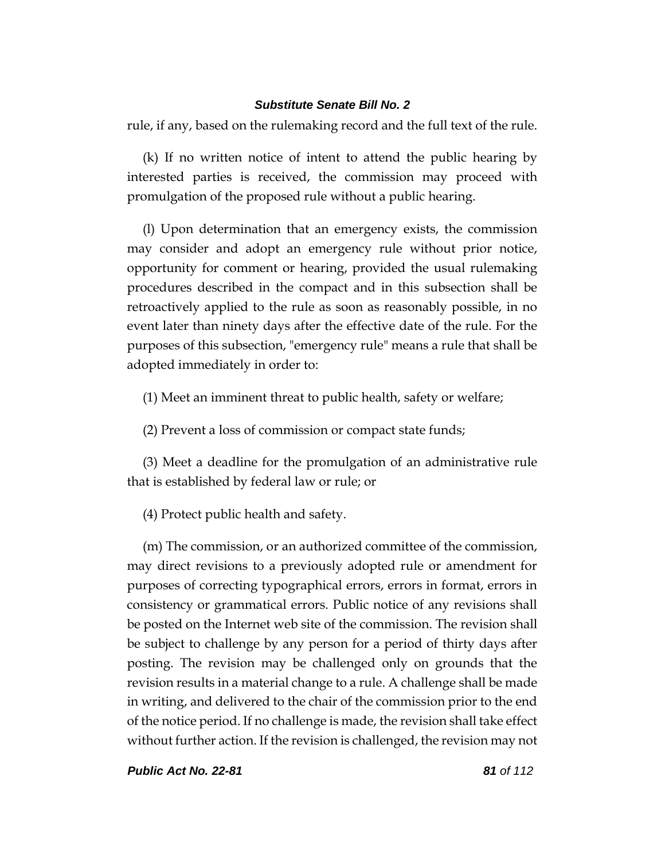rule, if any, based on the rulemaking record and the full text of the rule.

(k) If no written notice of intent to attend the public hearing by interested parties is received, the commission may proceed with promulgation of the proposed rule without a public hearing.

(l) Upon determination that an emergency exists, the commission may consider and adopt an emergency rule without prior notice, opportunity for comment or hearing, provided the usual rulemaking procedures described in the compact and in this subsection shall be retroactively applied to the rule as soon as reasonably possible, in no event later than ninety days after the effective date of the rule. For the purposes of this subsection, "emergency rule" means a rule that shall be adopted immediately in order to:

(1) Meet an imminent threat to public health, safety or welfare;

(2) Prevent a loss of commission or compact state funds;

(3) Meet a deadline for the promulgation of an administrative rule that is established by federal law or rule; or

(4) Protect public health and safety.

(m) The commission, or an authorized committee of the commission, may direct revisions to a previously adopted rule or amendment for purposes of correcting typographical errors, errors in format, errors in consistency or grammatical errors. Public notice of any revisions shall be posted on the Internet web site of the commission. The revision shall be subject to challenge by any person for a period of thirty days after posting. The revision may be challenged only on grounds that the revision results in a material change to a rule. A challenge shall be made in writing, and delivered to the chair of the commission prior to the end of the notice period. If no challenge is made, the revision shall take effect without further action. If the revision is challenged, the revision may not

*Public Act No. 22-81 81 of 112*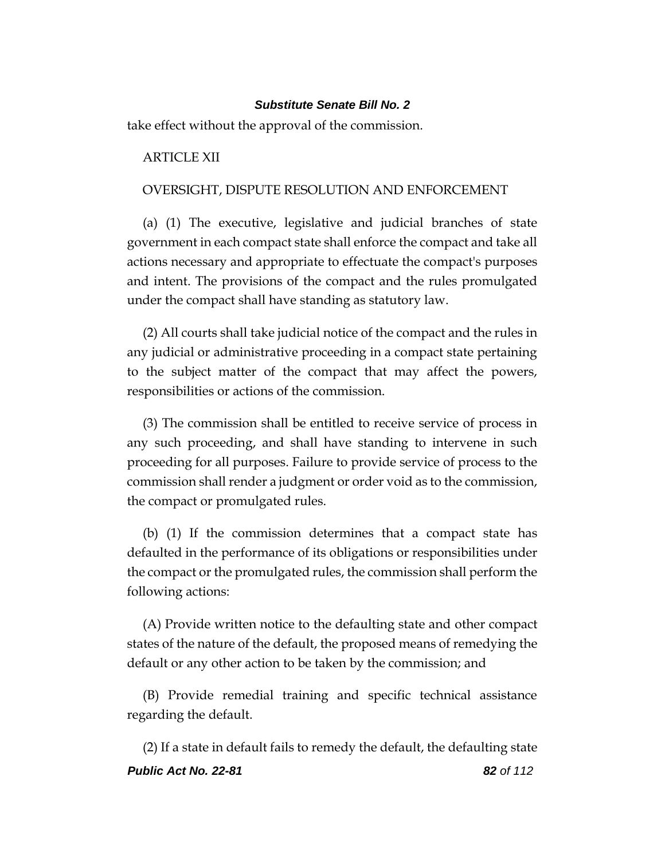take effect without the approval of the commission.

## ARTICLE XII

## OVERSIGHT, DISPUTE RESOLUTION AND ENFORCEMENT

(a) (1) The executive, legislative and judicial branches of state government in each compact state shall enforce the compact and take all actions necessary and appropriate to effectuate the compact's purposes and intent. The provisions of the compact and the rules promulgated under the compact shall have standing as statutory law.

(2) All courts shall take judicial notice of the compact and the rules in any judicial or administrative proceeding in a compact state pertaining to the subject matter of the compact that may affect the powers, responsibilities or actions of the commission.

(3) The commission shall be entitled to receive service of process in any such proceeding, and shall have standing to intervene in such proceeding for all purposes. Failure to provide service of process to the commission shall render a judgment or order void as to the commission, the compact or promulgated rules.

(b) (1) If the commission determines that a compact state has defaulted in the performance of its obligations or responsibilities under the compact or the promulgated rules, the commission shall perform the following actions:

(A) Provide written notice to the defaulting state and other compact states of the nature of the default, the proposed means of remedying the default or any other action to be taken by the commission; and

(B) Provide remedial training and specific technical assistance regarding the default.

*Public Act No. 22-81 82 of 112* (2) If a state in default fails to remedy the default, the defaulting state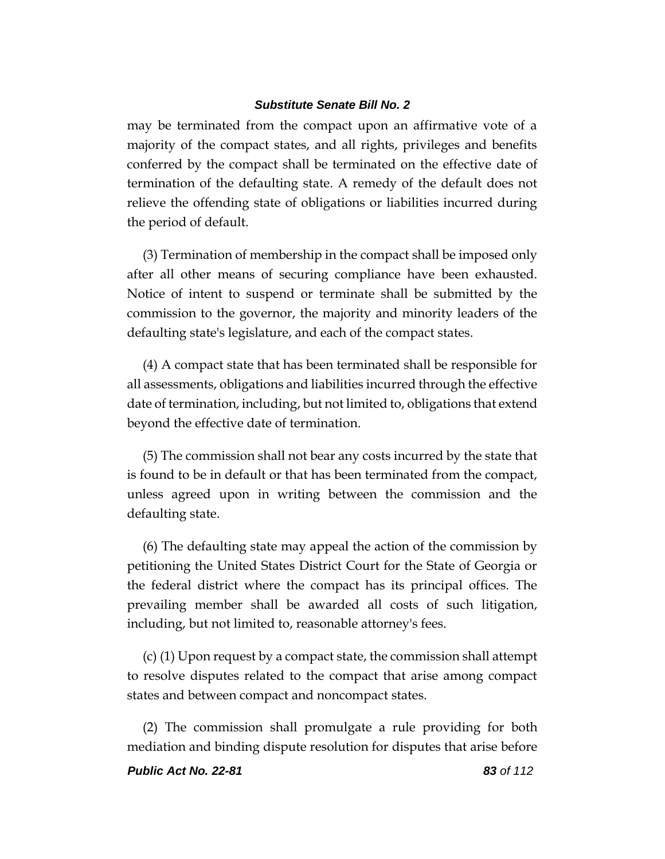may be terminated from the compact upon an affirmative vote of a majority of the compact states, and all rights, privileges and benefits conferred by the compact shall be terminated on the effective date of termination of the defaulting state. A remedy of the default does not relieve the offending state of obligations or liabilities incurred during the period of default.

(3) Termination of membership in the compact shall be imposed only after all other means of securing compliance have been exhausted. Notice of intent to suspend or terminate shall be submitted by the commission to the governor, the majority and minority leaders of the defaulting state's legislature, and each of the compact states.

(4) A compact state that has been terminated shall be responsible for all assessments, obligations and liabilities incurred through the effective date of termination, including, but not limited to, obligations that extend beyond the effective date of termination.

(5) The commission shall not bear any costs incurred by the state that is found to be in default or that has been terminated from the compact, unless agreed upon in writing between the commission and the defaulting state.

(6) The defaulting state may appeal the action of the commission by petitioning the United States District Court for the State of Georgia or the federal district where the compact has its principal offices. The prevailing member shall be awarded all costs of such litigation, including, but not limited to, reasonable attorney's fees.

(c) (1) Upon request by a compact state, the commission shall attempt to resolve disputes related to the compact that arise among compact states and between compact and noncompact states.

(2) The commission shall promulgate a rule providing for both mediation and binding dispute resolution for disputes that arise before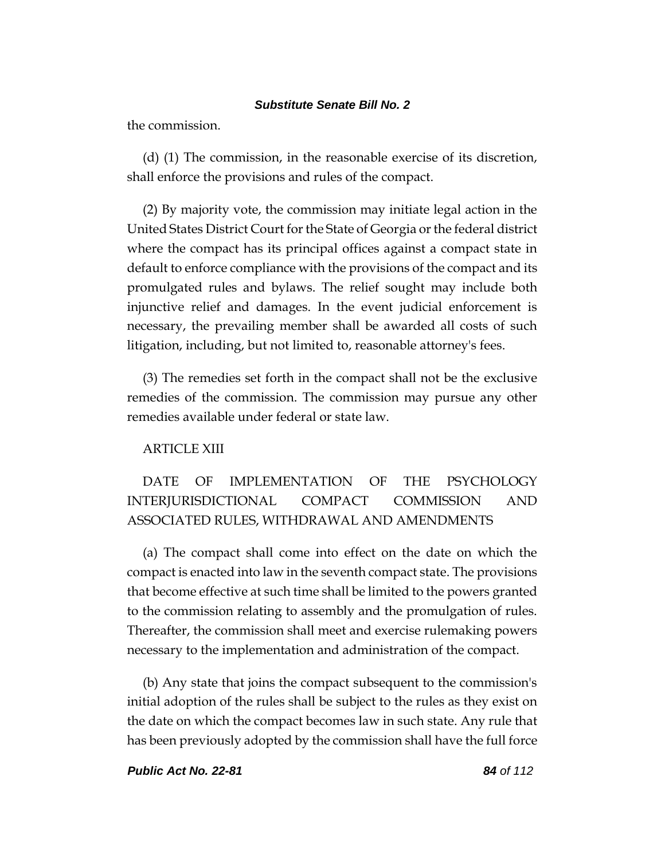the commission.

(d) (1) The commission, in the reasonable exercise of its discretion, shall enforce the provisions and rules of the compact.

(2) By majority vote, the commission may initiate legal action in the United States District Court for the State of Georgia or the federal district where the compact has its principal offices against a compact state in default to enforce compliance with the provisions of the compact and its promulgated rules and bylaws. The relief sought may include both injunctive relief and damages. In the event judicial enforcement is necessary, the prevailing member shall be awarded all costs of such litigation, including, but not limited to, reasonable attorney's fees.

(3) The remedies set forth in the compact shall not be the exclusive remedies of the commission. The commission may pursue any other remedies available under federal or state law.

### ARTICLE XIII

# DATE OF IMPLEMENTATION OF THE PSYCHOLOGY INTERJURISDICTIONAL COMPACT COMMISSION AND ASSOCIATED RULES, WITHDRAWAL AND AMENDMENTS

(a) The compact shall come into effect on the date on which the compact is enacted into law in the seventh compact state. The provisions that become effective at such time shall be limited to the powers granted to the commission relating to assembly and the promulgation of rules. Thereafter, the commission shall meet and exercise rulemaking powers necessary to the implementation and administration of the compact.

(b) Any state that joins the compact subsequent to the commission's initial adoption of the rules shall be subject to the rules as they exist on the date on which the compact becomes law in such state. Any rule that has been previously adopted by the commission shall have the full force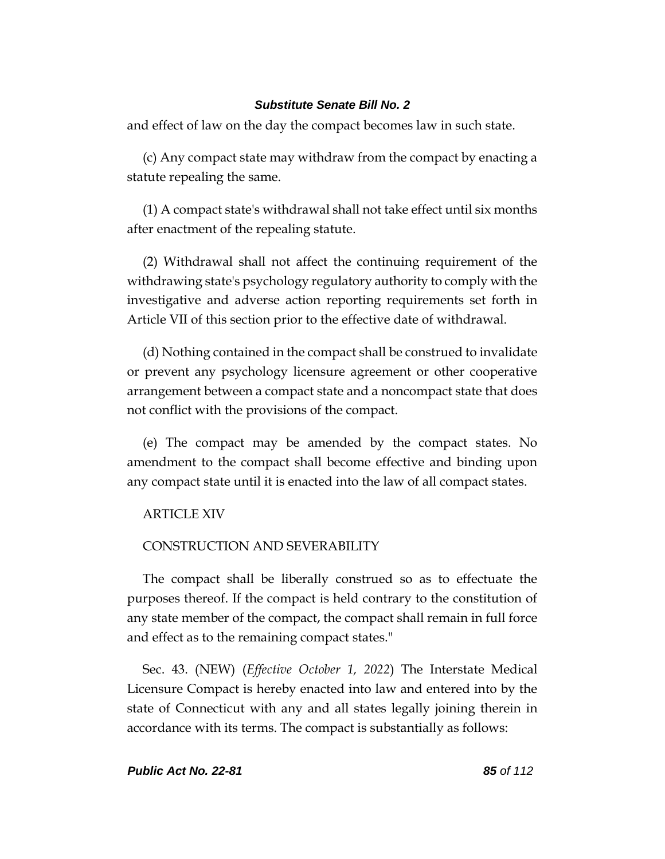and effect of law on the day the compact becomes law in such state.

(c) Any compact state may withdraw from the compact by enacting a statute repealing the same.

(1) A compact state's withdrawal shall not take effect until six months after enactment of the repealing statute.

(2) Withdrawal shall not affect the continuing requirement of the withdrawing state's psychology regulatory authority to comply with the investigative and adverse action reporting requirements set forth in Article VII of this section prior to the effective date of withdrawal.

(d) Nothing contained in the compact shall be construed to invalidate or prevent any psychology licensure agreement or other cooperative arrangement between a compact state and a noncompact state that does not conflict with the provisions of the compact.

(e) The compact may be amended by the compact states. No amendment to the compact shall become effective and binding upon any compact state until it is enacted into the law of all compact states.

### ARTICLE XIV

### CONSTRUCTION AND SEVERABILITY

The compact shall be liberally construed so as to effectuate the purposes thereof. If the compact is held contrary to the constitution of any state member of the compact, the compact shall remain in full force and effect as to the remaining compact states."

Sec. 43. (NEW) (*Effective October 1, 2022*) The Interstate Medical Licensure Compact is hereby enacted into law and entered into by the state of Connecticut with any and all states legally joining therein in accordance with its terms. The compact is substantially as follows: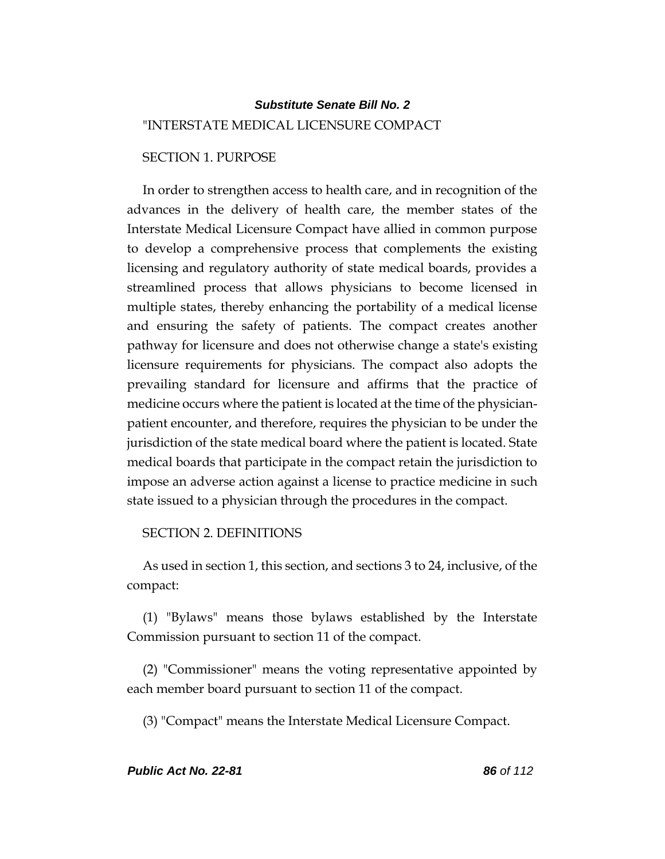# *Substitute Senate Bill No. 2* "INTERSTATE MEDICAL LICENSURE COMPACT

## SECTION 1. PURPOSE

In order to strengthen access to health care, and in recognition of the advances in the delivery of health care, the member states of the Interstate Medical Licensure Compact have allied in common purpose to develop a comprehensive process that complements the existing licensing and regulatory authority of state medical boards, provides a streamlined process that allows physicians to become licensed in multiple states, thereby enhancing the portability of a medical license and ensuring the safety of patients. The compact creates another pathway for licensure and does not otherwise change a state's existing licensure requirements for physicians. The compact also adopts the prevailing standard for licensure and affirms that the practice of medicine occurs where the patient is located at the time of the physicianpatient encounter, and therefore, requires the physician to be under the jurisdiction of the state medical board where the patient is located. State medical boards that participate in the compact retain the jurisdiction to impose an adverse action against a license to practice medicine in such state issued to a physician through the procedures in the compact.

SECTION 2. DEFINITIONS

As used in section 1, this section, and sections 3 to 24, inclusive, of the compact:

(1) "Bylaws" means those bylaws established by the Interstate Commission pursuant to section 11 of the compact.

(2) "Commissioner" means the voting representative appointed by each member board pursuant to section 11 of the compact.

(3) "Compact" means the Interstate Medical Licensure Compact.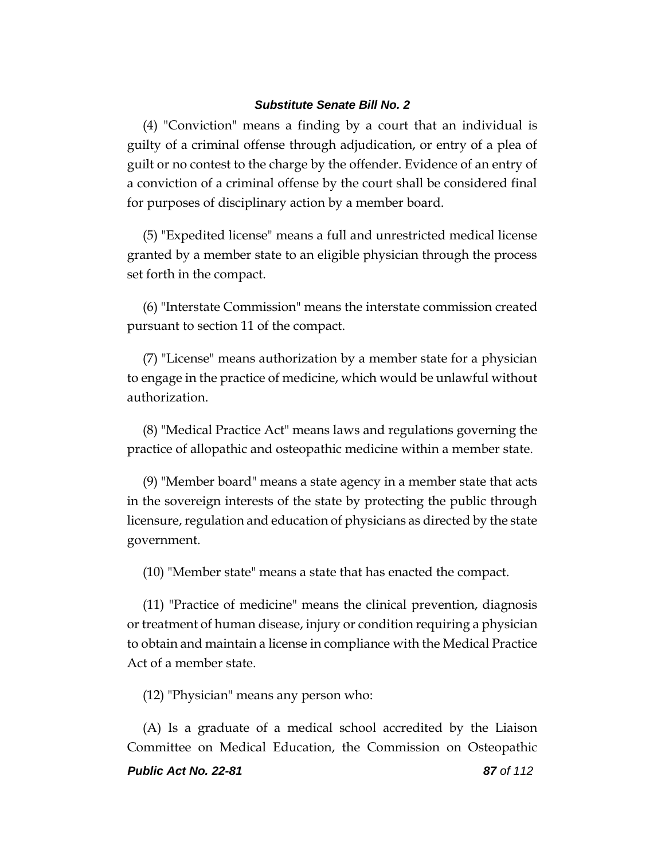(4) "Conviction" means a finding by a court that an individual is guilty of a criminal offense through adjudication, or entry of a plea of guilt or no contest to the charge by the offender. Evidence of an entry of a conviction of a criminal offense by the court shall be considered final for purposes of disciplinary action by a member board.

(5) "Expedited license" means a full and unrestricted medical license granted by a member state to an eligible physician through the process set forth in the compact.

(6) "Interstate Commission" means the interstate commission created pursuant to section 11 of the compact.

(7) "License" means authorization by a member state for a physician to engage in the practice of medicine, which would be unlawful without authorization.

(8) "Medical Practice Act" means laws and regulations governing the practice of allopathic and osteopathic medicine within a member state.

(9) "Member board" means a state agency in a member state that acts in the sovereign interests of the state by protecting the public through licensure, regulation and education of physicians as directed by the state government.

(10) "Member state" means a state that has enacted the compact.

(11) "Practice of medicine" means the clinical prevention, diagnosis or treatment of human disease, injury or condition requiring a physician to obtain and maintain a license in compliance with the Medical Practice Act of a member state.

(12) "Physician" means any person who:

(A) Is a graduate of a medical school accredited by the Liaison Committee on Medical Education, the Commission on Osteopathic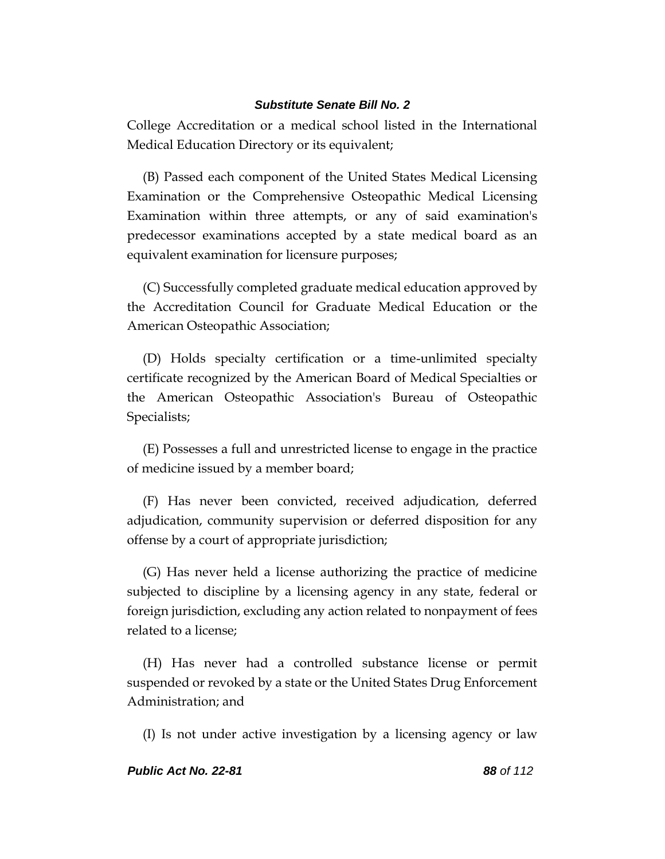College Accreditation or a medical school listed in the International Medical Education Directory or its equivalent;

(B) Passed each component of the United States Medical Licensing Examination or the Comprehensive Osteopathic Medical Licensing Examination within three attempts, or any of said examination's predecessor examinations accepted by a state medical board as an equivalent examination for licensure purposes;

(C) Successfully completed graduate medical education approved by the Accreditation Council for Graduate Medical Education or the American Osteopathic Association;

(D) Holds specialty certification or a time-unlimited specialty certificate recognized by the American Board of Medical Specialties or the American Osteopathic Association's Bureau of Osteopathic Specialists;

(E) Possesses a full and unrestricted license to engage in the practice of medicine issued by a member board;

(F) Has never been convicted, received adjudication, deferred adjudication, community supervision or deferred disposition for any offense by a court of appropriate jurisdiction;

(G) Has never held a license authorizing the practice of medicine subjected to discipline by a licensing agency in any state, federal or foreign jurisdiction, excluding any action related to nonpayment of fees related to a license;

(H) Has never had a controlled substance license or permit suspended or revoked by a state or the United States Drug Enforcement Administration; and

(I) Is not under active investigation by a licensing agency or law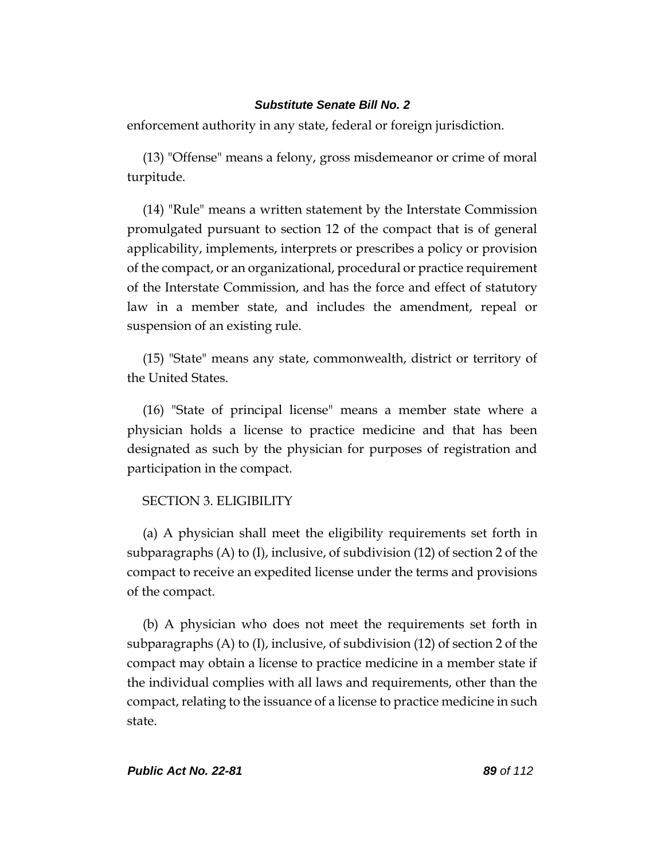enforcement authority in any state, federal or foreign jurisdiction.

(13) "Offense" means a felony, gross misdemeanor or crime of moral turpitude.

(14) "Rule" means a written statement by the Interstate Commission promulgated pursuant to section 12 of the compact that is of general applicability, implements, interprets or prescribes a policy or provision of the compact, or an organizational, procedural or practice requirement of the Interstate Commission, and has the force and effect of statutory law in a member state, and includes the amendment, repeal or suspension of an existing rule.

(15) "State" means any state, commonwealth, district or territory of the United States.

(16) "State of principal license" means a member state where a physician holds a license to practice medicine and that has been designated as such by the physician for purposes of registration and participation in the compact.

### SECTION 3. ELIGIBILITY

(a) A physician shall meet the eligibility requirements set forth in subparagraphs (A) to (I), inclusive, of subdivision (12) of section 2 of the compact to receive an expedited license under the terms and provisions of the compact.

(b) A physician who does not meet the requirements set forth in subparagraphs (A) to (I), inclusive, of subdivision (12) of section 2 of the compact may obtain a license to practice medicine in a member state if the individual complies with all laws and requirements, other than the compact, relating to the issuance of a license to practice medicine in such state.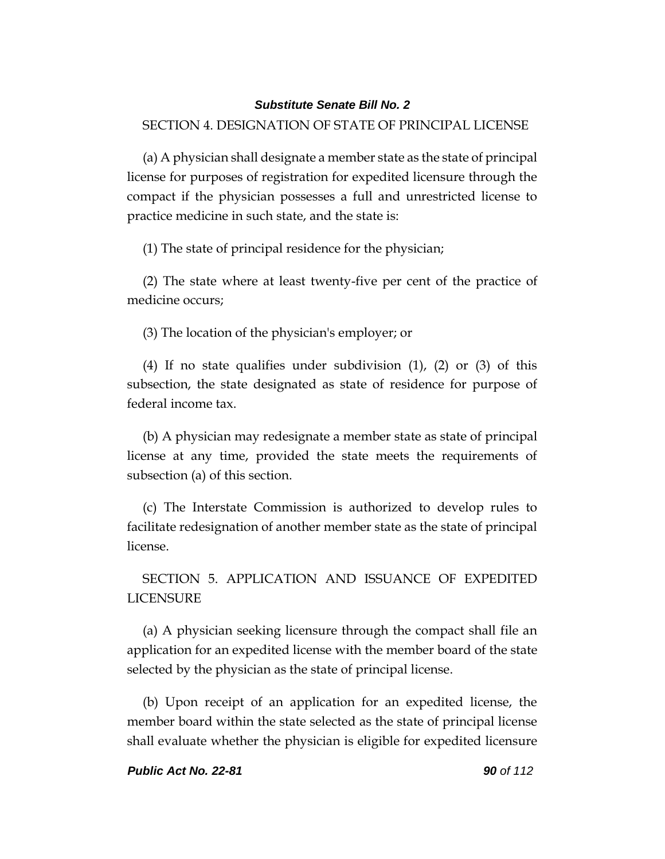## SECTION 4. DESIGNATION OF STATE OF PRINCIPAL LICENSE

(a) A physician shall designate a member state as the state of principal license for purposes of registration for expedited licensure through the compact if the physician possesses a full and unrestricted license to practice medicine in such state, and the state is:

(1) The state of principal residence for the physician;

(2) The state where at least twenty-five per cent of the practice of medicine occurs;

(3) The location of the physician's employer; or

(4) If no state qualifies under subdivision (1), (2) or (3) of this subsection, the state designated as state of residence for purpose of federal income tax.

(b) A physician may redesignate a member state as state of principal license at any time, provided the state meets the requirements of subsection (a) of this section.

(c) The Interstate Commission is authorized to develop rules to facilitate redesignation of another member state as the state of principal license.

SECTION 5. APPLICATION AND ISSUANCE OF EXPEDITED LICENSURE

(a) A physician seeking licensure through the compact shall file an application for an expedited license with the member board of the state selected by the physician as the state of principal license.

(b) Upon receipt of an application for an expedited license, the member board within the state selected as the state of principal license shall evaluate whether the physician is eligible for expedited licensure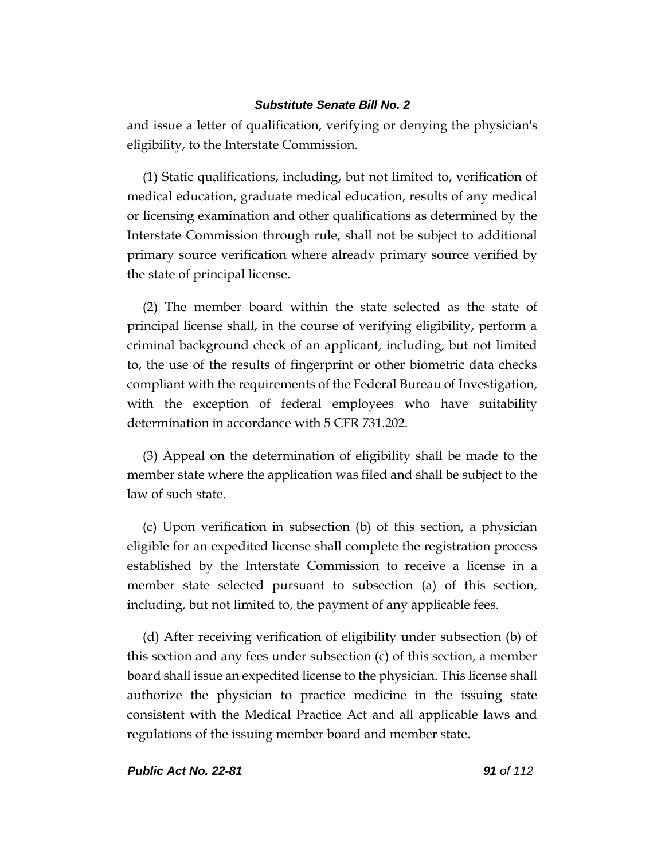and issue a letter of qualification, verifying or denying the physician's eligibility, to the Interstate Commission.

(1) Static qualifications, including, but not limited to, verification of medical education, graduate medical education, results of any medical or licensing examination and other qualifications as determined by the Interstate Commission through rule, shall not be subject to additional primary source verification where already primary source verified by the state of principal license.

(2) The member board within the state selected as the state of principal license shall, in the course of verifying eligibility, perform a criminal background check of an applicant, including, but not limited to, the use of the results of fingerprint or other biometric data checks compliant with the requirements of the Federal Bureau of Investigation, with the exception of federal employees who have suitability determination in accordance with 5 CFR 731.202.

(3) Appeal on the determination of eligibility shall be made to the member state where the application was filed and shall be subject to the law of such state.

(c) Upon verification in subsection (b) of this section, a physician eligible for an expedited license shall complete the registration process established by the Interstate Commission to receive a license in a member state selected pursuant to subsection (a) of this section, including, but not limited to, the payment of any applicable fees.

(d) After receiving verification of eligibility under subsection (b) of this section and any fees under subsection (c) of this section, a member board shall issue an expedited license to the physician. This license shall authorize the physician to practice medicine in the issuing state consistent with the Medical Practice Act and all applicable laws and regulations of the issuing member board and member state.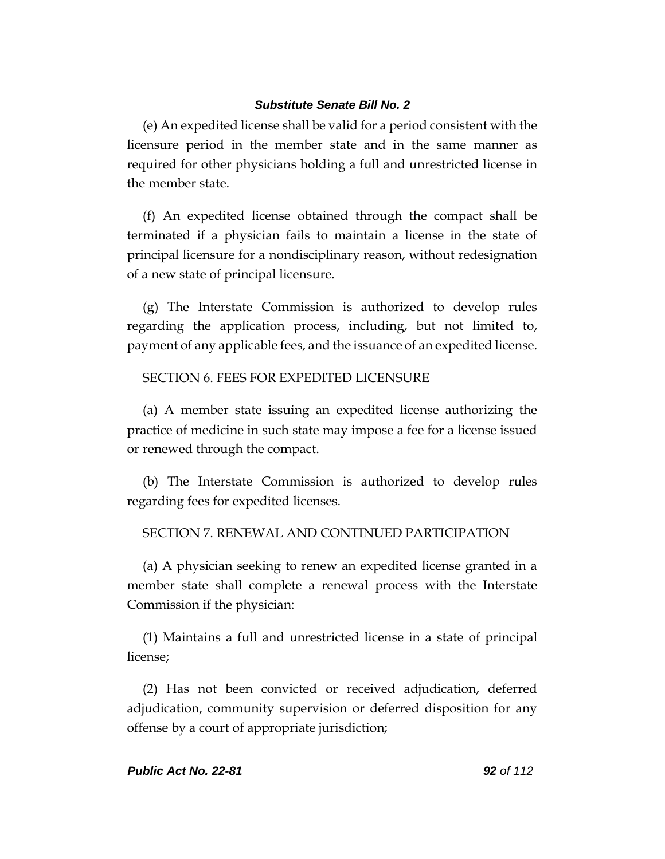(e) An expedited license shall be valid for a period consistent with the licensure period in the member state and in the same manner as required for other physicians holding a full and unrestricted license in the member state.

(f) An expedited license obtained through the compact shall be terminated if a physician fails to maintain a license in the state of principal licensure for a nondisciplinary reason, without redesignation of a new state of principal licensure.

(g) The Interstate Commission is authorized to develop rules regarding the application process, including, but not limited to, payment of any applicable fees, and the issuance of an expedited license.

## SECTION 6. FEES FOR EXPEDITED LICENSURE

(a) A member state issuing an expedited license authorizing the practice of medicine in such state may impose a fee for a license issued or renewed through the compact.

(b) The Interstate Commission is authorized to develop rules regarding fees for expedited licenses.

## SECTION 7. RENEWAL AND CONTINUED PARTICIPATION

(a) A physician seeking to renew an expedited license granted in a member state shall complete a renewal process with the Interstate Commission if the physician:

(1) Maintains a full and unrestricted license in a state of principal license;

(2) Has not been convicted or received adjudication, deferred adjudication, community supervision or deferred disposition for any offense by a court of appropriate jurisdiction;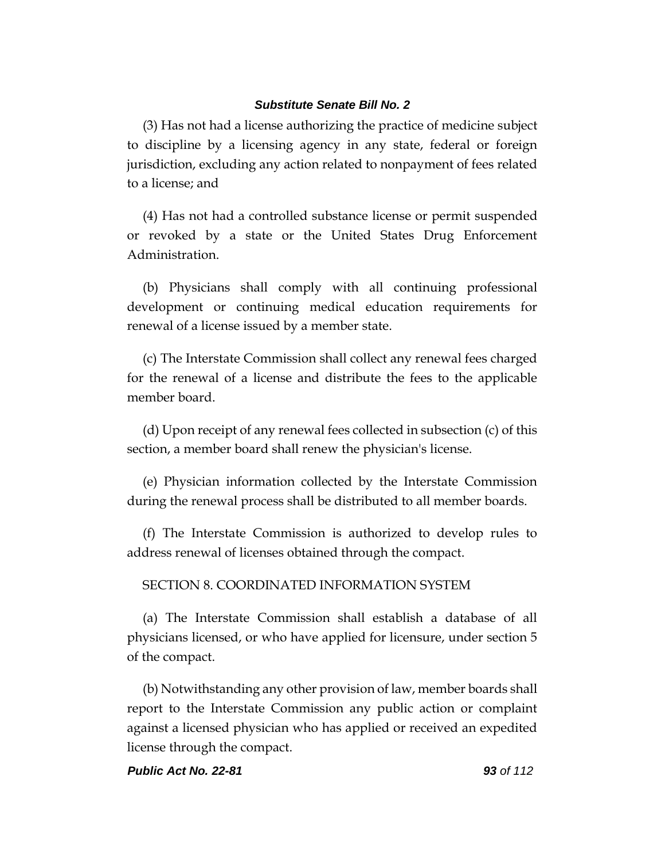(3) Has not had a license authorizing the practice of medicine subject to discipline by a licensing agency in any state, federal or foreign jurisdiction, excluding any action related to nonpayment of fees related to a license; and

(4) Has not had a controlled substance license or permit suspended or revoked by a state or the United States Drug Enforcement Administration.

(b) Physicians shall comply with all continuing professional development or continuing medical education requirements for renewal of a license issued by a member state.

(c) The Interstate Commission shall collect any renewal fees charged for the renewal of a license and distribute the fees to the applicable member board.

(d) Upon receipt of any renewal fees collected in subsection (c) of this section, a member board shall renew the physician's license.

(e) Physician information collected by the Interstate Commission during the renewal process shall be distributed to all member boards.

(f) The Interstate Commission is authorized to develop rules to address renewal of licenses obtained through the compact.

## SECTION 8. COORDINATED INFORMATION SYSTEM

(a) The Interstate Commission shall establish a database of all physicians licensed, or who have applied for licensure, under section 5 of the compact.

(b) Notwithstanding any other provision of law, member boards shall report to the Interstate Commission any public action or complaint against a licensed physician who has applied or received an expedited license through the compact.

### *Public Act No. 22-81 93 of 112*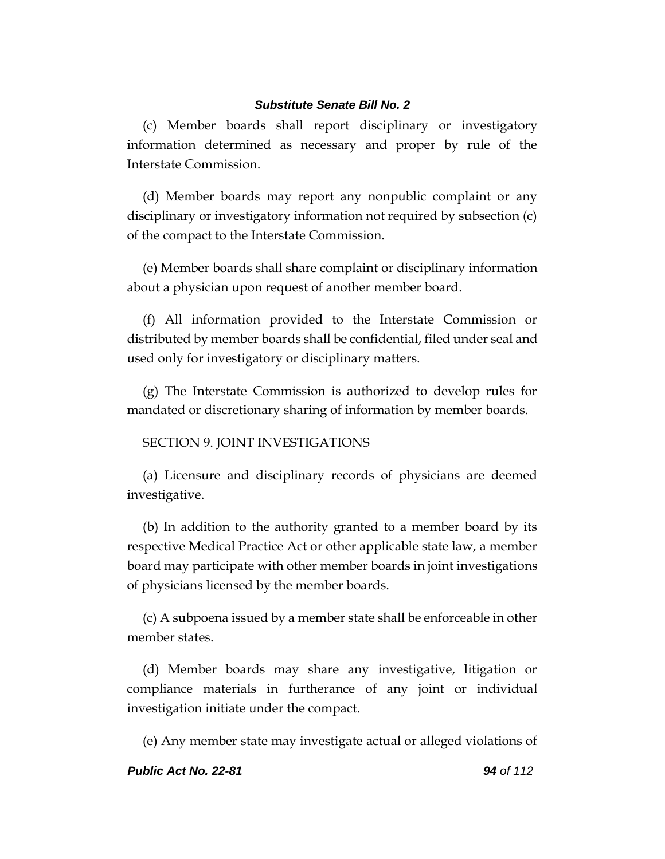(c) Member boards shall report disciplinary or investigatory information determined as necessary and proper by rule of the Interstate Commission.

(d) Member boards may report any nonpublic complaint or any disciplinary or investigatory information not required by subsection (c) of the compact to the Interstate Commission.

(e) Member boards shall share complaint or disciplinary information about a physician upon request of another member board.

(f) All information provided to the Interstate Commission or distributed by member boards shall be confidential, filed under seal and used only for investigatory or disciplinary matters.

(g) The Interstate Commission is authorized to develop rules for mandated or discretionary sharing of information by member boards.

### SECTION 9. JOINT INVESTIGATIONS

(a) Licensure and disciplinary records of physicians are deemed investigative.

(b) In addition to the authority granted to a member board by its respective Medical Practice Act or other applicable state law, a member board may participate with other member boards in joint investigations of physicians licensed by the member boards.

(c) A subpoena issued by a member state shall be enforceable in other member states.

(d) Member boards may share any investigative, litigation or compliance materials in furtherance of any joint or individual investigation initiate under the compact.

(e) Any member state may investigate actual or alleged violations of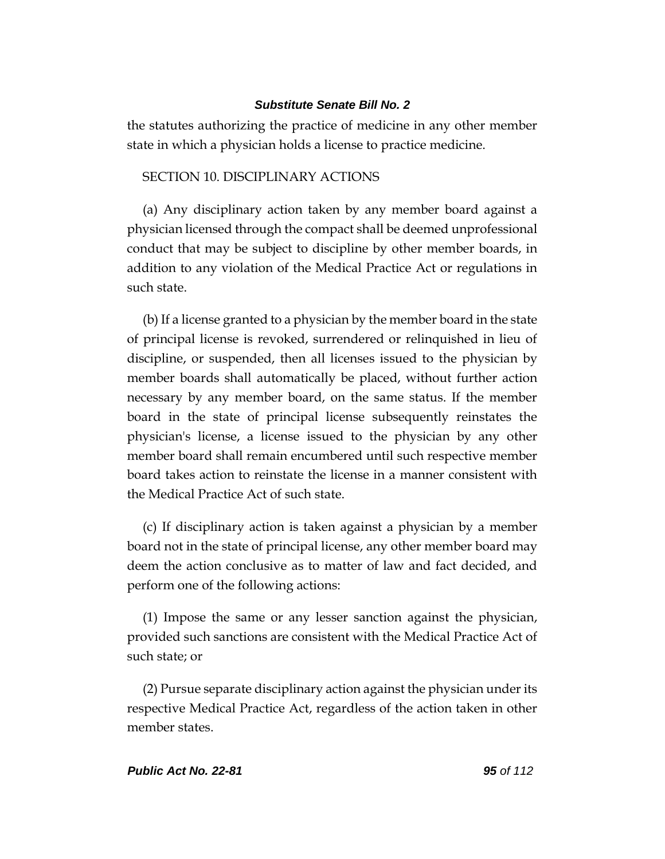the statutes authorizing the practice of medicine in any other member state in which a physician holds a license to practice medicine.

## SECTION 10. DISCIPLINARY ACTIONS

(a) Any disciplinary action taken by any member board against a physician licensed through the compact shall be deemed unprofessional conduct that may be subject to discipline by other member boards, in addition to any violation of the Medical Practice Act or regulations in such state.

(b) If a license granted to a physician by the member board in the state of principal license is revoked, surrendered or relinquished in lieu of discipline, or suspended, then all licenses issued to the physician by member boards shall automatically be placed, without further action necessary by any member board, on the same status. If the member board in the state of principal license subsequently reinstates the physician's license, a license issued to the physician by any other member board shall remain encumbered until such respective member board takes action to reinstate the license in a manner consistent with the Medical Practice Act of such state.

(c) If disciplinary action is taken against a physician by a member board not in the state of principal license, any other member board may deem the action conclusive as to matter of law and fact decided, and perform one of the following actions:

(1) Impose the same or any lesser sanction against the physician, provided such sanctions are consistent with the Medical Practice Act of such state; or

(2) Pursue separate disciplinary action against the physician under its respective Medical Practice Act, regardless of the action taken in other member states.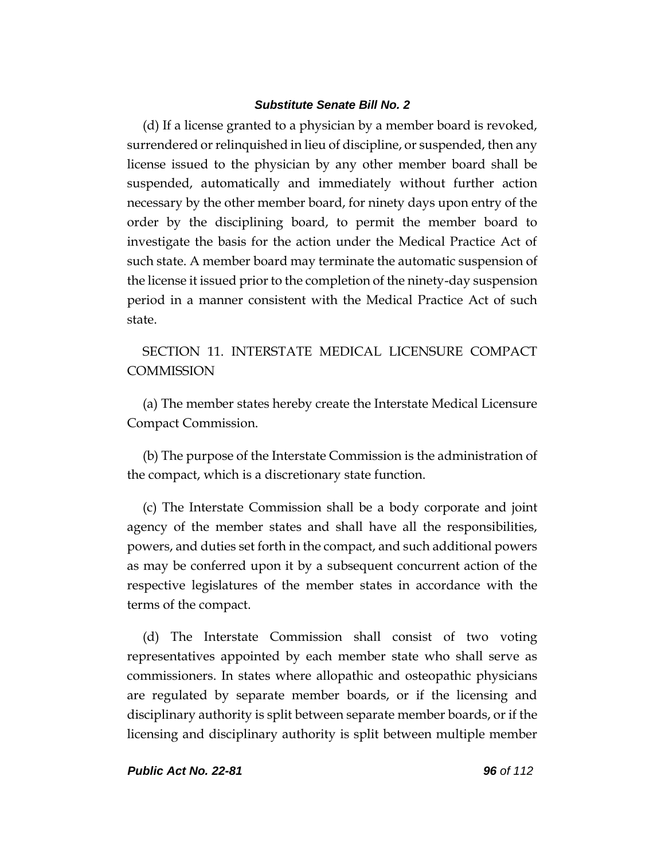(d) If a license granted to a physician by a member board is revoked, surrendered or relinquished in lieu of discipline, or suspended, then any license issued to the physician by any other member board shall be suspended, automatically and immediately without further action necessary by the other member board, for ninety days upon entry of the order by the disciplining board, to permit the member board to investigate the basis for the action under the Medical Practice Act of such state. A member board may terminate the automatic suspension of the license it issued prior to the completion of the ninety-day suspension period in a manner consistent with the Medical Practice Act of such state.

SECTION 11. INTERSTATE MEDICAL LICENSURE COMPACT **COMMISSION** 

(a) The member states hereby create the Interstate Medical Licensure Compact Commission.

(b) The purpose of the Interstate Commission is the administration of the compact, which is a discretionary state function.

(c) The Interstate Commission shall be a body corporate and joint agency of the member states and shall have all the responsibilities, powers, and duties set forth in the compact, and such additional powers as may be conferred upon it by a subsequent concurrent action of the respective legislatures of the member states in accordance with the terms of the compact.

(d) The Interstate Commission shall consist of two voting representatives appointed by each member state who shall serve as commissioners. In states where allopathic and osteopathic physicians are regulated by separate member boards, or if the licensing and disciplinary authority is split between separate member boards, or if the licensing and disciplinary authority is split between multiple member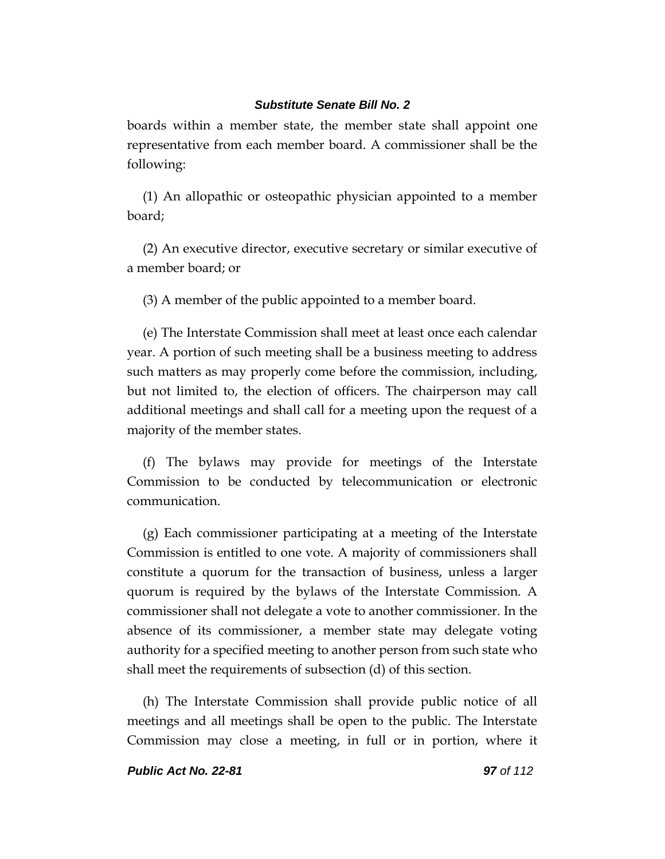boards within a member state, the member state shall appoint one representative from each member board. A commissioner shall be the following:

(1) An allopathic or osteopathic physician appointed to a member board;

(2) An executive director, executive secretary or similar executive of a member board; or

(3) A member of the public appointed to a member board.

(e) The Interstate Commission shall meet at least once each calendar year. A portion of such meeting shall be a business meeting to address such matters as may properly come before the commission, including, but not limited to, the election of officers. The chairperson may call additional meetings and shall call for a meeting upon the request of a majority of the member states.

(f) The bylaws may provide for meetings of the Interstate Commission to be conducted by telecommunication or electronic communication.

(g) Each commissioner participating at a meeting of the Interstate Commission is entitled to one vote. A majority of commissioners shall constitute a quorum for the transaction of business, unless a larger quorum is required by the bylaws of the Interstate Commission. A commissioner shall not delegate a vote to another commissioner. In the absence of its commissioner, a member state may delegate voting authority for a specified meeting to another person from such state who shall meet the requirements of subsection (d) of this section.

(h) The Interstate Commission shall provide public notice of all meetings and all meetings shall be open to the public. The Interstate Commission may close a meeting, in full or in portion, where it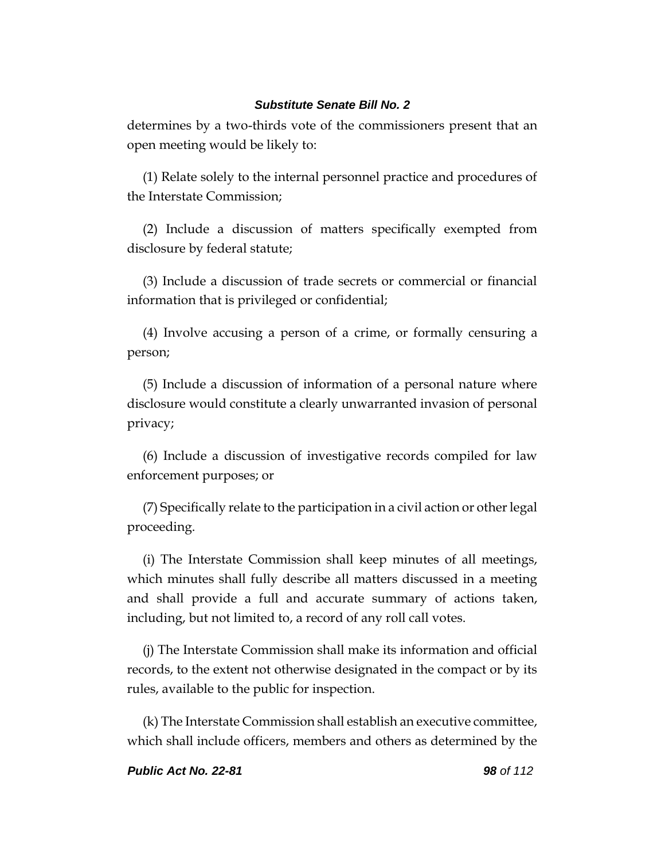determines by a two-thirds vote of the commissioners present that an open meeting would be likely to:

(1) Relate solely to the internal personnel practice and procedures of the Interstate Commission;

(2) Include a discussion of matters specifically exempted from disclosure by federal statute;

(3) Include a discussion of trade secrets or commercial or financial information that is privileged or confidential;

(4) Involve accusing a person of a crime, or formally censuring a person;

(5) Include a discussion of information of a personal nature where disclosure would constitute a clearly unwarranted invasion of personal privacy;

(6) Include a discussion of investigative records compiled for law enforcement purposes; or

(7) Specifically relate to the participation in a civil action or other legal proceeding.

(i) The Interstate Commission shall keep minutes of all meetings, which minutes shall fully describe all matters discussed in a meeting and shall provide a full and accurate summary of actions taken, including, but not limited to, a record of any roll call votes.

(j) The Interstate Commission shall make its information and official records, to the extent not otherwise designated in the compact or by its rules, available to the public for inspection.

(k) The Interstate Commission shall establish an executive committee, which shall include officers, members and others as determined by the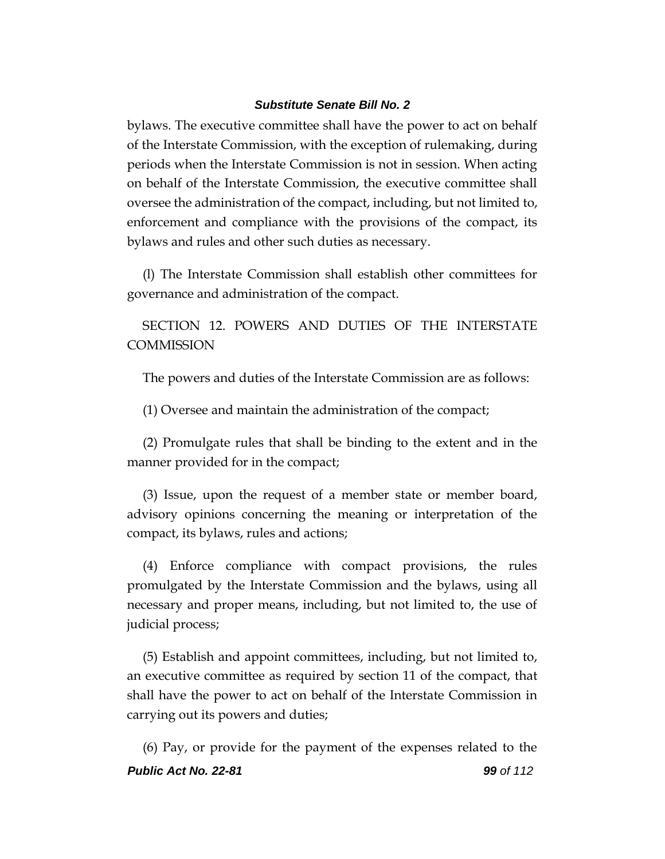bylaws. The executive committee shall have the power to act on behalf of the Interstate Commission, with the exception of rulemaking, during periods when the Interstate Commission is not in session. When acting on behalf of the Interstate Commission, the executive committee shall oversee the administration of the compact, including, but not limited to, enforcement and compliance with the provisions of the compact, its bylaws and rules and other such duties as necessary.

(l) The Interstate Commission shall establish other committees for governance and administration of the compact.

SECTION 12. POWERS AND DUTIES OF THE INTERSTATE **COMMISSION** 

The powers and duties of the Interstate Commission are as follows:

(1) Oversee and maintain the administration of the compact;

(2) Promulgate rules that shall be binding to the extent and in the manner provided for in the compact;

(3) Issue, upon the request of a member state or member board, advisory opinions concerning the meaning or interpretation of the compact, its bylaws, rules and actions;

(4) Enforce compliance with compact provisions, the rules promulgated by the Interstate Commission and the bylaws, using all necessary and proper means, including, but not limited to, the use of judicial process;

(5) Establish and appoint committees, including, but not limited to, an executive committee as required by section 11 of the compact, that shall have the power to act on behalf of the Interstate Commission in carrying out its powers and duties;

*Public Act No. 22-81 99 of 112* (6) Pay, or provide for the payment of the expenses related to the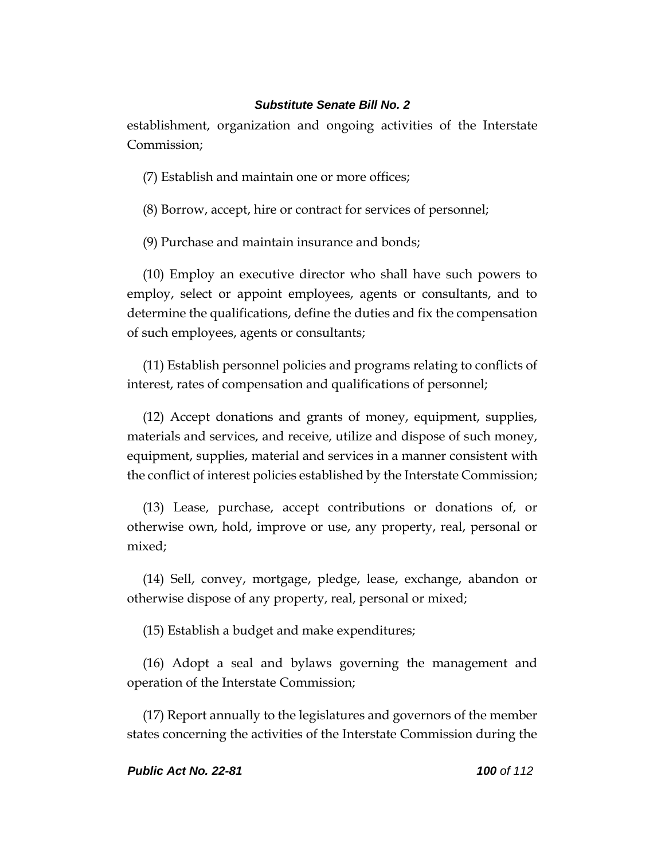establishment, organization and ongoing activities of the Interstate Commission;

(7) Establish and maintain one or more offices;

(8) Borrow, accept, hire or contract for services of personnel;

(9) Purchase and maintain insurance and bonds;

(10) Employ an executive director who shall have such powers to employ, select or appoint employees, agents or consultants, and to determine the qualifications, define the duties and fix the compensation of such employees, agents or consultants;

(11) Establish personnel policies and programs relating to conflicts of interest, rates of compensation and qualifications of personnel;

(12) Accept donations and grants of money, equipment, supplies, materials and services, and receive, utilize and dispose of such money, equipment, supplies, material and services in a manner consistent with the conflict of interest policies established by the Interstate Commission;

(13) Lease, purchase, accept contributions or donations of, or otherwise own, hold, improve or use, any property, real, personal or mixed;

(14) Sell, convey, mortgage, pledge, lease, exchange, abandon or otherwise dispose of any property, real, personal or mixed;

(15) Establish a budget and make expenditures;

(16) Adopt a seal and bylaws governing the management and operation of the Interstate Commission;

(17) Report annually to the legislatures and governors of the member states concerning the activities of the Interstate Commission during the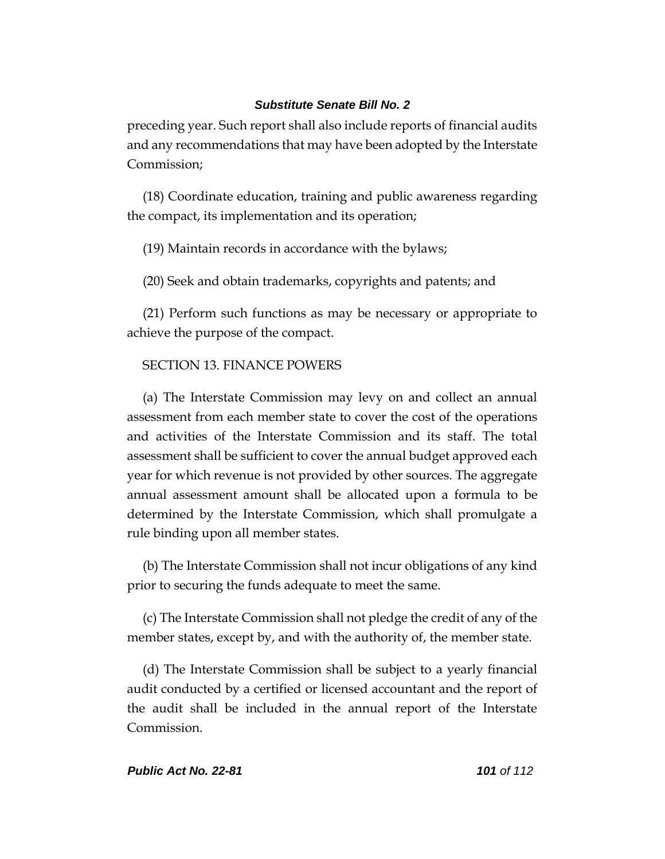preceding year. Such report shall also include reports of financial audits and any recommendations that may have been adopted by the Interstate Commission;

(18) Coordinate education, training and public awareness regarding the compact, its implementation and its operation;

(19) Maintain records in accordance with the bylaws;

(20) Seek and obtain trademarks, copyrights and patents; and

(21) Perform such functions as may be necessary or appropriate to achieve the purpose of the compact.

## SECTION 13. FINANCE POWERS

(a) The Interstate Commission may levy on and collect an annual assessment from each member state to cover the cost of the operations and activities of the Interstate Commission and its staff. The total assessment shall be sufficient to cover the annual budget approved each year for which revenue is not provided by other sources. The aggregate annual assessment amount shall be allocated upon a formula to be determined by the Interstate Commission, which shall promulgate a rule binding upon all member states.

(b) The Interstate Commission shall not incur obligations of any kind prior to securing the funds adequate to meet the same.

(c) The Interstate Commission shall not pledge the credit of any of the member states, except by, and with the authority of, the member state.

(d) The Interstate Commission shall be subject to a yearly financial audit conducted by a certified or licensed accountant and the report of the audit shall be included in the annual report of the Interstate Commission.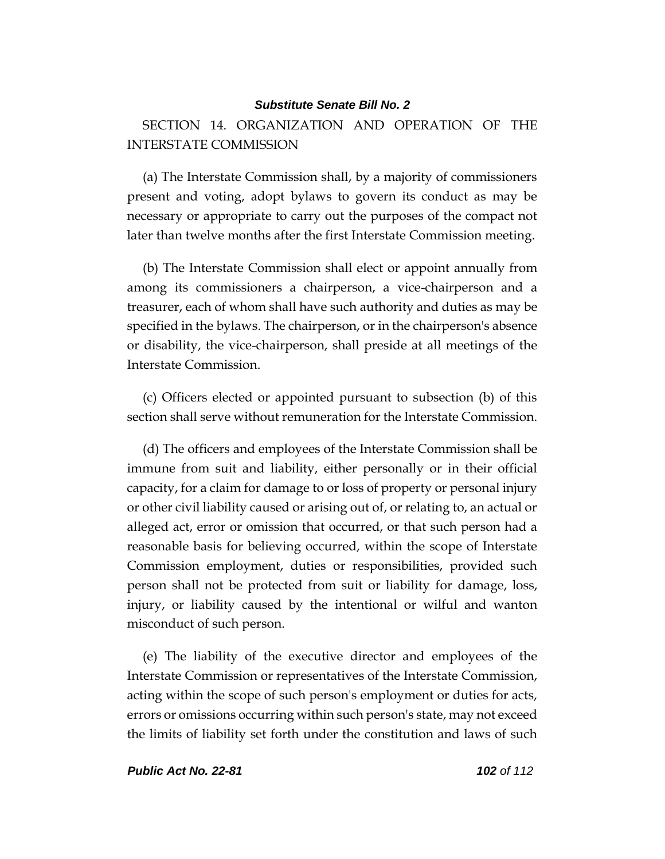SECTION 14. ORGANIZATION AND OPERATION OF THE INTERSTATE COMMISSION

(a) The Interstate Commission shall, by a majority of commissioners present and voting, adopt bylaws to govern its conduct as may be necessary or appropriate to carry out the purposes of the compact not later than twelve months after the first Interstate Commission meeting.

(b) The Interstate Commission shall elect or appoint annually from among its commissioners a chairperson, a vice-chairperson and a treasurer, each of whom shall have such authority and duties as may be specified in the bylaws. The chairperson, or in the chairperson's absence or disability, the vice-chairperson, shall preside at all meetings of the Interstate Commission.

(c) Officers elected or appointed pursuant to subsection (b) of this section shall serve without remuneration for the Interstate Commission.

(d) The officers and employees of the Interstate Commission shall be immune from suit and liability, either personally or in their official capacity, for a claim for damage to or loss of property or personal injury or other civil liability caused or arising out of, or relating to, an actual or alleged act, error or omission that occurred, or that such person had a reasonable basis for believing occurred, within the scope of Interstate Commission employment, duties or responsibilities, provided such person shall not be protected from suit or liability for damage, loss, injury, or liability caused by the intentional or wilful and wanton misconduct of such person.

(e) The liability of the executive director and employees of the Interstate Commission or representatives of the Interstate Commission, acting within the scope of such person's employment or duties for acts, errors or omissions occurring within such person's state, may not exceed the limits of liability set forth under the constitution and laws of such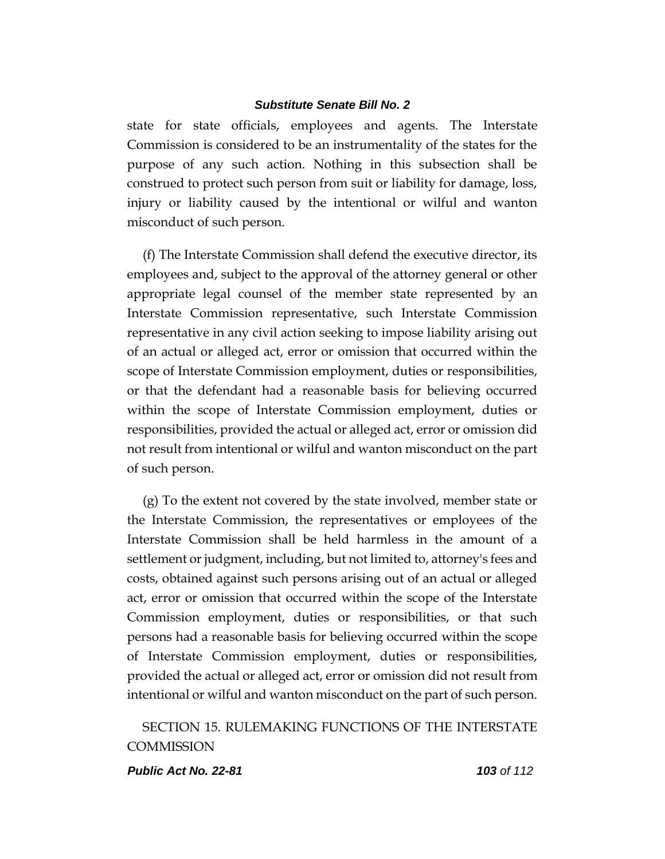state for state officials, employees and agents. The Interstate Commission is considered to be an instrumentality of the states for the purpose of any such action. Nothing in this subsection shall be construed to protect such person from suit or liability for damage, loss, injury or liability caused by the intentional or wilful and wanton misconduct of such person.

(f) The Interstate Commission shall defend the executive director, its employees and, subject to the approval of the attorney general or other appropriate legal counsel of the member state represented by an Interstate Commission representative, such Interstate Commission representative in any civil action seeking to impose liability arising out of an actual or alleged act, error or omission that occurred within the scope of Interstate Commission employment, duties or responsibilities, or that the defendant had a reasonable basis for believing occurred within the scope of Interstate Commission employment, duties or responsibilities, provided the actual or alleged act, error or omission did not result from intentional or wilful and wanton misconduct on the part of such person.

(g) To the extent not covered by the state involved, member state or the Interstate Commission, the representatives or employees of the Interstate Commission shall be held harmless in the amount of a settlement or judgment, including, but not limited to, attorney's fees and costs, obtained against such persons arising out of an actual or alleged act, error or omission that occurred within the scope of the Interstate Commission employment, duties or responsibilities, or that such persons had a reasonable basis for believing occurred within the scope of Interstate Commission employment, duties or responsibilities, provided the actual or alleged act, error or omission did not result from intentional or wilful and wanton misconduct on the part of such person.

SECTION 15. RULEMAKING FUNCTIONS OF THE INTERSTATE **COMMISSION** 

#### *Public Act No. 22-81 103 of 112*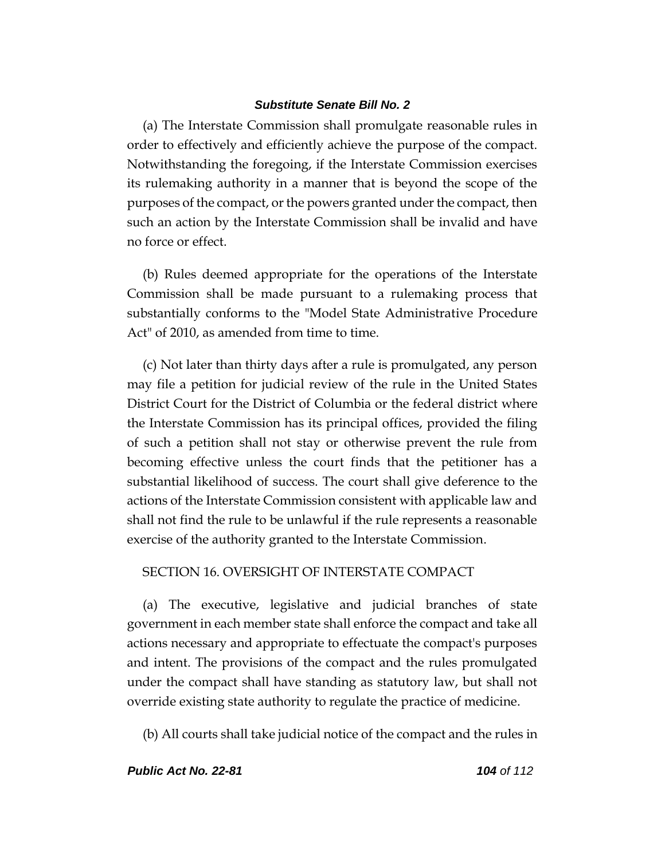(a) The Interstate Commission shall promulgate reasonable rules in order to effectively and efficiently achieve the purpose of the compact. Notwithstanding the foregoing, if the Interstate Commission exercises its rulemaking authority in a manner that is beyond the scope of the purposes of the compact, or the powers granted under the compact, then such an action by the Interstate Commission shall be invalid and have no force or effect.

(b) Rules deemed appropriate for the operations of the Interstate Commission shall be made pursuant to a rulemaking process that substantially conforms to the "Model State Administrative Procedure Act" of 2010, as amended from time to time.

(c) Not later than thirty days after a rule is promulgated, any person may file a petition for judicial review of the rule in the United States District Court for the District of Columbia or the federal district where the Interstate Commission has its principal offices, provided the filing of such a petition shall not stay or otherwise prevent the rule from becoming effective unless the court finds that the petitioner has a substantial likelihood of success. The court shall give deference to the actions of the Interstate Commission consistent with applicable law and shall not find the rule to be unlawful if the rule represents a reasonable exercise of the authority granted to the Interstate Commission.

### SECTION 16. OVERSIGHT OF INTERSTATE COMPACT

(a) The executive, legislative and judicial branches of state government in each member state shall enforce the compact and take all actions necessary and appropriate to effectuate the compact's purposes and intent. The provisions of the compact and the rules promulgated under the compact shall have standing as statutory law, but shall not override existing state authority to regulate the practice of medicine.

(b) All courts shall take judicial notice of the compact and the rules in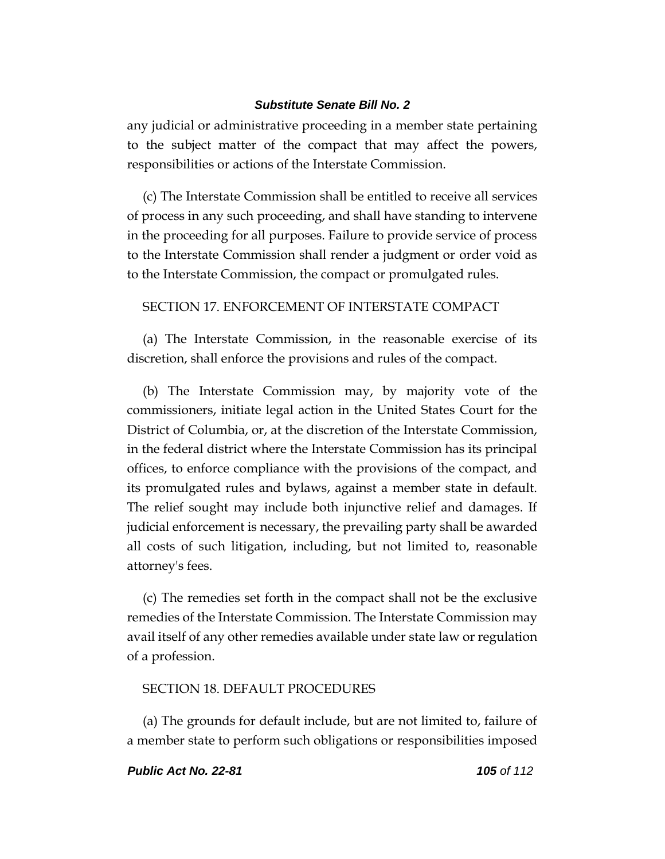any judicial or administrative proceeding in a member state pertaining to the subject matter of the compact that may affect the powers, responsibilities or actions of the Interstate Commission.

(c) The Interstate Commission shall be entitled to receive all services of process in any such proceeding, and shall have standing to intervene in the proceeding for all purposes. Failure to provide service of process to the Interstate Commission shall render a judgment or order void as to the Interstate Commission, the compact or promulgated rules.

### SECTION 17. ENFORCEMENT OF INTERSTATE COMPACT

(a) The Interstate Commission, in the reasonable exercise of its discretion, shall enforce the provisions and rules of the compact.

(b) The Interstate Commission may, by majority vote of the commissioners, initiate legal action in the United States Court for the District of Columbia, or, at the discretion of the Interstate Commission, in the federal district where the Interstate Commission has its principal offices, to enforce compliance with the provisions of the compact, and its promulgated rules and bylaws, against a member state in default. The relief sought may include both injunctive relief and damages. If judicial enforcement is necessary, the prevailing party shall be awarded all costs of such litigation, including, but not limited to, reasonable attorney's fees.

(c) The remedies set forth in the compact shall not be the exclusive remedies of the Interstate Commission. The Interstate Commission may avail itself of any other remedies available under state law or regulation of a profession.

### SECTION 18. DEFAULT PROCEDURES

(a) The grounds for default include, but are not limited to, failure of a member state to perform such obligations or responsibilities imposed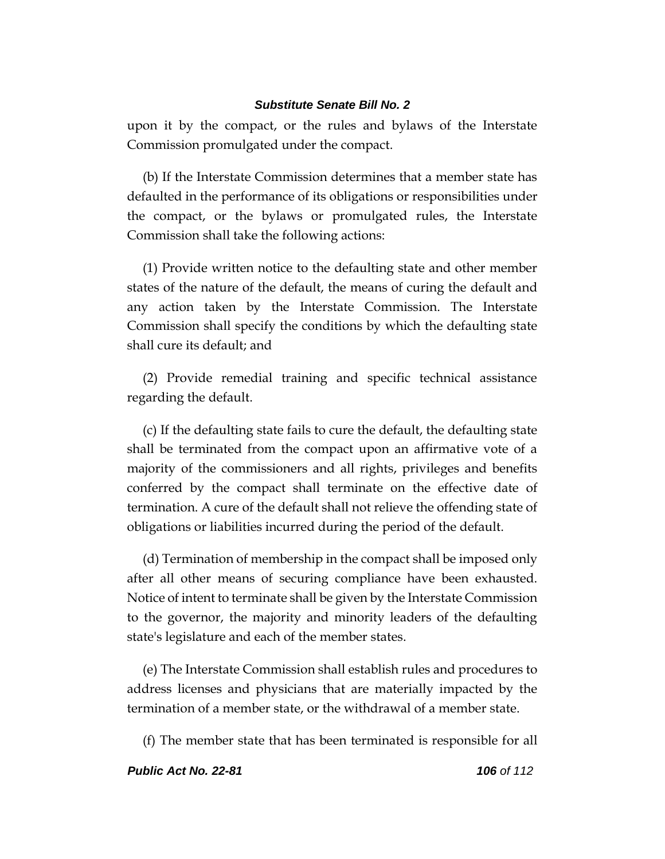upon it by the compact, or the rules and bylaws of the Interstate Commission promulgated under the compact.

(b) If the Interstate Commission determines that a member state has defaulted in the performance of its obligations or responsibilities under the compact, or the bylaws or promulgated rules, the Interstate Commission shall take the following actions:

(1) Provide written notice to the defaulting state and other member states of the nature of the default, the means of curing the default and any action taken by the Interstate Commission. The Interstate Commission shall specify the conditions by which the defaulting state shall cure its default; and

(2) Provide remedial training and specific technical assistance regarding the default.

(c) If the defaulting state fails to cure the default, the defaulting state shall be terminated from the compact upon an affirmative vote of a majority of the commissioners and all rights, privileges and benefits conferred by the compact shall terminate on the effective date of termination. A cure of the default shall not relieve the offending state of obligations or liabilities incurred during the period of the default.

(d) Termination of membership in the compact shall be imposed only after all other means of securing compliance have been exhausted. Notice of intent to terminate shall be given by the Interstate Commission to the governor, the majority and minority leaders of the defaulting state's legislature and each of the member states.

(e) The Interstate Commission shall establish rules and procedures to address licenses and physicians that are materially impacted by the termination of a member state, or the withdrawal of a member state.

(f) The member state that has been terminated is responsible for all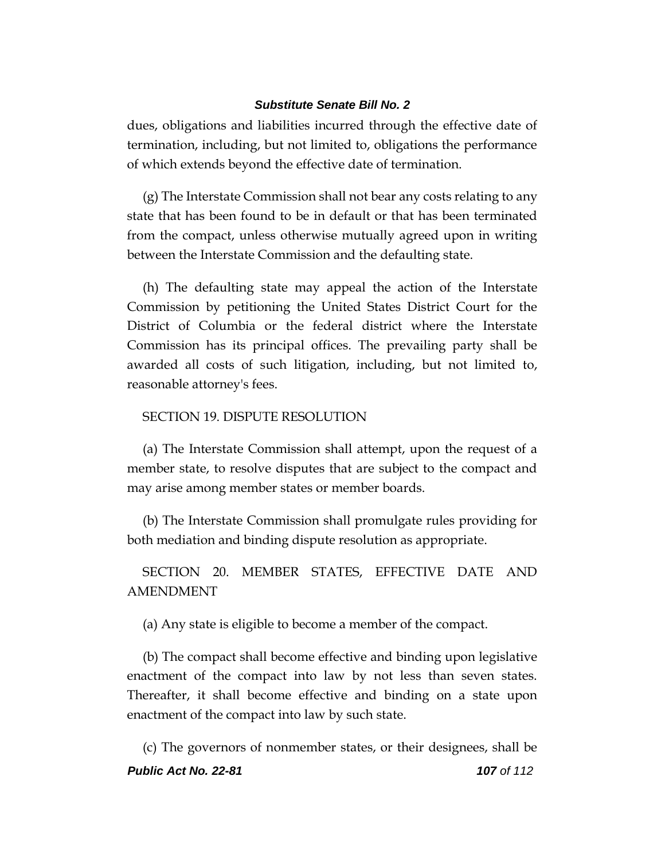dues, obligations and liabilities incurred through the effective date of termination, including, but not limited to, obligations the performance of which extends beyond the effective date of termination.

(g) The Interstate Commission shall not bear any costs relating to any state that has been found to be in default or that has been terminated from the compact, unless otherwise mutually agreed upon in writing between the Interstate Commission and the defaulting state.

(h) The defaulting state may appeal the action of the Interstate Commission by petitioning the United States District Court for the District of Columbia or the federal district where the Interstate Commission has its principal offices. The prevailing party shall be awarded all costs of such litigation, including, but not limited to, reasonable attorney's fees.

### SECTION 19. DISPUTE RESOLUTION

(a) The Interstate Commission shall attempt, upon the request of a member state, to resolve disputes that are subject to the compact and may arise among member states or member boards.

(b) The Interstate Commission shall promulgate rules providing for both mediation and binding dispute resolution as appropriate.

SECTION 20. MEMBER STATES, EFFECTIVE DATE AND AMENDMENT

(a) Any state is eligible to become a member of the compact.

(b) The compact shall become effective and binding upon legislative enactment of the compact into law by not less than seven states. Thereafter, it shall become effective and binding on a state upon enactment of the compact into law by such state.

*Public Act No. 22-81 107 of 112* (c) The governors of nonmember states, or their designees, shall be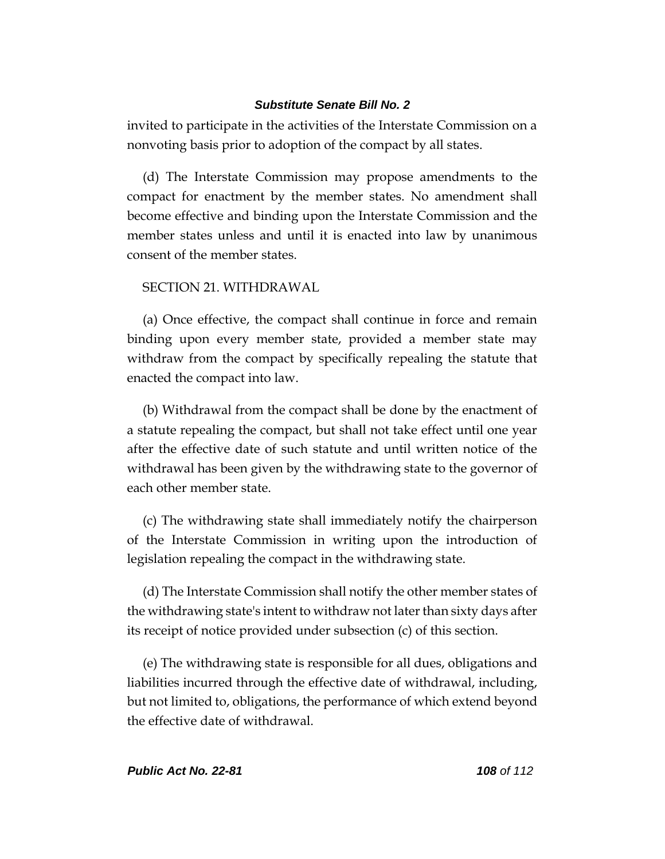invited to participate in the activities of the Interstate Commission on a nonvoting basis prior to adoption of the compact by all states.

(d) The Interstate Commission may propose amendments to the compact for enactment by the member states. No amendment shall become effective and binding upon the Interstate Commission and the member states unless and until it is enacted into law by unanimous consent of the member states.

## SECTION 21. WITHDRAWAL

(a) Once effective, the compact shall continue in force and remain binding upon every member state, provided a member state may withdraw from the compact by specifically repealing the statute that enacted the compact into law.

(b) Withdrawal from the compact shall be done by the enactment of a statute repealing the compact, but shall not take effect until one year after the effective date of such statute and until written notice of the withdrawal has been given by the withdrawing state to the governor of each other member state.

(c) The withdrawing state shall immediately notify the chairperson of the Interstate Commission in writing upon the introduction of legislation repealing the compact in the withdrawing state.

(d) The Interstate Commission shall notify the other member states of the withdrawing state's intent to withdraw not later than sixty days after its receipt of notice provided under subsection (c) of this section.

(e) The withdrawing state is responsible for all dues, obligations and liabilities incurred through the effective date of withdrawal, including, but not limited to, obligations, the performance of which extend beyond the effective date of withdrawal.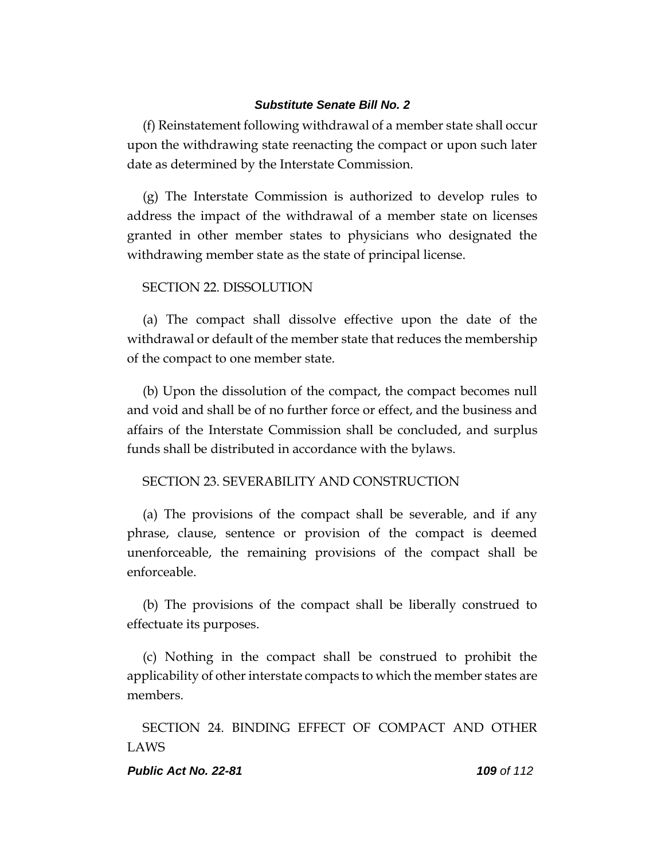(f) Reinstatement following withdrawal of a member state shall occur upon the withdrawing state reenacting the compact or upon such later date as determined by the Interstate Commission.

(g) The Interstate Commission is authorized to develop rules to address the impact of the withdrawal of a member state on licenses granted in other member states to physicians who designated the withdrawing member state as the state of principal license.

# SECTION 22. DISSOLUTION

(a) The compact shall dissolve effective upon the date of the withdrawal or default of the member state that reduces the membership of the compact to one member state.

(b) Upon the dissolution of the compact, the compact becomes null and void and shall be of no further force or effect, and the business and affairs of the Interstate Commission shall be concluded, and surplus funds shall be distributed in accordance with the bylaws.

## SECTION 23. SEVERABILITY AND CONSTRUCTION

(a) The provisions of the compact shall be severable, and if any phrase, clause, sentence or provision of the compact is deemed unenforceable, the remaining provisions of the compact shall be enforceable.

(b) The provisions of the compact shall be liberally construed to effectuate its purposes.

(c) Nothing in the compact shall be construed to prohibit the applicability of other interstate compacts to which the member states are members.

SECTION 24. BINDING EFFECT OF COMPACT AND OTHER LAWS

### *Public Act No. 22-81 109 of 112*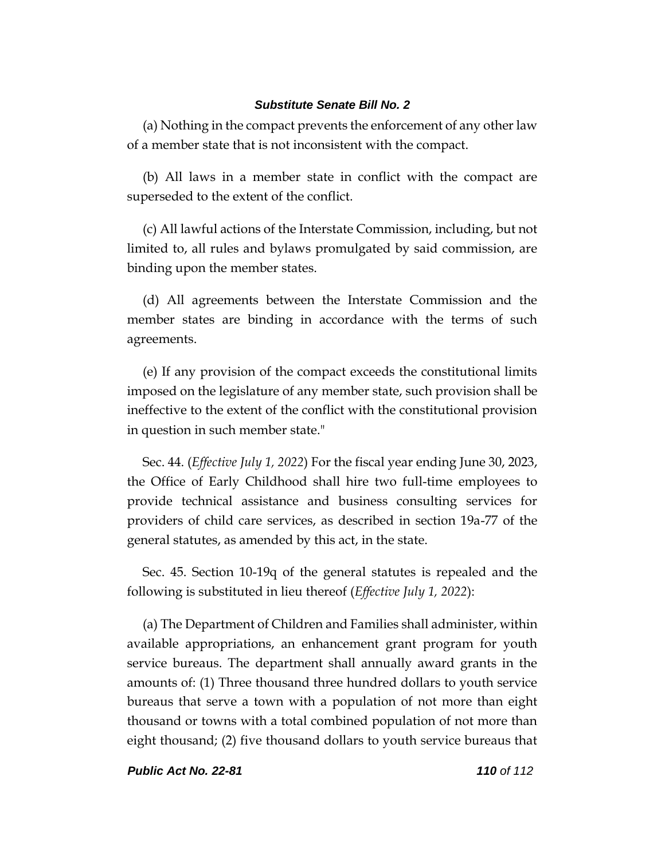(a) Nothing in the compact prevents the enforcement of any other law of a member state that is not inconsistent with the compact.

(b) All laws in a member state in conflict with the compact are superseded to the extent of the conflict.

(c) All lawful actions of the Interstate Commission, including, but not limited to, all rules and bylaws promulgated by said commission, are binding upon the member states.

(d) All agreements between the Interstate Commission and the member states are binding in accordance with the terms of such agreements.

(e) If any provision of the compact exceeds the constitutional limits imposed on the legislature of any member state, such provision shall be ineffective to the extent of the conflict with the constitutional provision in question in such member state."

Sec. 44. (*Effective July 1, 2022*) For the fiscal year ending June 30, 2023, the Office of Early Childhood shall hire two full-time employees to provide technical assistance and business consulting services for providers of child care services, as described in section 19a-77 of the general statutes, as amended by this act, in the state.

Sec. 45. Section 10-19q of the general statutes is repealed and the following is substituted in lieu thereof (*Effective July 1, 2022*):

(a) The Department of Children and Families shall administer, within available appropriations, an enhancement grant program for youth service bureaus. The department shall annually award grants in the amounts of: (1) Three thousand three hundred dollars to youth service bureaus that serve a town with a population of not more than eight thousand or towns with a total combined population of not more than eight thousand; (2) five thousand dollars to youth service bureaus that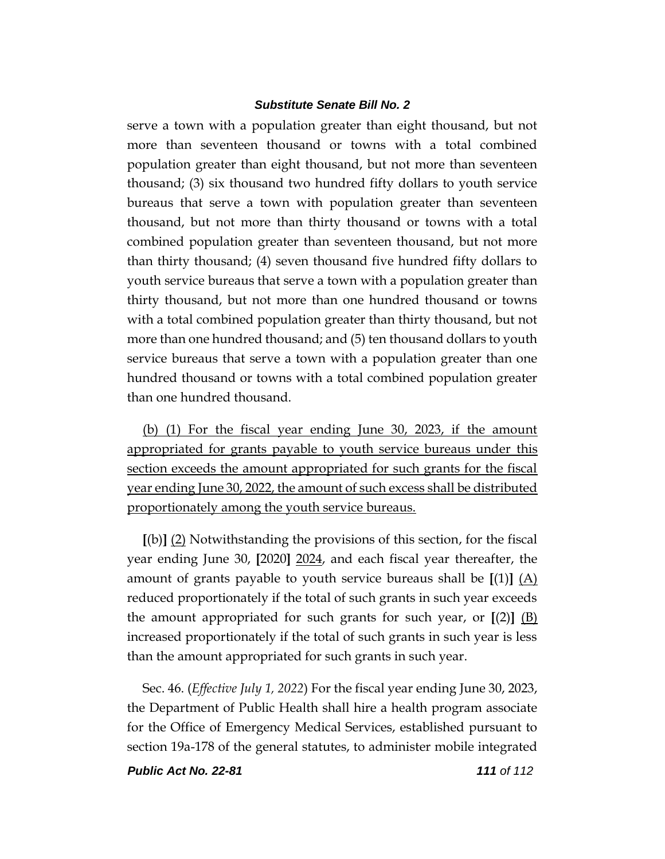serve a town with a population greater than eight thousand, but not more than seventeen thousand or towns with a total combined population greater than eight thousand, but not more than seventeen thousand; (3) six thousand two hundred fifty dollars to youth service bureaus that serve a town with population greater than seventeen thousand, but not more than thirty thousand or towns with a total combined population greater than seventeen thousand, but not more than thirty thousand; (4) seven thousand five hundred fifty dollars to youth service bureaus that serve a town with a population greater than thirty thousand, but not more than one hundred thousand or towns with a total combined population greater than thirty thousand, but not more than one hundred thousand; and (5) ten thousand dollars to youth service bureaus that serve a town with a population greater than one hundred thousand or towns with a total combined population greater than one hundred thousand.

(b) (1) For the fiscal year ending June 30, 2023, if the amount appropriated for grants payable to youth service bureaus under this section exceeds the amount appropriated for such grants for the fiscal year ending June 30, 2022, the amount of such excess shall be distributed proportionately among the youth service bureaus.

**[**(b)**]** (2) Notwithstanding the provisions of this section, for the fiscal year ending June 30, **[**2020**]** 2024, and each fiscal year thereafter, the amount of grants payable to youth service bureaus shall be **[**(1)**]** (A) reduced proportionately if the total of such grants in such year exceeds the amount appropriated for such grants for such year, or **[**(2)**]** (B) increased proportionately if the total of such grants in such year is less than the amount appropriated for such grants in such year.

Sec. 46. (*Effective July 1, 2022*) For the fiscal year ending June 30, 2023, the Department of Public Health shall hire a health program associate for the Office of Emergency Medical Services, established pursuant to section 19a-178 of the general statutes, to administer mobile integrated

*Public Act No. 22-81 111 of 112*